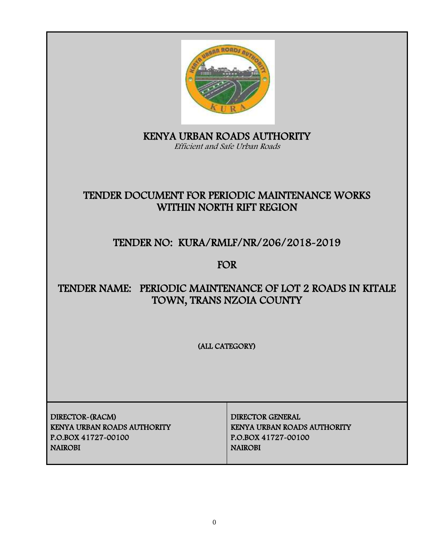

KENYA URBAN ROADS AUTHORITY Efficient and Safe Urban Roads

# TENDER DOCUMENT FOR PERIODIC MAINTENANCE WORKS WITHIN NORTH RIFT REGION

# TENDER NO: KURA/RMLF/NR/206/2018-2019

FOR

# TENDER NAME: PERIODIC MAINTENANCE OF LOT 2 ROADS IN KITALE TOWN, TRANS NZOIA COUNTY

(ALL CATEGORY)

DIRECTOR-(RACM) DIRECTOR GENERAL KENYA URBAN ROADS AUTHORITY KENYA URBAN ROADS AUTHORITY P.O.BOX 41727-00100 P.O.BOX 41727-00100 NAIROBI NAIROBI NAIROBI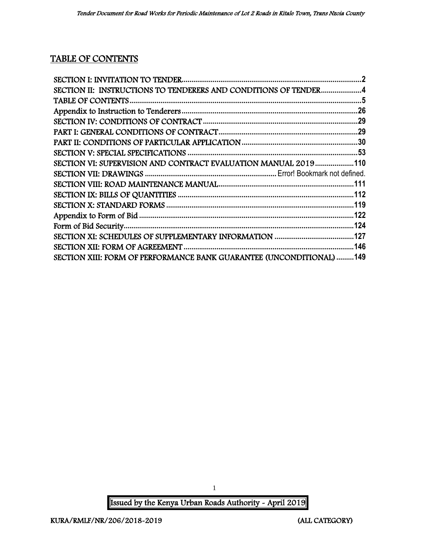# TABLE OF CONTENTS

| SECTION II: INSTRUCTIONS TO TENDERERS AND CONDITIONS OF TENDER4      |  |
|----------------------------------------------------------------------|--|
|                                                                      |  |
|                                                                      |  |
|                                                                      |  |
|                                                                      |  |
|                                                                      |  |
|                                                                      |  |
| SECTION VI: SUPERVISION AND CONTRACT EVALUATION MANUAL 2019110       |  |
|                                                                      |  |
|                                                                      |  |
|                                                                      |  |
|                                                                      |  |
|                                                                      |  |
|                                                                      |  |
|                                                                      |  |
|                                                                      |  |
| SECTION XIII: FORM OF PERFORMANCE BANK GUARANTEE (UNCONDITIONAL) 149 |  |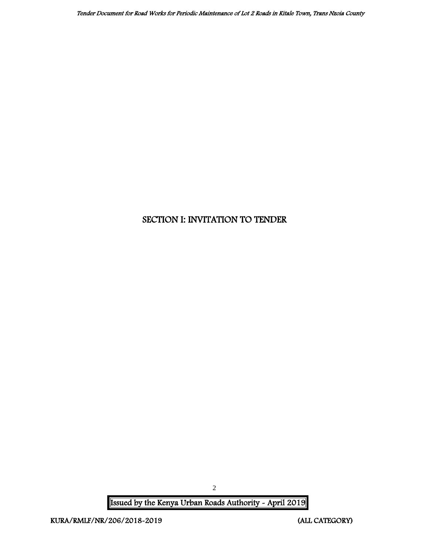## <span id="page-2-0"></span>SECTION I: INVITATION TO TENDER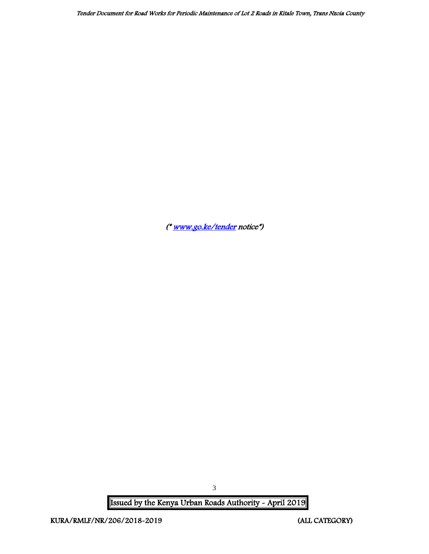Tender Document for Road Works for Periodic Maintenance of Lot 2 Roads in Kitale Town, Trans Nzoia County

([\\* www.go.ke/tender](http://www.go.ke/tender) notice\*)

Issued by the Kenya Urban Roads Authority - April 2019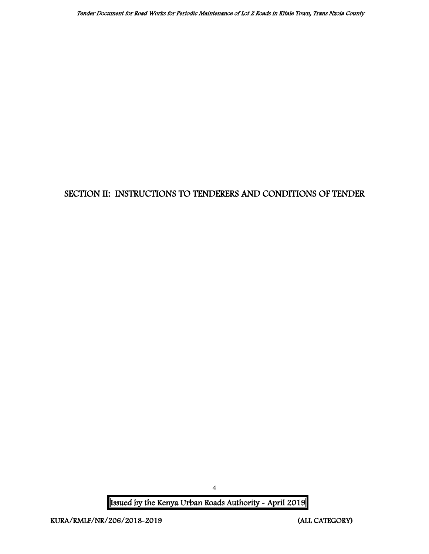## <span id="page-4-0"></span>SECTION II: INSTRUCTIONS TO TENDERERS AND CONDITIONS OF TENDER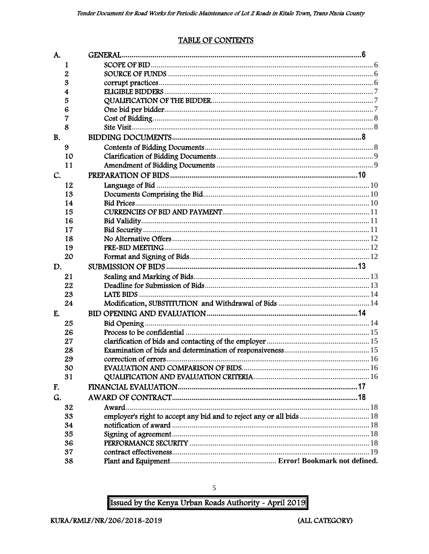#### **TABLE OF CONTENTS**

<span id="page-5-0"></span>

| A.        |    |                                                                      |  |
|-----------|----|----------------------------------------------------------------------|--|
|           | 1  |                                                                      |  |
|           | 2  |                                                                      |  |
|           | 3  |                                                                      |  |
|           | 4  |                                                                      |  |
|           | 5  |                                                                      |  |
|           | 6  |                                                                      |  |
|           | 7  |                                                                      |  |
|           | 8  |                                                                      |  |
| <b>B.</b> |    |                                                                      |  |
|           | 9  |                                                                      |  |
|           | 10 |                                                                      |  |
|           | 11 |                                                                      |  |
| C.        |    |                                                                      |  |
|           | 12 |                                                                      |  |
|           | 13 |                                                                      |  |
|           | 14 |                                                                      |  |
|           | 15 |                                                                      |  |
|           | 16 |                                                                      |  |
|           | 17 |                                                                      |  |
|           | 18 |                                                                      |  |
|           | 19 |                                                                      |  |
|           | 20 |                                                                      |  |
| D.        |    |                                                                      |  |
|           | 21 |                                                                      |  |
|           | 22 |                                                                      |  |
|           | 23 |                                                                      |  |
|           | 24 |                                                                      |  |
| E.        |    |                                                                      |  |
|           | 25 |                                                                      |  |
|           | 26 |                                                                      |  |
|           | 27 |                                                                      |  |
|           | 28 |                                                                      |  |
|           | 29 |                                                                      |  |
|           | 30 |                                                                      |  |
|           | 31 |                                                                      |  |
| F.        |    |                                                                      |  |
| G.        |    |                                                                      |  |
|           | 32 | Award.                                                               |  |
|           | 33 | employer's right to accept any bid and to reject any or all bids  18 |  |
|           | 34 |                                                                      |  |
|           | 35 |                                                                      |  |
|           | 36 |                                                                      |  |
|           | 37 |                                                                      |  |
|           | 38 |                                                                      |  |

Issued by the Kenya Urban Roads Authority - April 2019

 $\sqrt{5}$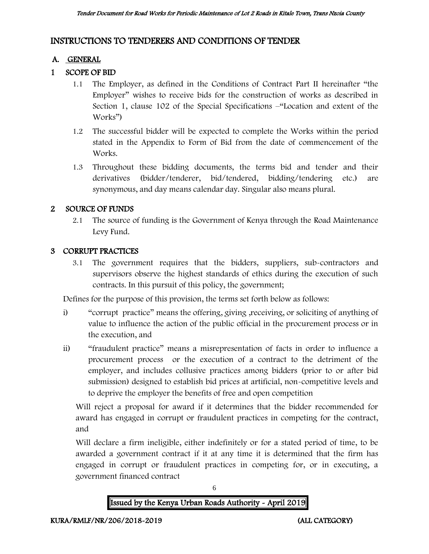## INSTRUCTIONS TO TENDERERS AND CONDITIONS OF TENDER

### A. GENERAL

## 1 SCOPE OF BID

- 1.1 The Employer, as defined in the Conditions of Contract Part II hereinafter "the Employer" wishes to receive bids for the construction of works as described in Section 1, clause 102 of the Special Specifications –"Location and extent of the Works")
- 1.2 The successful bidder will be expected to complete the Works within the period stated in the Appendix to Form of Bid from the date of commencement of the Works.
- 1.3 Throughout these bidding documents, the terms bid and tender and their derivatives (bidder/tenderer, bid/tendered, bidding/tendering etc.) are synonymous, and day means calendar day. Singular also means plural.

### 2 SOURCE OF FUNDS

2.1 The source of funding is the Government of Kenya through the Road Maintenance Levy Fund.

#### 3 CORRUPT PRACTICES

3.1 The government requires that the bidders, suppliers, sub-contractors and supervisors observe the highest standards of ethics during the execution of such contracts. In this pursuit of this policy, the government;

Defines for the purpose of this provision, the terms set forth below as follows:

- i) "corrupt practice" means the offering, giving ,receiving, or soliciting of anything of value to influence the action of the public official in the procurement process or in the execution, and
- ii) "fraudulent practice" means a misrepresentation of facts in order to influence a procurement process or the execution of a contract to the detriment of the employer, and includes collusive practices among bidders (prior to or after bid submission) designed to establish bid prices at artificial, non-competitive levels and to deprive the employer the benefits of free and open competition

Will reject a proposal for award if it determines that the bidder recommended for award has engaged in corrupt or fraudulent practices in competing for the contract, and

Will declare a firm ineligible, either indefinitely or for a stated period of time, to be awarded a government contract if it at any time it is determined that the firm has engaged in corrupt or fraudulent practices in competing for, or in executing, a government financed contract

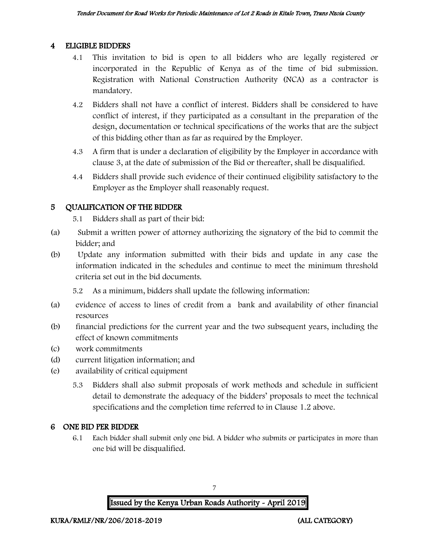#### 4 ELIGIBLE BIDDERS

- 4.1 This invitation to bid is open to all bidders who are legally registered or incorporated in the Republic of Kenya as of the time of bid submission. Registration with National Construction Authority (NCA) as a contractor is mandatory.
- 4.2 Bidders shall not have a conflict of interest. Bidders shall be considered to have conflict of interest, if they participated as a consultant in the preparation of the design, documentation or technical specifications of the works that are the subject of this bidding other than as far as required by the Employer.
- 4.3 A firm that is under a declaration of eligibility by the Employer in accordance with clause 3, at the date of submission of the Bid or thereafter, shall be disqualified.
- 4.4 Bidders shall provide such evidence of their continued eligibility satisfactory to the Employer as the Employer shall reasonably request.

### 5 QUALIFICATION OF THE BIDDER

5.1 Bidders shall as part of their bid:

- (a) Submit a written power of attorney authorizing the signatory of the bid to commit the bidder; and
- (b) Update any information submitted with their bids and update in any case the information indicated in the schedules and continue to meet the minimum threshold criteria set out in the bid documents.

5.2 As a minimum, bidders shall update the following information:

- (a) evidence of access to lines of credit from a bank and availability of other financial resources
- (b) financial predictions for the current year and the two subsequent years, including the effect of known commitments
- (c) work commitments
- (d) current litigation information; and
- (e) availability of critical equipment
	- 5.3 Bidders shall also submit proposals of work methods and schedule in sufficient detail to demonstrate the adequacy of the bidders' proposals to meet the technical specifications and the completion time referred to in Clause 1.2 above.

## 6 ONE BID PER BIDDER

6.1 Each bidder shall submit only one bid. A bidder who submits or participates in more than one bid will be disqualified.

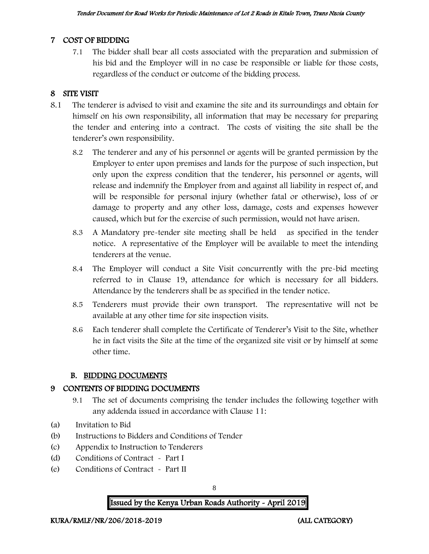#### 7 COST OF BIDDING

7.1 The bidder shall bear all costs associated with the preparation and submission of his bid and the Employer will in no case be responsible or liable for those costs, regardless of the conduct or outcome of the bidding process.

## 8 SITE VISIT

- 8.1 The tenderer is advised to visit and examine the site and its surroundings and obtain for himself on his own responsibility, all information that may be necessary for preparing the tender and entering into a contract. The costs of visiting the site shall be the tenderer's own responsibility.
	- 8.2 The tenderer and any of his personnel or agents will be granted permission by the Employer to enter upon premises and lands for the purpose of such inspection, but only upon the express condition that the tenderer, his personnel or agents, will release and indemnify the Employer from and against all liability in respect of, and will be responsible for personal injury (whether fatal or otherwise), loss of or damage to property and any other loss, damage, costs and expenses however caused, which but for the exercise of such permission, would not have arisen.
	- 8.3 A Mandatory pre-tender site meeting shall be held as specified in the tender notice. A representative of the Employer will be available to meet the intending tenderers at the venue.
	- 8.4 The Employer will conduct a Site Visit concurrently with the pre-bid meeting referred to in Clause 19, attendance for which is necessary for all bidders. Attendance by the tenderers shall be as specified in the tender notice.
	- 8.5 Tenderers must provide their own transport. The representative will not be available at any other time for site inspection visits.
	- 8.6 Each tenderer shall complete the Certificate of Tenderer's Visit to the Site, whether he in fact visits the Site at the time of the organized site visit or by himself at some other time.

#### B. BIDDING DOCUMENTS

#### 9 CONTENTS OF BIDDING DOCUMENTS

- 9.1 The set of documents comprising the tender includes the following together with any addenda issued in accordance with Clause 11:
- (a) Invitation to Bid
- (b) Instructions to Bidders and Conditions of Tender
- (c) Appendix to Instruction to Tenderers
- (d) Conditions of Contract Part I
- (e) Conditions of Contract Part II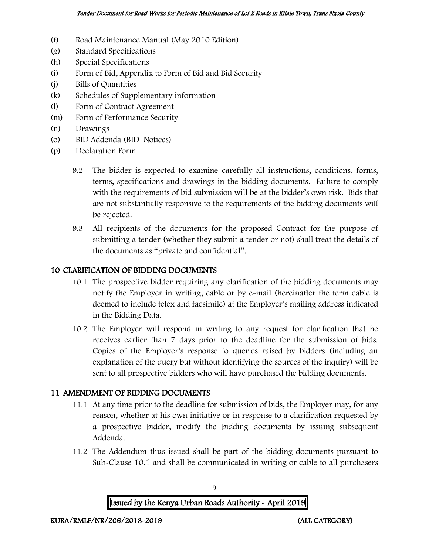- (f) Road Maintenance Manual (May 2010 Edition)
- (g) Standard Specifications
- (h) Special Specifications
- (i) Form of Bid, Appendix to Form of Bid and Bid Security
- (j) Bills of Quantities
- (k) Schedules of Supplementary information
- (l) Form of Contract Agreement
- (m) Form of Performance Security
- (n) Drawings
- (o) BID Addenda (BID Notices)
- (p) Declaration Form
	- 9.2 The bidder is expected to examine carefully all instructions, conditions, forms, terms, specifications and drawings in the bidding documents. Failure to comply with the requirements of bid submission will be at the bidder's own risk. Bids that are not substantially responsive to the requirements of the bidding documents will be rejected.
	- 9.3 All recipients of the documents for the proposed Contract for the purpose of submitting a tender (whether they submit a tender or not) shall treat the details of the documents as "private and confidential".

#### 10 CLARIFICATION OF BIDDING DOCUMENTS

- 10.1 The prospective bidder requiring any clarification of the bidding documents may notify the Employer in writing, cable or by e-mail (hereinafter the term cable is deemed to include telex and facsimile) at the Employer's mailing address indicated in the Bidding Data.
- 10.2 The Employer will respond in writing to any request for clarification that he receives earlier than 7 days prior to the deadline for the submission of bids. Copies of the Employer's response to queries raised by bidders (including an explanation of the query but without identifying the sources of the inquiry) will be sent to all prospective bidders who will have purchased the bidding documents.

#### 11 AMENDMENT OF BIDDING DOCUMENTS

- 11.1 At any time prior to the deadline for submission of bids, the Employer may, for any reason, whether at his own initiative or in response to a clarification requested by a prospective bidder, modify the bidding documents by issuing subsequent Addenda.
- 11.2 The Addendum thus issued shall be part of the bidding documents pursuant to Sub-Clause 10.1 and shall be communicated in writing or cable to all purchasers

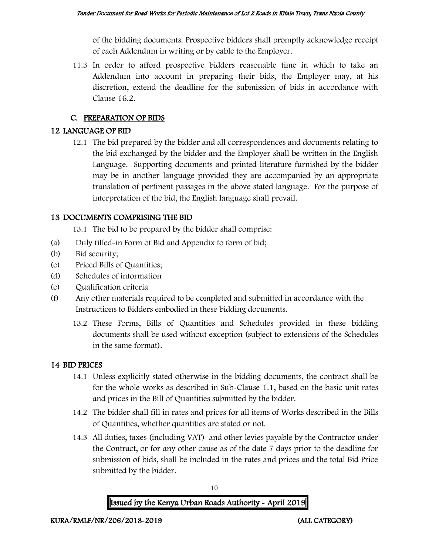of the bidding documents. Prospective bidders shall promptly acknowledge receipt of each Addendum in writing or by cable to the Employer.

11.3 In order to afford prospective bidders reasonable time in which to take an Addendum into account in preparing their bids, the Employer may, at his discretion, extend the deadline for the submission of bids in accordance with Clause 16.2.

## C. PREPARATION OF BIDS

## 12 LANGUAGE OF BID

12.1 The bid prepared by the bidder and all correspondences and documents relating to the bid exchanged by the bidder and the Employer shall be written in the English Language. Supporting documents and printed literature furnished by the bidder may be in another language provided they are accompanied by an appropriate translation of pertinent passages in the above stated language. For the purpose of interpretation of the bid, the English language shall prevail.

## 13 DOCUMENTS COMPRISING THE BID

13.1 The bid to be prepared by the bidder shall comprise:

- (a) Duly filled-in Form of Bid and Appendix to form of bid;
- (b) Bid security;
- (c) Priced Bills of Quantities;
- (d) Schedules of information
- (e) Qualification criteria
- (f) Any other materials required to be completed and submitted in accordance with the Instructions to Bidders embodied in these bidding documents.
	- 13.2 These Forms, Bills of Quantities and Schedules provided in these bidding documents shall be used without exception (subject to extensions of the Schedules in the same format).

#### 14 BID PRICES

- 14.1 Unless explicitly stated otherwise in the bidding documents, the contract shall be for the whole works as described in Sub-Clause 1.1, based on the basic unit rates and prices in the Bill of Quantities submitted by the bidder.
- 14.2 The bidder shall fill in rates and prices for all items of Works described in the Bills of Quantities, whether quantities are stated or not.
- 14.3 All duties, taxes (including VAT) and other levies payable by the Contractor under the Contract, or for any other cause as of the date 7 days prior to the deadline for submission of bids, shall be included in the rates and prices and the total Bid Price submitted by the bidder.

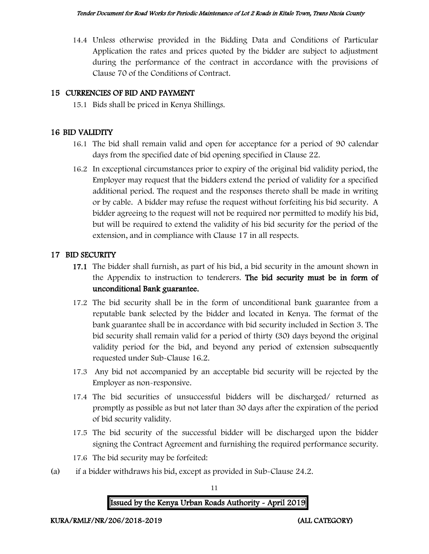14.4 Unless otherwise provided in the Bidding Data and Conditions of Particular Application the rates and prices quoted by the bidder are subject to adjustment during the performance of the contract in accordance with the provisions of Clause 70 of the Conditions of Contract.

## 15 CURRENCIES OF BID AND PAYMENT

15.1 Bids shall be priced in Kenya Shillings.

#### 16 BID VALIDITY

- 16.1 The bid shall remain valid and open for acceptance for a period of 90 calendar days from the specified date of bid opening specified in Clause 22.
- 16.2 In exceptional circumstances prior to expiry of the original bid validity period, the Employer may request that the bidders extend the period of validity for a specified additional period. The request and the responses thereto shall be made in writing or by cable. A bidder may refuse the request without forfeiting his bid security. A bidder agreeing to the request will not be required nor permitted to modify his bid, but will be required to extend the validity of his bid security for the period of the extension, and in compliance with Clause 17 in all respects.

### 17 BID SECURITY

- 17.1 The bidder shall furnish, as part of his bid, a bid security in the amount shown in the Appendix to instruction to tenderers. The bid security must be in form of unconditional Bank guarantee.
- 17.2 The bid security shall be in the form of unconditional bank guarantee from a reputable bank selected by the bidder and located in Kenya. The format of the bank guarantee shall be in accordance with bid security included in Section 3. The bid security shall remain valid for a period of thirty (30) days beyond the original validity period for the bid, and beyond any period of extension subsequently requested under Sub-Clause 16.2.
- 17.3 Any bid not accompanied by an acceptable bid security will be rejected by the Employer as non-responsive.
- 17.4 The bid securities of unsuccessful bidders will be discharged/ returned as promptly as possible as but not later than 30 days after the expiration of the period of bid security validity.
- 17.5 The bid security of the successful bidder will be discharged upon the bidder signing the Contract Agreement and furnishing the required performance security.
- 17.6 The bid security may be forfeited:
- (a) if a bidder withdraws his bid, except as provided in Sub-Clause 24.2.

11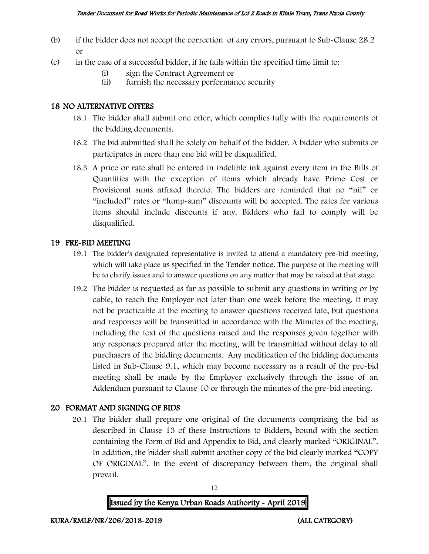- (b) if the bidder does not accept the correction of any errors, pursuant to Sub-Clause 28.2 or
- (c) in the case of a successful bidder, if he fails within the specified time limit to:
	- (i) sign the Contract Agreement or
	- (ii) furnish the necessary performance security

#### 18 NO ALTERNATIVE OFFERS

- 18.1 The bidder shall submit one offer, which complies fully with the requirements of the bidding documents.
- 18.2 The bid submitted shall be solely on behalf of the bidder. A bidder who submits or participates in more than one bid will be disqualified.
- 18.3 A price or rate shall be entered in indelible ink against every item in the Bills of Quantities with the exception of items which already have Prime Cost or Provisional sums affixed thereto. The bidders are reminded that no "nil" or "included" rates or "lump-sum" discounts will be accepted. The rates for various items should include discounts if any. Bidders who fail to comply will be disqualified.

#### 19 PRE-BID MEETING

- 19.1 The bidder's designated representative is invited to attend a mandatory pre-bid meeting, which will take place as specified in the Tender notice. The purpose of the meeting will be to clarify issues and to answer questions on any matter that may be raised at that stage.
- 19.2 The bidder is requested as far as possible to submit any questions in writing or by cable, to reach the Employer not later than one week before the meeting. It may not be practicable at the meeting to answer questions received late, but questions and responses will be transmitted in accordance with the Minutes of the meeting, including the text of the questions raised and the responses given together with any responses prepared after the meeting, will be transmitted without delay to all purchasers of the bidding documents. Any modification of the bidding documents listed in Sub-Clause 9.1, which may become necessary as a result of the pre-bid meeting shall be made by the Employer exclusively through the issue of an Addendum pursuant to Clause 10 or through the minutes of the pre-bid meeting.

#### 20 FORMAT AND SIGNING OF BIDS

20.1 The bidder shall prepare one original of the documents comprising the bid as described in Clause 13 of these Instructions to Bidders, bound with the section containing the Form of Bid and Appendix to Bid, and clearly marked "ORIGINAL". In addition, the bidder shall submit another copy of the bid clearly marked "COPY OF ORIGINAL". In the event of discrepancy between them, the original shall prevail.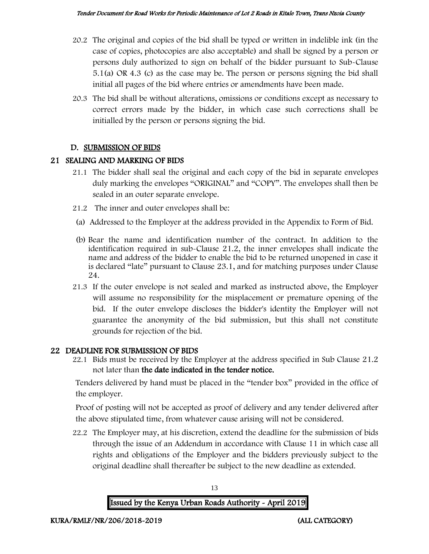- 20.2 The original and copies of the bid shall be typed or written in indelible ink (in the case of copies, photocopies are also acceptable) and shall be signed by a person or persons duly authorized to sign on behalf of the bidder pursuant to Sub-Clause 5.1(a) OR 4.3 (c) as the case may be. The person or persons signing the bid shall initial all pages of the bid where entries or amendments have been made.
- 20.3 The bid shall be without alterations, omissions or conditions except as necessary to correct errors made by the bidder, in which case such corrections shall be initialled by the person or persons signing the bid.

#### D. SUBMISSION OF BIDS

### 21 SEALING AND MARKING OF BIDS

- 21.1 The bidder shall seal the original and each copy of the bid in separate envelopes duly marking the envelopes "ORIGINAL" and "COPY". The envelopes shall then be sealed in an outer separate envelope.
- 21.2 The inner and outer envelopes shall be:
- (a) Addressed to the Employer at the address provided in the Appendix to Form of Bid.
- (b) Bear the name and identification number of the contract. In addition to the identification required in sub-Clause 21.2, the inner envelopes shall indicate the name and address of the bidder to enable the bid to be returned unopened in case it is declared "late" pursuant to Clause 23.1, and for matching purposes under Clause 24.
- 21.3 If the outer envelope is not sealed and marked as instructed above, the Employer will assume no responsibility for the misplacement or premature opening of the bid. If the outer envelope discloses the bidder's identity the Employer will not guarantee the anonymity of the bid submission, but this shall not constitute grounds for rejection of the bid.

## 22 DEADLINE FOR SUBMISSION OF BIDS

22.1 Bids must be received by the Employer at the address specified in Sub Clause 21.2 not later than the date indicated in the tender notice.

Tenders delivered by hand must be placed in the "tender box" provided in the office of the employer.

Proof of posting will not be accepted as proof of delivery and any tender delivered after the above stipulated time, from whatever cause arising will not be considered.

22.2 The Employer may, at his discretion, extend the deadline for the submission of bids through the issue of an Addendum in accordance with Clause 11 in which case all rights and obligations of the Employer and the bidders previously subject to the original deadline shall thereafter be subject to the new deadline as extended.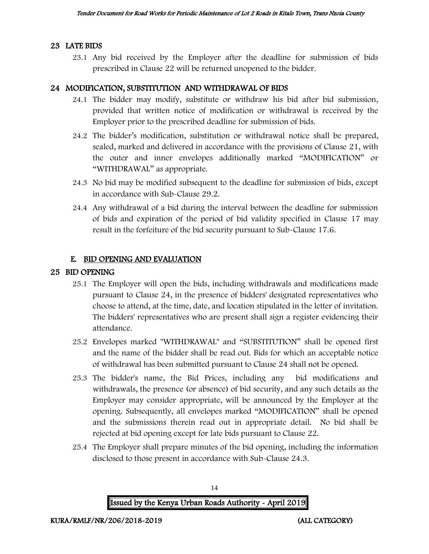#### 23 LATE BIDS

23.1 Any bid received by the Employer after the deadline for submission of bids prescribed in Clause 22 will be returned unopened to the bidder.

#### 24 MODIFICATION, SUBSTITUTION AND WITHDRAWAL OF BIDS

- 24.1 The bidder may modify, substitute or withdraw his bid after bid submission, provided that written notice of modification or withdrawal is received by the Employer prior to the prescribed deadline for submission of bids.
- 24.2 The bidder's modification, substitution or withdrawal notice shall be prepared, sealed, marked and delivered in accordance with the provisions of Clause 21, with the outer and inner envelopes additionally marked "MODIFICATION" or "WITHDRAWAL" as appropriate.
- 24.3 No bid may be modified subsequent to the deadline for submission of bids, except in accordance with Sub-Clause 29.2.
- 24.4 Any withdrawal of a bid during the interval between the deadline for submission of bids and expiration of the period of bid validity specified in Clause 17 may result in the forfeiture of the bid security pursuant to Sub-Clause 17.6.

#### E. BID OPENING AND EVALUATION

#### 25 BID OPENING

- 25.1 The Employer will open the bids, including withdrawals and modifications made pursuant to Clause 24, in the presence of bidders' designated representatives who choose to attend, at the time, date, and location stipulated in the letter of invitation. The bidders' representatives who are present shall sign a register evidencing their attendance.
- 25.2 Envelopes marked "WITHDRAWAL" and "SUBSTITUTION" shall be opened first and the name of the bidder shall be read out. Bids for which an acceptable notice of withdrawal has been submitted pursuant to Clause 24 shall not be opened.
- 25.3 The bidder's name, the Bid Prices, including any bid modifications and withdrawals, the presence (or absence) of bid security, and any such details as the Employer may consider appropriate, will be announced by the Employer at the opening. Subsequently, all envelopes marked "MODIFICATION" shall be opened and the submissions therein read out in appropriate detail. No bid shall be rejected at bid opening except for late bids pursuant to Clause 22.
- 25.4 The Employer shall prepare minutes of the bid opening, including the information disclosed to those present in accordance with Sub-Clause 24.3.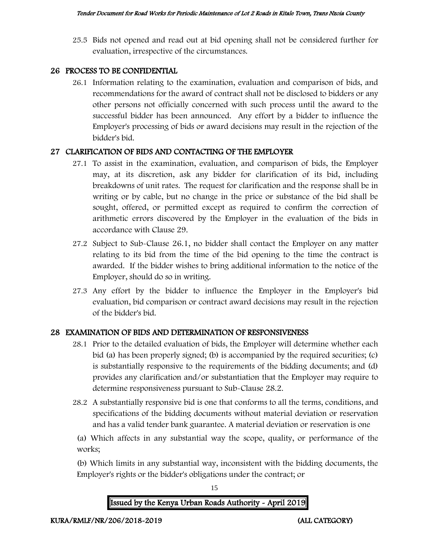25.5 Bids not opened and read out at bid opening shall not be considered further for evaluation, irrespective of the circumstances.

#### 26 PROCESS TO BE CONFIDENTIAL

26.1 Information relating to the examination, evaluation and comparison of bids, and recommendations for the award of contract shall not be disclosed to bidders or any other persons not officially concerned with such process until the award to the successful bidder has been announced. Any effort by a bidder to influence the Employer's processing of bids or award decisions may result in the rejection of the bidder's bid.

### 27 CLARIFICATION OF BIDS AND CONTACTING OF THE EMPLOYER

- 27.1 To assist in the examination, evaluation, and comparison of bids, the Employer may, at its discretion, ask any bidder for clarification of its bid, including breakdowns of unit rates. The request for clarification and the response shall be in writing or by cable, but no change in the price or substance of the bid shall be sought, offered, or permitted except as required to confirm the correction of arithmetic errors discovered by the Employer in the evaluation of the bids in accordance with Clause 29.
- 27.2 Subject to Sub-Clause 26.1, no bidder shall contact the Employer on any matter relating to its bid from the time of the bid opening to the time the contract is awarded. If the bidder wishes to bring additional information to the notice of the Employer, should do so in writing.
- 27.3 Any effort by the bidder to influence the Employer in the Employer's bid evaluation, bid comparison or contract award decisions may result in the rejection of the bidder's bid.

## 28 EXAMINATION OF BIDS AND DETERMINATION OF RESPONSIVENESS

- 28.1 Prior to the detailed evaluation of bids, the Employer will determine whether each bid (a) has been properly signed; (b) is accompanied by the required securities; (c) is substantially responsive to the requirements of the bidding documents; and (d) provides any clarification and/or substantiation that the Employer may require to determine responsiveness pursuant to Sub-Clause 28.2.
- 28.2 A substantially responsive bid is one that conforms to all the terms, conditions, and specifications of the bidding documents without material deviation or reservation and has a valid tender bank guarantee. A material deviation or reservation is one

(a) Which affects in any substantial way the scope, quality, or performance of the works;

(b) Which limits in any substantial way, inconsistent with the bidding documents, the Employer's rights or the bidder's obligations under the contract; or

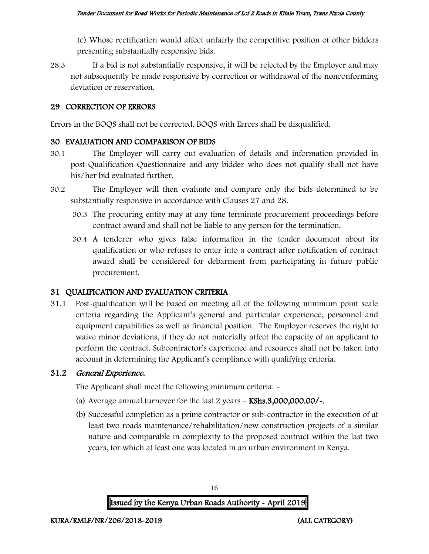(c) Whose rectification would affect unfairly the competitive position of other bidders presenting substantially responsive bids.

28.3 If a bid is not substantially responsive, it will be rejected by the Employer and may not subsequently be made responsive by correction or withdrawal of the nonconforming deviation or reservation.

#### 29 CORRECTION OF ERRORS

Errors in the BOQS shall not be corrected. BOQS with Errors shall be disqualified.

#### 30 EVALUATION AND COMPARISON OF BIDS

- 30.1 The Employer will carry out evaluation of details and information provided in post-Qualification Questionnaire and any bidder who does not qualify shall not have his/her bid evaluated further.
- 30.2 The Employer will then evaluate and compare only the bids determined to be substantially responsive in accordance with Clauses 27 and 28.
	- 30.3 The procuring entity may at any time terminate procurement proceedings before contract award and shall not be liable to any person for the termination.
	- 30.4 A tenderer who gives false information in the tender document about its qualification or who refuses to enter into a contract after notification of contract award shall be considered for debarment from participating in future public procurement.

#### 31 QUALIFICATION AND EVALUATION CRITERIA

31.1 Post-qualification will be based on meeting all of the following minimum point scale criteria regarding the Applicant's general and particular experience, personnel and equipment capabilities as well as financial position. The Employer reserves the right to waive minor deviations, if they do not materially affect the capacity of an applicant to perform the contract. Subcontractor's experience and resources shall not be taken into account in determining the Applicant's compliance with qualifying criteria.

#### 31.2 General Experience.

The Applicant shall meet the following minimum criteria: -

- (a) Average annual turnover for the last  $2$  years  $-$  KShs.3,000,000.00/ $\sim$ .
- (b) Successful completion as a prime contractor or sub-contractor in the execution of at least two roads maintenance/rehabilitation/new construction projects of a similar nature and comparable in complexity to the proposed contract within the last two years, for which at least one was located in an urban environment in Kenya.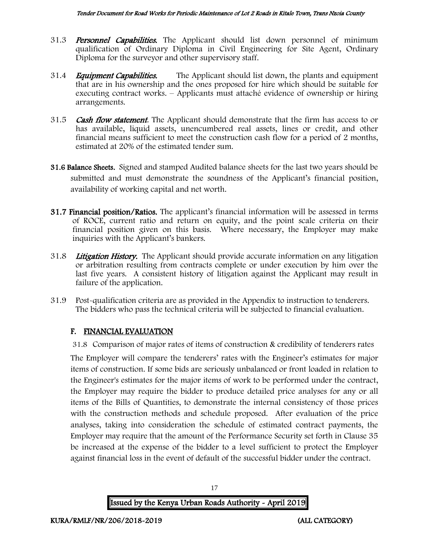- 31.3 **Personnel Capabilities.** The Applicant should list down personnel of minimum qualification of Ordinary Diploma in Civil Engineering for Site Agent, Ordinary Diploma for the surveyor and other supervisory staff.
- 31.4 *Equipment Capabilities.* The Applicant should list down, the plants and equipment that are in his ownership and the ones proposed for hire which should be suitable for executing contract works. – Applicants must attaché evidence of ownership or hiring arrangements.
- 31.5 **Cash flow statement**. The Applicant should demonstrate that the firm has access to or has available, liquid assets, unencumbered real assets, lines or credit, and other financial means sufficient to meet the construction cash flow for a period of 2 months, estimated at 20% of the estimated tender sum.
- 31.6 Balance Sheets. Signed and stamped Audited balance sheets for the last two years should be submitted and must demonstrate the soundness of the Applicant's financial position, availability of working capital and net worth.
- 31.7 Financial position/Ratios. The applicant's financial information will be assessed in terms of ROCE, current ratio and return on equity, and the point scale criteria on their financial position given on this basis. Where necessary, the Employer may make inquiries with the Applicant's bankers.
- 31.8 Litigation History. The Applicant should provide accurate information on any litigation or arbitration resulting from contracts complete or under execution by him over the last five years. A consistent history of litigation against the Applicant may result in failure of the application.
- 31.9 Post-qualification criteria are as provided in the Appendix to instruction to tenderers. The bidders who pass the technical criteria will be subjected to financial evaluation.

## F. FINANCIAL EVALUATION

31.8 Comparison of major rates of items of construction & credibility of tenderers rates

The Employer will compare the tenderers' rates with the Engineer's estimates for major items of construction. If some bids are seriously unbalanced or front loaded in relation to the Engineer's estimates for the major items of work to be performed under the contract, the Employer may require the bidder to produce detailed price analyses for any or all items of the Bills of Quantities, to demonstrate the internal consistency of those prices with the construction methods and schedule proposed. After evaluation of the price analyses, taking into consideration the schedule of estimated contract payments, the Employer may require that the amount of the Performance Security set forth in Clause 35 be increased at the expense of the bidder to a level sufficient to protect the Employer against financial loss in the event of default of the successful bidder under the contract.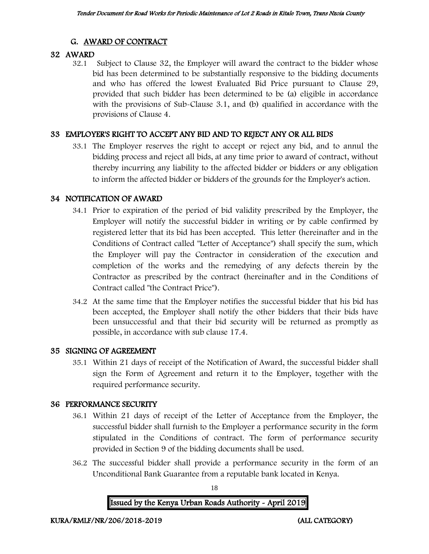## G. AWARD OF CONTRACT

## 32 AWARD

32.1 Subject to Clause 32, the Employer will award the contract to the bidder whose bid has been determined to be substantially responsive to the bidding documents and who has offered the lowest Evaluated Bid Price pursuant to Clause 29, provided that such bidder has been determined to be (a) eligible in accordance with the provisions of Sub-Clause 3.1, and (b) qualified in accordance with the provisions of Clause 4.

## 33 EMPLOYER'S RIGHT TO ACCEPT ANY BID AND TO REJECT ANY OR ALL BIDS

33.1 The Employer reserves the right to accept or reject any bid, and to annul the bidding process and reject all bids, at any time prior to award of contract, without thereby incurring any liability to the affected bidder or bidders or any obligation to inform the affected bidder or bidders of the grounds for the Employer's action.

### 34 NOTIFICATION OF AWARD

- 34.1 Prior to expiration of the period of bid validity prescribed by the Employer, the Employer will notify the successful bidder in writing or by cable confirmed by registered letter that its bid has been accepted. This letter (hereinafter and in the Conditions of Contract called "Letter of Acceptance") shall specify the sum, which the Employer will pay the Contractor in consideration of the execution and completion of the works and the remedying of any defects therein by the Contractor as prescribed by the contract (hereinafter and in the Conditions of Contract called "the Contract Price").
- 34.2 At the same time that the Employer notifies the successful bidder that his bid has been accepted, the Employer shall notify the other bidders that their bids have been unsuccessful and that their bid security will be returned as promptly as possible, in accordance with sub clause 17.4.

## 35 SIGNING OF AGREEMENT

35.1 Within 21 days of receipt of the Notification of Award, the successful bidder shall sign the Form of Agreement and return it to the Employer, together with the required performance security.

## 36 PERFORMANCE SECURITY

- 36.1 Within 21 days of receipt of the Letter of Acceptance from the Employer, the successful bidder shall furnish to the Employer a performance security in the form stipulated in the Conditions of contract. The form of performance security provided in Section 9 of the bidding documents shall be used.
- 36.2 The successful bidder shall provide a performance security in the form of an Unconditional Bank Guarantee from a reputable bank located in Kenya.

18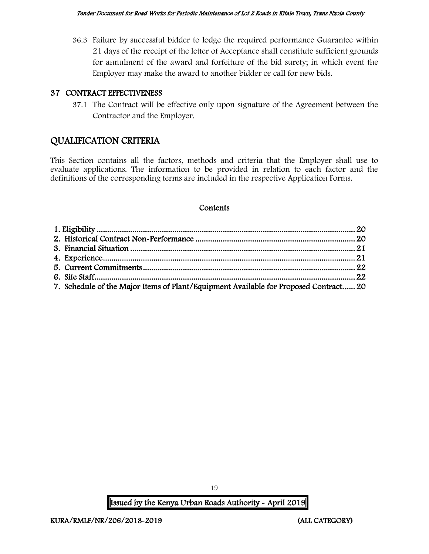36.3 Failure by successful bidder to lodge the required performance Guarantee within 21 days of the receipt of the letter of Acceptance shall constitute sufficient grounds for annulment of the award and forfeiture of the bid surety; in which event the Employer may make the award to another bidder or call for new bids.

#### 37 CONTRACT EFFECTIVENESS

37.1 The Contract will be effective only upon signature of the Agreement between the Contractor and the Employer.

## QUALIFICATION CRITERIA

This Section contains all the factors, methods and criteria that the Employer shall use to evaluate applications. The information to be provided in relation to each factor and the definitions of the corresponding terms are included in the respective Application Forms.

#### **Contents**

| 7. Schedule of the Major Items of Plant/Equipment Available for Proposed Contract 20 |  |
|--------------------------------------------------------------------------------------|--|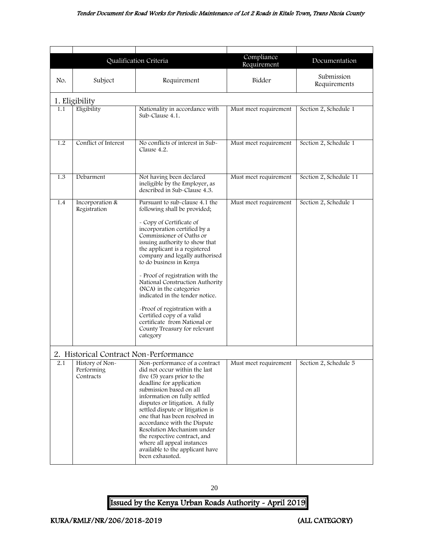#### Tender Document for Road Works for Periodic Maintenance of Lot 2 Roads in Kitale Town, Trans Nzoia County

<span id="page-20-2"></span><span id="page-20-0"></span>

|                |                                                                                      | Qualification Criteria                                                                                                                                                                                                                                                                                                                                                                                                                                                                                                                                                | Compliance<br>Requirement | Documentation              |
|----------------|--------------------------------------------------------------------------------------|-----------------------------------------------------------------------------------------------------------------------------------------------------------------------------------------------------------------------------------------------------------------------------------------------------------------------------------------------------------------------------------------------------------------------------------------------------------------------------------------------------------------------------------------------------------------------|---------------------------|----------------------------|
| No.            | Subject                                                                              | Requirement                                                                                                                                                                                                                                                                                                                                                                                                                                                                                                                                                           | Bidder                    | Submission<br>Requirements |
| 1. Eligibility |                                                                                      |                                                                                                                                                                                                                                                                                                                                                                                                                                                                                                                                                                       |                           |                            |
| 1.1            | Eligibility                                                                          | Nationality in accordance with<br>Sub-Clause 4.1.                                                                                                                                                                                                                                                                                                                                                                                                                                                                                                                     | Must meet requirement     | Section 2, Schedule 1      |
| 1.2            | Conflict of Interest                                                                 | No conflicts of interest in Sub-<br>Clause 4.2.                                                                                                                                                                                                                                                                                                                                                                                                                                                                                                                       | Must meet requirement     | Section 2, Schedule 1      |
| 1.3            | Debarment                                                                            | Not having been declared<br>ineligible by the Employer, as<br>described in Sub-Clause 4.3.                                                                                                                                                                                                                                                                                                                                                                                                                                                                            | Must meet requirement     | Section 2, Schedule 11     |
| 1.4            | Incorporation &<br>Registration                                                      | Pursuant to sub-clause 4.1 the<br>following shall be provided;<br>- Copy of Certificate of<br>incorporation certified by a<br>Commissioner of Oaths or<br>issuing authority to show that<br>the applicant is a registered<br>company and legally authorised<br>to do business in Kenya<br>- Proof of registration with the<br>National Construction Authority<br>(NCA) in the categories<br>indicated in the tender notice.<br>-Proof of registration with a<br>Certified copy of a valid<br>certificate from National or<br>County Treasury for relevant<br>category | Must meet requirement     | Section 2, Schedule 1      |
| 2.1            | 2. Historical Contract Non-Performance<br>History of Non-<br>Performing<br>Contracts | Non-performance of a contract<br>did not occur within the last<br>five (5) years prior to the<br>deadline for application<br>submission based on all<br>information on fully settled<br>disputes or litigation. A fully<br>settled dispute or litigation is<br>one that has been resolved in<br>accordance with the Dispute<br>Resolution Mechanism under<br>the respective contract, and<br>where all appeal instances<br>available to the applicant have<br>been exhausted.                                                                                         | Must meet requirement     | Section 2, Schedule 5      |

<span id="page-20-1"></span>20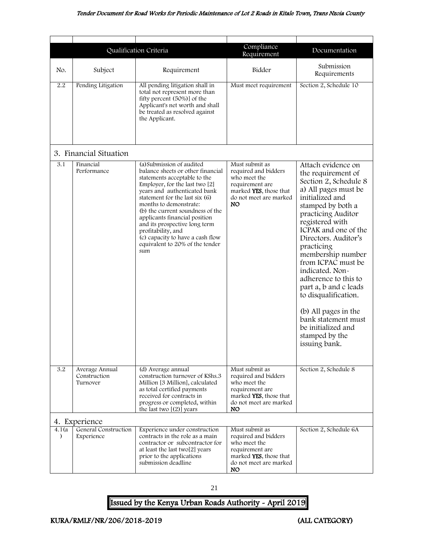<span id="page-21-1"></span><span id="page-21-0"></span>

|                     |                                            | Qualification Criteria                                                                                                                                                                                                                                                                                                                                                                                                                 | Compliance<br>Requirement                                                                                                                  | Documentation                                                                                                                                                                                                                                                                                                                                                                                                                                                                           |
|---------------------|--------------------------------------------|----------------------------------------------------------------------------------------------------------------------------------------------------------------------------------------------------------------------------------------------------------------------------------------------------------------------------------------------------------------------------------------------------------------------------------------|--------------------------------------------------------------------------------------------------------------------------------------------|-----------------------------------------------------------------------------------------------------------------------------------------------------------------------------------------------------------------------------------------------------------------------------------------------------------------------------------------------------------------------------------------------------------------------------------------------------------------------------------------|
| No.                 | Subject                                    | Requirement                                                                                                                                                                                                                                                                                                                                                                                                                            | Bidder                                                                                                                                     | Submission<br>Requirements                                                                                                                                                                                                                                                                                                                                                                                                                                                              |
| 2.2                 | Pending Litigation                         | All pending litigation shall in<br>total not represent more than<br>fifty percent (50%)] of the<br>Applicant's net worth and shall<br>be treated as resolved against<br>the Applicant.                                                                                                                                                                                                                                                 | Must meet requirement                                                                                                                      | Section 2, Schedule 10                                                                                                                                                                                                                                                                                                                                                                                                                                                                  |
|                     | 3. Financial Situation                     |                                                                                                                                                                                                                                                                                                                                                                                                                                        |                                                                                                                                            |                                                                                                                                                                                                                                                                                                                                                                                                                                                                                         |
| 3.1                 | Financial<br>Performance                   | (a) Submission of audited<br>balance sheets or other financial<br>statements acceptable to the<br>Employer, for the last two [2]<br>years and authenticated bank<br>statement for the last six (6)<br>months to demonstrate:<br>(b) the current soundness of the<br>applicants financial position<br>and its prospective long term<br>profitability, and<br>(c) capacity to have a cash flow<br>equivalent to 20% of the tender<br>sum | Must submit as<br>required and bidders<br>who meet the<br>requirement are<br>marked YES, those that<br>do not meet are marked<br><b>NO</b> | Attach evidence on<br>the requirement of<br>Section 2, Schedule 8<br>a) All pages must be<br>initialized and<br>stamped by both a<br>practicing Auditor<br>registered with<br>ICPAK and one of the<br>Directors. Auditor's<br>practicing<br>membership number<br>from ICPAC must be<br>indicated. Non-<br>adherence to this to<br>part a, b and c leads<br>to disqualification.<br>(b) All pages in the<br>bank statement must<br>be initialized and<br>stamped by the<br>issuing bank. |
| 3.2                 | Average Annual<br>Construction<br>Turnover | (d) Average annual<br>construction turnover of KShs.3<br>Million [3 Million], calculated<br>as total certified payments<br>received for contracts in<br>progress or completed, within<br>the last two $[(2)]$ years                                                                                                                                                                                                                    | Must submit as<br>required and bidders<br>who meet the<br>requirement are<br>marked YES, those that<br>do not meet are marked<br>NO.       | Section 2, Schedule 8                                                                                                                                                                                                                                                                                                                                                                                                                                                                   |
|                     | 4. Experience                              |                                                                                                                                                                                                                                                                                                                                                                                                                                        |                                                                                                                                            |                                                                                                                                                                                                                                                                                                                                                                                                                                                                                         |
| 4.1 (a<br>$\lambda$ | General Construction<br>Experience         | Experience under construction<br>contracts in the role as a main<br>contractor or subcontractor for<br>at least the last two[2] years<br>prior to the applications<br>submission deadline                                                                                                                                                                                                                                              | Must submit as<br>required and bidders<br>who meet the<br>requirement are<br>marked YES, those that<br>do not meet are marked<br>NO.       | Section 2, Schedule 6A                                                                                                                                                                                                                                                                                                                                                                                                                                                                  |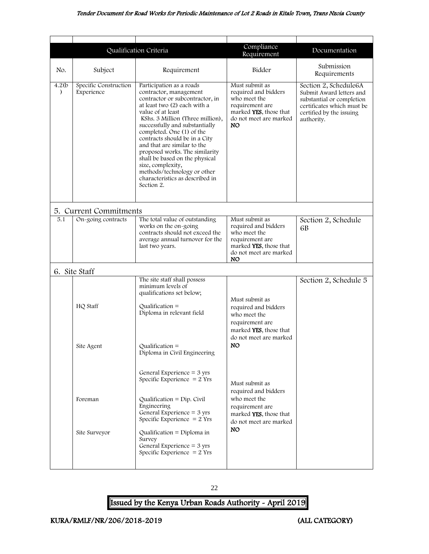<span id="page-22-1"></span><span id="page-22-0"></span>

|                         | Qualification Criteria              |                                                                                                                                                                                                                                                                                                                                                                                                                                                                                        | Compliance<br>Requirement                                                                                                            | Documentation                                                                                                                                          |
|-------------------------|-------------------------------------|----------------------------------------------------------------------------------------------------------------------------------------------------------------------------------------------------------------------------------------------------------------------------------------------------------------------------------------------------------------------------------------------------------------------------------------------------------------------------------------|--------------------------------------------------------------------------------------------------------------------------------------|--------------------------------------------------------------------------------------------------------------------------------------------------------|
| No.                     | Subject                             | Requirement                                                                                                                                                                                                                                                                                                                                                                                                                                                                            | Bidder                                                                                                                               | Submission<br>Requirements                                                                                                                             |
| 4.2(b)<br>$\mathcal{E}$ | Specific Construction<br>Experience | Participation as a roads<br>contractor, management<br>contractor or subcontractor, in<br>at least two (2) each with a<br>value of at least<br>KShs. 3 Million (Three million),<br>successfully and substantially<br>completed. One (1) of the<br>contracts should be in a City<br>and that are similar to the<br>proposed works. The similarity<br>shall be based on the physical<br>size, complexity,<br>methods/technology or other<br>characteristics as described in<br>Section 2. | Must submit as<br>required and bidders<br>who meet the<br>requirement are<br>marked YES, those that<br>do not meet are marked<br>NO. | Section 2, Schedule6A<br>Submit Award letters and<br>substantial or completion<br>certificates which must be<br>certified by the issuing<br>authority. |
|                         | 5. Current Commitments              |                                                                                                                                                                                                                                                                                                                                                                                                                                                                                        |                                                                                                                                      |                                                                                                                                                        |
| 5.1                     | On-going contracts                  | The total value of outstanding<br>works on the on-going<br>contracts should not exceed the<br>average annual turnover for the<br>last two years.                                                                                                                                                                                                                                                                                                                                       | Must submit as<br>required and bidders<br>who meet the<br>requirement are<br>marked YES, those that<br>do not meet are marked<br>NO. | Section 2, Schedule<br>6 <sub>B</sub>                                                                                                                  |
|                         | 6. Site Staff                       |                                                                                                                                                                                                                                                                                                                                                                                                                                                                                        |                                                                                                                                      |                                                                                                                                                        |
|                         | HQ Staff<br>Site Agent              | The site staff shall possess<br>minimum levels of<br>qualifications set below;<br>Qualification $=$<br>Diploma in relevant field<br>$Qualification =$<br>Diploma in Civil Engineering                                                                                                                                                                                                                                                                                                  | Must submit as<br>required and bidders<br>who meet the<br>requirement are<br>marked YES, those that<br>do not meet are marked<br>NO. | Section 2, Schedule 5                                                                                                                                  |
|                         | Foreman<br>Site Surveyor            | General Experience = $3 \text{ yrs}$<br>Specific Experience $= 2$ Yrs<br>Qualification = $Dip$ . Civil<br>Engineering<br>General Experience = $3 \text{ yrs}$<br>Specific Experience $= 2$ Yrs<br>Qualification = Diploma in<br>Survey<br>General Experience = $3$ yrs<br>Specific Experience $= 2$ Yrs                                                                                                                                                                                | Must submit as<br>required and bidders<br>who meet the<br>requirement are<br>marked YES, those that<br>do not meet are marked<br>NO. |                                                                                                                                                        |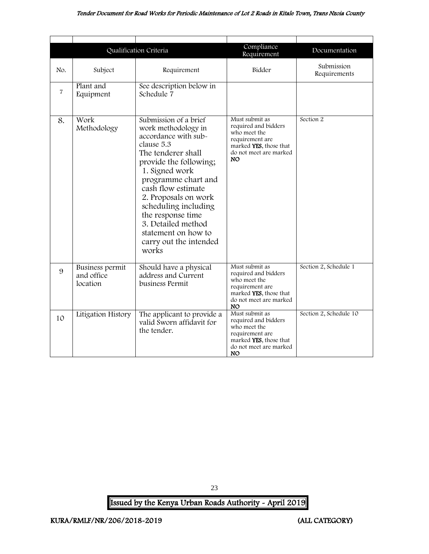#### Tender Document for Road Works for Periodic Maintenance of Lot 2 Roads in Kitale Town, Trans Nzoia County

|                |                                                  | Qualification Criteria                                                                                                                                                                                                                                                                                                                                 | Compliance<br>Requirement                                                                                                                          | Documentation              |
|----------------|--------------------------------------------------|--------------------------------------------------------------------------------------------------------------------------------------------------------------------------------------------------------------------------------------------------------------------------------------------------------------------------------------------------------|----------------------------------------------------------------------------------------------------------------------------------------------------|----------------------------|
| No.            | Subject                                          | Requirement                                                                                                                                                                                                                                                                                                                                            | Bidder                                                                                                                                             | Submission<br>Requirements |
| $\overline{7}$ | Plant and<br>Equipment                           | See description below in<br>Schedule 7                                                                                                                                                                                                                                                                                                                 |                                                                                                                                                    |                            |
| 8.             | Work<br>Methodology                              | Submission of a brief<br>work methodology in<br>accordance with sub-<br>clause 5.3<br>The tenderer shall<br>provide the following;<br>1. Signed work<br>programme chart and<br>cash flow estimate<br>2. Proposals on work<br>scheduling including<br>the response time<br>3. Detailed method<br>statement on how to<br>carry out the intended<br>works | Must submit as<br>required and bidders<br>who meet the<br>requirement are<br>marked <b>YES</b> , those that<br>do not meet are marked<br><b>NO</b> | Section 2                  |
| 9              | <b>Business permit</b><br>and office<br>location | Should have a physical<br>address and Current<br>business Permit                                                                                                                                                                                                                                                                                       | Must submit as<br>required and bidders<br>who meet the<br>requirement are<br>marked YES, those that<br>do not meet are marked<br>NO.               | Section 2, Schedule 1      |
| 10             | Litigation History                               | The applicant to provide a<br>valid Sworn affidavit for<br>the tender.                                                                                                                                                                                                                                                                                 | Must submit as<br>required and bidders<br>who meet the<br>requirement are<br>marked YES, those that<br>do not meet are marked<br>NO.               | Section 2, Schedule 10     |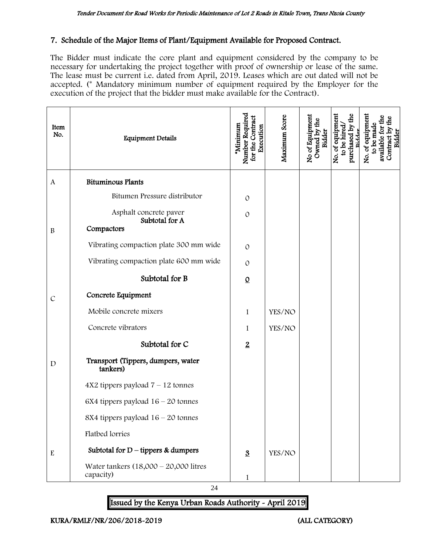#### 7. Schedule of the Major Items of Plant/Equipment Available for Proposed Contract.

The Bidder must indicate the core plant and equipment considered by the company to be necessary for undertaking the project together with proof of ownership or lease of the same. The lease must be current i.e. dated from April, 2019. Leases which are out dated will not be accepted. (\* Mandatory minimum number of equipment required by the Employer for the execution of the project that the bidder must make available for the Contract).

| Item<br>No.   | <b>Equipment Details</b>                               | Number Required<br>for the Contract<br>*Minimum<br>Execution | Maximum Score | No of Equipment<br>Owned by the<br>Bidder | purchased by the<br>No. of equipment<br>to be hired<br>Bidder | No. of equipment<br>to be made<br>available for<br>Contract by<br>Bidder |
|---------------|--------------------------------------------------------|--------------------------------------------------------------|---------------|-------------------------------------------|---------------------------------------------------------------|--------------------------------------------------------------------------|
| $\mathbf{A}$  | <b>Bituminous Plants</b>                               |                                                              |               |                                           |                                                               |                                                                          |
|               | Bitumen Pressure distributor                           | $\mathcal{O}$                                                |               |                                           |                                                               |                                                                          |
| $\, {\bf B}$  | Asphalt concrete paver<br>Subtotal for A<br>Compactors | $\mathcal{O}$                                                |               |                                           |                                                               |                                                                          |
|               | Vibrating compaction plate 300 mm wide                 | $\Omega$                                                     |               |                                           |                                                               |                                                                          |
|               | Vibrating compaction plate 600 mm wide                 | $\mathcal{O}$                                                |               |                                           |                                                               |                                                                          |
|               | Subtotal for B                                         | $\underline{0}$                                              |               |                                           |                                                               |                                                                          |
| $\mathcal{C}$ | Concrete Equipment                                     |                                                              |               |                                           |                                                               |                                                                          |
|               | Mobile concrete mixers                                 | $\mathbf{1}$                                                 | YES/NO        |                                           |                                                               |                                                                          |
|               | Concrete vibrators                                     | 1                                                            | YES/NO        |                                           |                                                               |                                                                          |
|               | Subtotal for C                                         | $\overline{2}$                                               |               |                                           |                                                               |                                                                          |
| $\mathbf D$   | Transport (Tippers, dumpers, water<br>tankers)         |                                                              |               |                                           |                                                               |                                                                          |
|               | $4X2$ tippers payload $7 - 12$ tonnes                  |                                                              |               |                                           |                                                               |                                                                          |
|               | 6X4 tippers payload $16 - 20$ tonnes                   |                                                              |               |                                           |                                                               |                                                                          |
|               | 8X4 tippers payload $16 - 20$ tonnes                   |                                                              |               |                                           |                                                               |                                                                          |
|               | Flatbed lorries                                        |                                                              |               |                                           |                                                               |                                                                          |
| ${\bf E}$     | Subtotal for $D$ – tippers & dumpers                   | $\overline{3}$                                               | YES/NO        |                                           |                                                               |                                                                          |
|               | Water tankers $(18,000 - 20,000)$ litres<br>capacity)  | $\mathbf 1$                                                  |               |                                           |                                                               |                                                                          |

24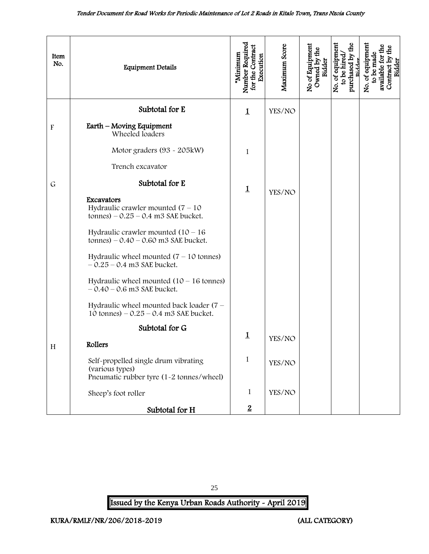<span id="page-25-0"></span>

| Item<br>No.               | <b>Equipment Details</b>                                                                            | Number Required<br>for the Contract<br>Minimum<br>Execution | Maximum Score | No of Equipment<br>Owned by the<br>Bidder | purchased by the<br>No. of equipment<br>to be hired<br>Ridder | No. of equipment<br>$\frac{1}{2}$<br>available for the<br>to be made<br>Contract by t<br>Bidder |
|---------------------------|-----------------------------------------------------------------------------------------------------|-------------------------------------------------------------|---------------|-------------------------------------------|---------------------------------------------------------------|-------------------------------------------------------------------------------------------------|
|                           | Subtotal for E                                                                                      | $\mathbf 1$                                                 | YES/NO        |                                           |                                                               |                                                                                                 |
| $\boldsymbol{\mathrm{F}}$ | Earth – Moving Equipment<br>Wheeled loaders                                                         |                                                             |               |                                           |                                                               |                                                                                                 |
|                           | Motor graders (93 - 205kW)                                                                          | 1                                                           |               |                                           |                                                               |                                                                                                 |
|                           | Trench excavator                                                                                    |                                                             |               |                                           |                                                               |                                                                                                 |
| $\mathsf{G}$              | Subtotal for E                                                                                      | $\mathbf 1$                                                 | YES/NO        |                                           |                                                               |                                                                                                 |
|                           | Excavators<br>Hydraulic crawler mounted $(7 - 10)$<br>tonnes) $-0.25 - 0.4$ m3 SAE bucket.          |                                                             |               |                                           |                                                               |                                                                                                 |
|                           | Hydraulic crawler mounted $(10 - 16)$<br>tonnes) $-0.40 - 0.60$ m3 SAE bucket.                      |                                                             |               |                                           |                                                               |                                                                                                 |
|                           | Hydraulic wheel mounted $(7 - 10)$ tonnes)<br>$-0.25 - 0.4$ m3 SAE bucket.                          |                                                             |               |                                           |                                                               |                                                                                                 |
|                           | Hydraulic wheel mounted $(10 - 16$ tonnes)<br>$-0.40 - 0.6$ m3 SAE bucket.                          |                                                             |               |                                           |                                                               |                                                                                                 |
|                           | Hydraulic wheel mounted back loader $(7 -$<br>10 tonnes) $-0.25 - 0.4$ m3 SAE bucket.               |                                                             |               |                                           |                                                               |                                                                                                 |
|                           | Subtotal for G                                                                                      | $\mathbf 1$                                                 |               |                                           |                                                               |                                                                                                 |
| H                         | Rollers                                                                                             |                                                             | YES/NO        |                                           |                                                               |                                                                                                 |
|                           | Self-propelled single drum vibrating<br>(various types)<br>Pneumatic rubber tyre (1-2 tonnes/wheel) | 1                                                           | YES/NO        |                                           |                                                               |                                                                                                 |
|                           | Sheep's foot roller                                                                                 | $\mathbf{1}$                                                | YES/NO        |                                           |                                                               |                                                                                                 |
|                           | Subtotal for H                                                                                      | $\overline{2}$                                              |               |                                           |                                                               |                                                                                                 |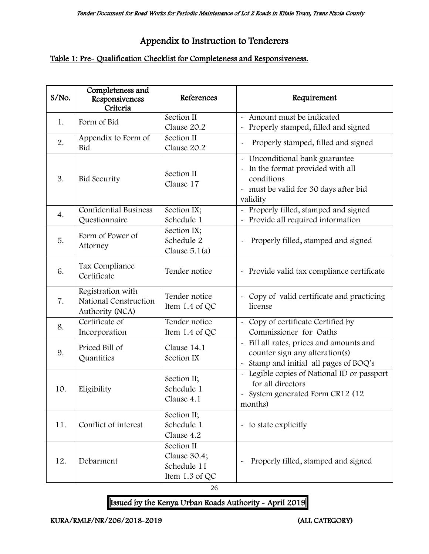# Appendix to Instruction to Tenderers

## Table 1: Pre- Qualification Checklist for Completeness and Responsiveness.

| S/No. | Completeness and<br>Responsiveness<br>Criteria                | References                                                  | Requirement                                                                                                                            |
|-------|---------------------------------------------------------------|-------------------------------------------------------------|----------------------------------------------------------------------------------------------------------------------------------------|
| 1.    | Form of Bid                                                   | Section II<br>Clause 20.2                                   | - Amount must be indicated<br>Properly stamped, filled and signed<br>$\tilde{\phantom{a}}$                                             |
| 2.    | Appendix to Form of<br>Bid                                    | Section II<br>Clause 20.2                                   | Properly stamped, filled and signed<br>$\ddot{\phantom{0}}$                                                                            |
| 3.    | <b>Bid Security</b>                                           | Section II<br>Clause 17                                     | - Unconditional bank guarantee<br>- In the format provided with all<br>conditions<br>- must be valid for 30 days after bid<br>validity |
| 4.    | <b>Confidential Business</b><br>Questionnaire                 | Section IX;<br>Schedule 1                                   | - Properly filled, stamped and signed<br>Provide all required information                                                              |
| 5.    | Form of Power of<br>Attorney                                  | Section IX;<br>Schedule 2<br>Clause $5.1(a)$                | Properly filled, stamped and signed                                                                                                    |
| 6.    | Tax Compliance<br>Certificate                                 | Tender notice                                               | - Provide valid tax compliance certificate                                                                                             |
| 7.    | Registration with<br>National Construction<br>Authority (NCA) | Tender notice<br>Item 1.4 of QC                             | - Copy of valid certificate and practicing<br>license                                                                                  |
| 8.    | Certificate of<br>Incorporation                               | Tender notice<br>Item 1.4 of QC                             | - Copy of certificate Certified by<br>Commissioner for Oaths                                                                           |
| 9.    | Priced Bill of<br>Quantities                                  | Clause 14.1<br>Section IX                                   | Fill all rates, prices and amounts and<br>counter sign any alteration(s)<br>Stamp and initial all pages of BOQ's                       |
| 10.   | Eligibility                                                   | Section II;<br>Schedule 1<br>Clause 4.1                     | - Legible copies of National ID or passport<br>for all directors<br>- System generated Form CR12 (12<br>months)                        |
| 11.   | Conflict of interest                                          | Section II;<br>Schedule 1<br>Clause 4.2                     | - to state explicitly                                                                                                                  |
| 12.   | Debarment                                                     | Section II<br>Clause 30.4;<br>Schedule 11<br>Item 1.3 of QC | Properly filled, stamped and signed                                                                                                    |

26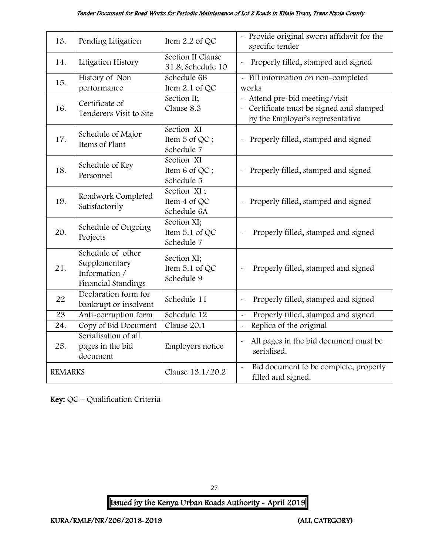#### Tender Document for Road Works for Periodic Maintenance of Lot 2 Roads in Kitale Town, Trans Nzoia County

| 13.            | Pending Litigation                                                         | Item 2.2 of QC                              | - Provide original sworn affidavit for the<br>specific tender                                                          |
|----------------|----------------------------------------------------------------------------|---------------------------------------------|------------------------------------------------------------------------------------------------------------------------|
| 14.            | Litigation History                                                         | Section II Clause<br>31.8; Schedule 10      | Properly filled, stamped and signed                                                                                    |
| 15.            | History of Non<br>performance                                              | Schedule 6B<br>Item 2.1 of QC               | - Fill information on non-completed<br>works                                                                           |
| 16.            | Certificate of<br>Tenderers Visit to Site                                  | Section II;<br>Clause 8.3                   | Attend pre-bid meeting/visit<br>$\sim$<br>- Certificate must be signed and stamped<br>by the Employer's representative |
| 17.            | Schedule of Major<br>Items of Plant                                        | Section XI<br>Item 5 of QC;<br>Schedule 7   | Properly filled, stamped and signed<br>$\tilde{\phantom{a}}$                                                           |
| 18.            | Schedule of Key<br>Personnel                                               | Section XI<br>Item 6 of QC;<br>Schedule 5   | Properly filled, stamped and signed                                                                                    |
| 19.            | Roadwork Completed<br>Satisfactorily                                       | Section XI;<br>Item 4 of QC<br>Schedule 6A  | Properly filled, stamped and signed<br>$\ddot{\phantom{0}}$                                                            |
| 20.            | Schedule of Ongoing<br>Projects                                            | Section XI;<br>Item 5.1 of QC<br>Schedule 7 | Properly filled, stamped and signed                                                                                    |
| 21.            | Schedule of other<br>Supplementary<br>Information /<br>Financial Standings | Section XI;<br>Item 5.1 of QC<br>Schedule 9 | Properly filled, stamped and signed                                                                                    |
| 22             | Declaration form for<br>bankrupt or insolvent                              | Schedule 11                                 | Properly filled, stamped and signed<br>$\ddot{\phantom{0}}$                                                            |
| 23             | Anti-corruption form                                                       | Schedule 12                                 | Properly filled, stamped and signed<br>$\tilde{\phantom{a}}$                                                           |
| 24.            | Copy of Bid Document                                                       | Clause 20.1                                 | Replica of the original<br>$\sim$                                                                                      |
| 25.            | Serialisation of all<br>pages in the bid<br>document                       | Employers notice                            | All pages in the bid document must be<br>$\tilde{}$<br>serialised.                                                     |
| <b>REMARKS</b> |                                                                            | Clause 13.1/20.2                            | Bid document to be complete, properly<br>$\tilde{}$<br>filled and signed.                                              |

Key: QC - Qualification Criteria

27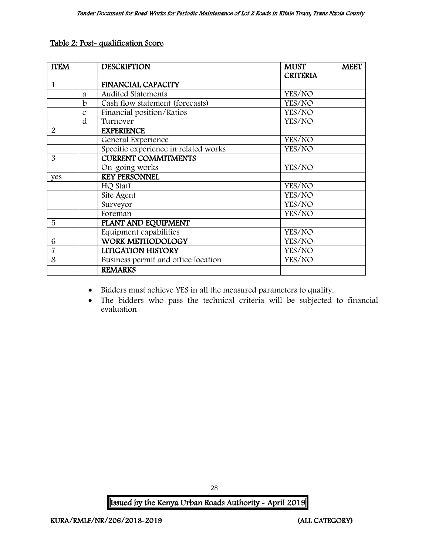#### Table 2: Post- qualification Score

| <b>ITEM</b>    |               | <b>DESCRIPTION</b>                   | <b>MEET</b><br><b>MUST</b> |
|----------------|---------------|--------------------------------------|----------------------------|
|                |               |                                      | <b>CRITERIA</b>            |
| $\mathbf{1}$   |               | <b>FINANCIAL CAPACITY</b>            |                            |
|                | a             | <b>Audited Statements</b>            | YES/NO                     |
|                | $\mathbf b$   | Cash flow statement (forecasts)      | YES/NO                     |
|                | $\mathcal{C}$ | Financial position/Ratios            | YES/NO                     |
|                | d             | Turnover                             | YES/NO                     |
| $\overline{2}$ |               | <b>EXPERIENCE</b>                    |                            |
|                |               | General Experience                   | YES/NO                     |
|                |               | Specific experience in related works | YES/NO                     |
| 3              |               | <b>CURRENT COMMITMENTS</b>           |                            |
|                |               | On-going works                       | YES/NO                     |
| yes            |               | <b>KEY PERSONNEL</b>                 |                            |
|                |               | HQ Staff                             | YES/NO                     |
|                |               | Site Agent                           | YES/NO                     |
|                |               | Surveyor                             | YES/NO                     |
|                |               | Foreman                              | YES/NO                     |
| 5              |               | PLANT AND EQUIPMENT                  |                            |
|                |               | Equipment capabilities               | YES/NO                     |
| 6              |               | <b>WORK METHODOLOGY</b>              | YES/NO                     |
| $\overline{7}$ |               | <b>LITIGATION HISTORY</b>            | YES/NO                     |
| 8              |               | Business permit and office location  | YES/NO                     |
|                |               | <b>REMARKS</b>                       |                            |

- Bidders must achieve YES in all the measured parameters to qualify.
- The bidders who pass the technical criteria will be subjected to financial evaluation

Issued by the Kenya Urban Roads Authority - April 2019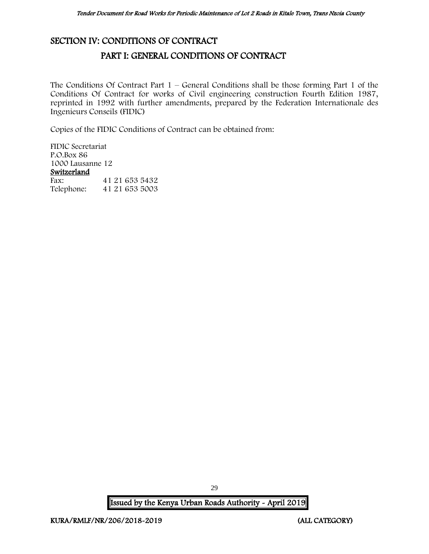## <span id="page-29-1"></span><span id="page-29-0"></span>SECTION IV: CONDITIONS OF CONTRACT

## PART I: GENERAL CONDITIONS OF CONTRACT

The Conditions Of Contract Part  $1$  – General Conditions shall be those forming Part 1 of the Conditions Of Contract for works of Civil engineering construction Fourth Edition 1987, reprinted in 1992 with further amendments, prepared by the Federation Internationale des Ingenieurs Conseils (FIDIC)

Copies of the FIDIC Conditions of Contract can be obtained from:

FIDIC Secretariat P.O.Box 86 1000 Lausanne 12 Switzerland<br>Fax: Fax: 41 21 653 5432<br>Telephone: 41 21 653 5003 Telephone: 41 21 653 5003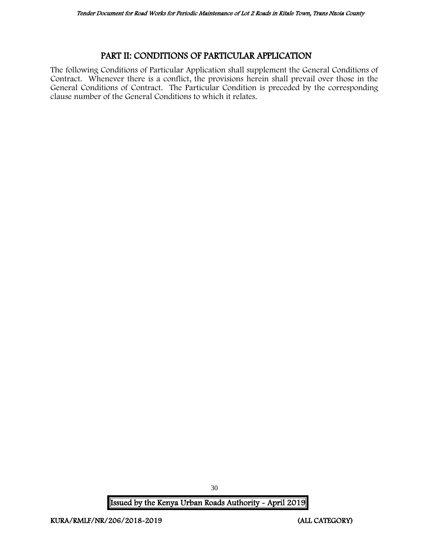## PART II: CONDITIONS OF PARTICULAR APPLICATION

<span id="page-30-0"></span>The following Conditions of Particular Application shall supplement the General Conditions of Contract. Whenever there is a conflict, the provisions herein shall prevail over those in the General Conditions of Contract. The Particular Condition is preceded by the corresponding clause number of the General Conditions to which it relates.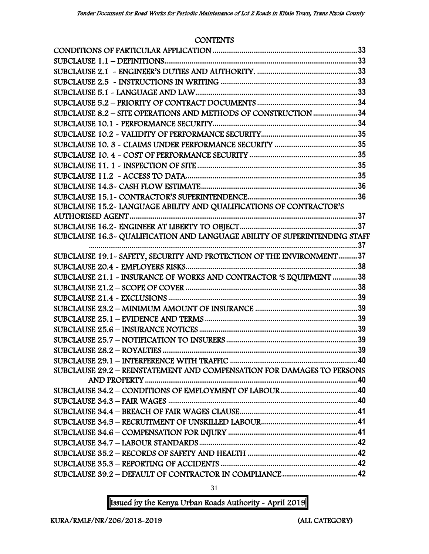#### **CONTENTS**

| SUBCLAUSE 8.2 - SITE OPERATIONS AND METHODS OF CONSTRUCTION 34<br>SUBCLAUSE 15.2- LANGUAGE ABILITY AND QUALIFICATIONS OF CONTRACTOR'S<br>.37<br>SUBCLAUSE 19.1 - SAFETY, SECURITY AND PROTECTION OF THE ENVIRONMENT37<br>SUBCLAUSE 21.1 - INSURANCE OF WORKS AND CONTRACTOR 'S EQUIPMENT 38<br>SUBCLAUSE 29.2 - REINSTATEMENT AND COMPENSATION FOR DAMAGES TO PERSONS |  |
|-----------------------------------------------------------------------------------------------------------------------------------------------------------------------------------------------------------------------------------------------------------------------------------------------------------------------------------------------------------------------|--|
|                                                                                                                                                                                                                                                                                                                                                                       |  |
|                                                                                                                                                                                                                                                                                                                                                                       |  |
|                                                                                                                                                                                                                                                                                                                                                                       |  |
|                                                                                                                                                                                                                                                                                                                                                                       |  |
|                                                                                                                                                                                                                                                                                                                                                                       |  |
|                                                                                                                                                                                                                                                                                                                                                                       |  |
|                                                                                                                                                                                                                                                                                                                                                                       |  |
|                                                                                                                                                                                                                                                                                                                                                                       |  |
|                                                                                                                                                                                                                                                                                                                                                                       |  |
|                                                                                                                                                                                                                                                                                                                                                                       |  |
|                                                                                                                                                                                                                                                                                                                                                                       |  |
|                                                                                                                                                                                                                                                                                                                                                                       |  |
|                                                                                                                                                                                                                                                                                                                                                                       |  |
|                                                                                                                                                                                                                                                                                                                                                                       |  |
|                                                                                                                                                                                                                                                                                                                                                                       |  |
|                                                                                                                                                                                                                                                                                                                                                                       |  |
|                                                                                                                                                                                                                                                                                                                                                                       |  |
|                                                                                                                                                                                                                                                                                                                                                                       |  |
|                                                                                                                                                                                                                                                                                                                                                                       |  |
|                                                                                                                                                                                                                                                                                                                                                                       |  |
|                                                                                                                                                                                                                                                                                                                                                                       |  |
|                                                                                                                                                                                                                                                                                                                                                                       |  |
|                                                                                                                                                                                                                                                                                                                                                                       |  |
|                                                                                                                                                                                                                                                                                                                                                                       |  |
|                                                                                                                                                                                                                                                                                                                                                                       |  |
|                                                                                                                                                                                                                                                                                                                                                                       |  |
|                                                                                                                                                                                                                                                                                                                                                                       |  |
|                                                                                                                                                                                                                                                                                                                                                                       |  |
|                                                                                                                                                                                                                                                                                                                                                                       |  |
|                                                                                                                                                                                                                                                                                                                                                                       |  |
|                                                                                                                                                                                                                                                                                                                                                                       |  |
|                                                                                                                                                                                                                                                                                                                                                                       |  |
|                                                                                                                                                                                                                                                                                                                                                                       |  |
|                                                                                                                                                                                                                                                                                                                                                                       |  |
|                                                                                                                                                                                                                                                                                                                                                                       |  |
|                                                                                                                                                                                                                                                                                                                                                                       |  |
|                                                                                                                                                                                                                                                                                                                                                                       |  |
|                                                                                                                                                                                                                                                                                                                                                                       |  |
|                                                                                                                                                                                                                                                                                                                                                                       |  |
|                                                                                                                                                                                                                                                                                                                                                                       |  |

31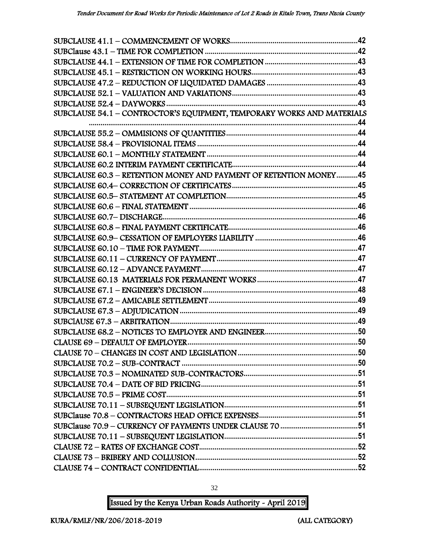| SUBCLAUSE 54.1 - CONTROCTOR'S EQUIPMENT, TEMPORARY WORKS AND MATERIALS |  |
|------------------------------------------------------------------------|--|
|                                                                        |  |
|                                                                        |  |
|                                                                        |  |
|                                                                        |  |
|                                                                        |  |
| SUBCLAUSE 60.3 - RETENTION MONEY AND PAYMENT OF RETENTION MONEY45      |  |
|                                                                        |  |
|                                                                        |  |
|                                                                        |  |
|                                                                        |  |
|                                                                        |  |
|                                                                        |  |
|                                                                        |  |
|                                                                        |  |
|                                                                        |  |
|                                                                        |  |
|                                                                        |  |
|                                                                        |  |
|                                                                        |  |
|                                                                        |  |
|                                                                        |  |
|                                                                        |  |
|                                                                        |  |
|                                                                        |  |
|                                                                        |  |
|                                                                        |  |
|                                                                        |  |
|                                                                        |  |
|                                                                        |  |
|                                                                        |  |
|                                                                        |  |
|                                                                        |  |
|                                                                        |  |
|                                                                        |  |

Issued by the Kenya Urban Roads Authority - April 2019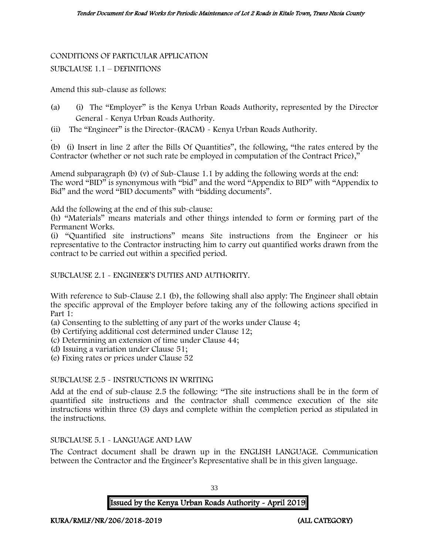# CONDITIONS OF PARTICULAR APPLICATION

#### SUBCLAUSE 1.1 – DEFINITIONS

Amend this sub-clause as follows:

- (a) (i) The "Employer" is the Kenya Urban Roads Authority, represented by the Director General - Kenya Urban Roads Authority.
- (ii) The "Engineer" is the Director-(RACM) Kenya Urban Roads Authority.

. (b) (i) Insert in line 2 after the Bills Of Quantities", the following, "the rates entered by the Contractor (whether or not such rate be employed in computation of the Contract Price),"

Amend subparagraph (b) (v) of Sub-Clause 1.1 by adding the following words at the end: The word "BID" is synonymous with "bid" and the word "Appendix to BID" with "Appendix to Bid" and the word "BID documents" with "bidding documents".

Add the following at the end of this sub-clause:

(h) "Materials" means materials and other things intended to form or forming part of the Permanent Works.

(i) "Quantified site instructions" means Site instructions from the Engineer or his representative to the Contractor instructing him to carry out quantified works drawn from the contract to be carried out within a specified period.

SUBCLAUSE 2.1 - ENGINEER'S DUTIES AND AUTHORITY.

With reference to Sub-Clause 2.1 (b), the following shall also apply: The Engineer shall obtain the specific approval of the Employer before taking any of the following actions specified in Part 1:

- (a) Consenting to the subletting of any part of the works under Clause 4;
- (b) Certifying additional cost determined under Clause 12;
- (c) Determining an extension of time under Clause 44;
- (d) Issuing a variation under Clause 51;
- (e) Fixing rates or prices under Clause 52

#### SUBCLAUSE 2.5 - INSTRUCTIONS IN WRITING

Add at the end of sub-clause 2.5 the following: "The site instructions shall be in the form of quantified site instructions and the contractor shall commence execution of the site instructions within three (3) days and complete within the completion period as stipulated in the instructions.

#### SUBCLAUSE 5.1 - LANGUAGE AND LAW

The Contract document shall be drawn up in the ENGLISH LANGUAGE. Communication between the Contractor and the Engineer's Representative shall be in this given language.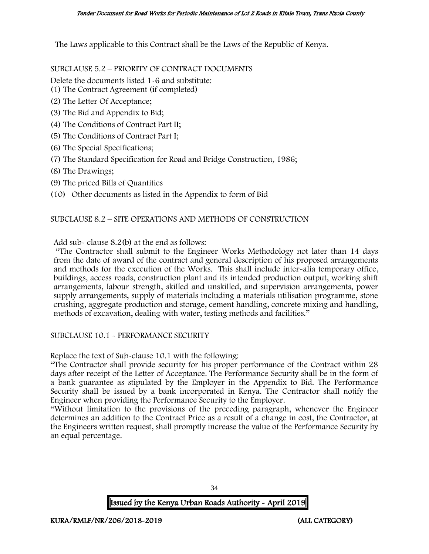The Laws applicable to this Contract shall be the Laws of the Republic of Kenya.

SUBCLAUSE 5.2 – PRIORITY OF CONTRACT DOCUMENTS

Delete the documents listed 1-6 and substitute:

- (1) The Contract Agreement (if completed)
- (2) The Letter Of Acceptance;
- (3) The Bid and Appendix to Bid;
- (4) The Conditions of Contract Part II;
- (5) The Conditions of Contract Part I;
- (6) The Special Specifications;
- (7) The Standard Specification for Road and Bridge Construction, 1986;
- (8) The Drawings;
- (9) The priced Bills of Quantities
- (10) Other documents as listed in the Appendix to form of Bid

#### SUBCLAUSE 8.2 – SITE OPERATIONS AND METHODS OF CONSTRUCTION

Add sub- clause 8.2(b) at the end as follows:

"The Contractor shall submit to the Engineer Works Methodology not later than 14 days from the date of award of the contract and general description of his proposed arrangements and methods for the execution of the Works. This shall include inter-alia temporary office, buildings, access roads, construction plant and its intended production output, working shift arrangements, labour strength, skilled and unskilled, and supervision arrangements, power supply arrangements, supply of materials including a materials utilisation programme, stone crushing, aggregate production and storage, cement handling, concrete mixing and handling, methods of excavation, dealing with water, testing methods and facilities."

#### SUBCLAUSE 10.1 - PERFORMANCE SECURITY

Replace the text of Sub-clause 10.1 with the following:

"The Contractor shall provide security for his proper performance of the Contract within 28 days after receipt of the Letter of Acceptance. The Performance Security shall be in the form of a bank guarantee as stipulated by the Employer in the Appendix to Bid. The Performance Security shall be issued by a bank incorporated in Kenya. The Contractor shall notify the Engineer when providing the Performance Security to the Employer.

"Without limitation to the provisions of the preceding paragraph, whenever the Engineer determines an addition to the Contract Price as a result of a change in cost, the Contractor, at the Engineers written request, shall promptly increase the value of the Performance Security by an equal percentage.

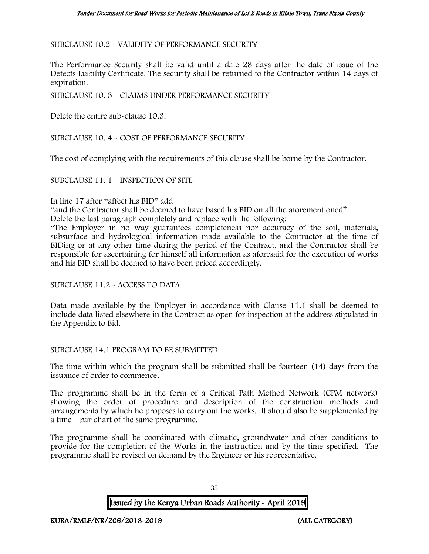SUBCLAUSE 10.2 - VALIDITY OF PERFORMANCE SECURITY

The Performance Security shall be valid until a date 28 days after the date of issue of the Defects Liability Certificate. The security shall be returned to the Contractor within 14 days of expiration.

SUBCLAUSE 10. 3 - CLAIMS UNDER PERFORMANCE SECURITY

Delete the entire sub-clause 10.3.

SUBCLAUSE 10. 4 - COST OF PERFORMANCE SECURITY

The cost of complying with the requirements of this clause shall be borne by the Contractor.

SUBCLAUSE 11. 1 - INSPECTION OF SITE

#### In line 17 after "affect his BID" add

"and the Contractor shall be deemed to have based his BID on all the aforementioned"

Delete the last paragraph completely and replace with the following:

"The Employer in no way guarantees completeness nor accuracy of the soil, materials, subsurface and hydrological information made available to the Contractor at the time of BIDing or at any other time during the period of the Contract, and the Contractor shall be responsible for ascertaining for himself all information as aforesaid for the execution of works and his BID shall be deemed to have been priced accordingly.

SUBCLAUSE 11.2 - ACCESS TO DATA

Data made available by the Employer in accordance with Clause 11.1 shall be deemed to include data listed elsewhere in the Contract as open for inspection at the address stipulated in the Appendix to Bid.

SUBCLAUSE 14.1 PROGRAM TO BE SUBMITTED

The time within which the program shall be submitted shall be fourteen (14) days from the issuance of order to commence.

The programme shall be in the form of a Critical Path Method Network (CPM network) showing the order of procedure and description of the construction methods and arrangements by which he proposes to carry out the works. It should also be supplemented by a time – bar chart of the same programme.

The programme shall be coordinated with climatic, groundwater and other conditions to provide for the completion of the Works in the instruction and by the time specified. The programme shall be revised on demand by the Engineer or his representative.

Issued by the Kenya Urban Roads Authority - April 2019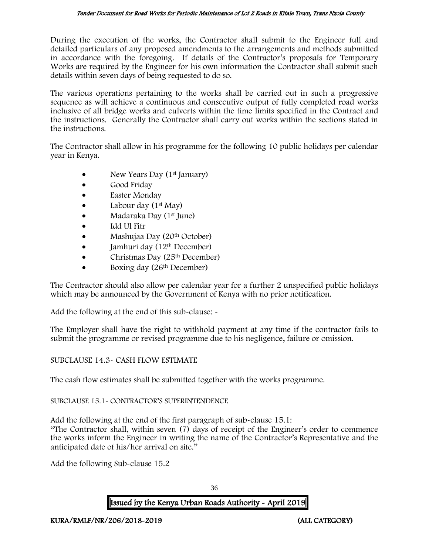During the execution of the works, the Contractor shall submit to the Engineer full and detailed particulars of any proposed amendments to the arrangements and methods submitted in accordance with the foregoing. If details of the Contractor's proposals for Temporary Works are required by the Engineer for his own information the Contractor shall submit such details within seven days of being requested to do so.

The various operations pertaining to the works shall be carried out in such a progressive sequence as will achieve a continuous and consecutive output of fully completed road works inclusive of all bridge works and culverts within the time limits specified in the Contract and the instructions. Generally the Contractor shall carry out works within the sections stated in the instructions.

The Contractor shall allow in his programme for the following 10 public holidays per calendar year in Kenya.

- New Years Day  $(1<sup>st</sup>$  January)
- Good Friday
- Easter Monday
- Labour day  $(1<sup>st</sup>$  May)
- Madaraka Day (1st June)
- Idd Ul Fitr
- Mashujaa Day (20th October)
- $\bullet$  Jamhuri day (12<sup>th</sup> December)
- Christmas Day  $(25<sup>th</sup> December)$
- Boxing day (26<sup>th</sup> December)

The Contractor should also allow per calendar year for a further 2 unspecified public holidays which may be announced by the Government of Kenya with no prior notification.

Add the following at the end of this sub-clause: -

The Employer shall have the right to withhold payment at any time if the contractor fails to submit the programme or revised programme due to his negligence, failure or omission.

#### SUBCLAUSE 14.3- CASH FLOW ESTIMATE

The cash flow estimates shall be submitted together with the works programme.

#### SUBCLAUSE 15.1- CONTRACTOR'S SUPERINTENDENCE

Add the following at the end of the first paragraph of sub-clause 15.1: "The Contractor shall, within seven (7) days of receipt of the Engineer's order to commence the works inform the Engineer in writing the name of the Contractor's Representative and the anticipated date of his/her arrival on site."

Add the following Sub-clause 15.2

36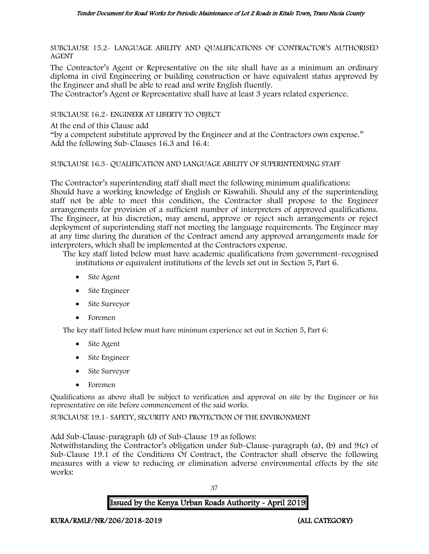SUBCLAUSE 15.2- LANGUAGE ABILITY AND QUALIFICATIONS OF CONTRACTOR'S AUTHORISED AGENT

The Contractor's Agent or Representative on the site shall have as a minimum an ordinary diploma in civil Engineering or building construction or have equivalent status approved by the Engineer and shall be able to read and write English fluently.

The Contractor's Agent or Representative shall have at least 3 years related experience.

SUBCLAUSE 16.2- ENGINEER AT LIBERTY TO OBJECT

At the end of this Clause add

"by a competent substitute approved by the Engineer and at the Contractors own expense." Add the following Sub-Clauses 16.3 and 16.4:

#### SUBCLAUSE 16.3- QUALIFICATION AND LANGUAGE ABILITY OF SUPERINTENDING STAFF

The Contractor's superintending staff shall meet the following minimum qualifications: Should have a working knowledge of English or Kiswahili. Should any of the superintending staff not be able to meet this condition, the Contractor shall propose to the Engineer arrangements for provision of a sufficient number of interpreters of approved qualifications. The Engineer, at his discretion, may amend, approve or reject such arrangements or reject deployment of superintending staff not meeting the language requirements. The Engineer may at any time during the duration of the Contract amend any approved arrangements made for interpreters, which shall be implemented at the Contractors expense.

The key staff listed below must have academic qualifications from government-recognised institutions or equivalent institutions of the levels set out in Section 5, Part 6.

- Site Agent
- Site Engineer
- Site Surveyor
- Foremen

The key staff listed below must have minimum experience set out in Section 5, Part 6:

- Site Agent
- Site Engineer
- Site Surveyor
- Foremen

Qualifications as above shall be subject to verification and approval on site by the Engineer or his representative on site before commencement of the said works.

SUBCLAUSE 19.1- SAFETY, SECURITY AND PROTECTION OF THE ENVIRONMENT

Add Sub-Clause-paragraph (d) of Sub-Clause 19 as follows:

Notwithstanding the Contractor's obligation under Sub-Clause-paragraph (a), (b) and 9(c) of Sub-Clause 19.1 of the Conditions Of Contract, the Contractor shall observe the following measures with a view to reducing or elimination adverse environmental effects by the site works:

37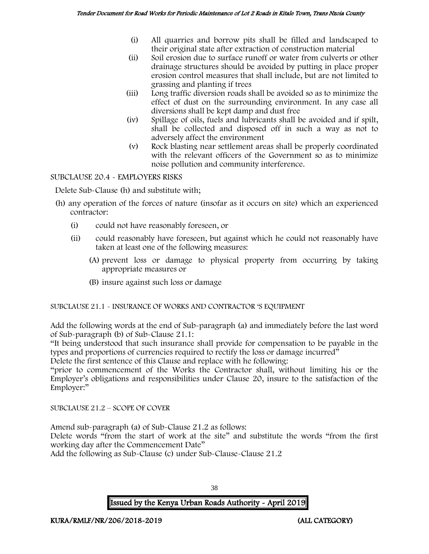- (i) All quarries and borrow pits shall be filled and landscaped to their original state after extraction of construction material
- (ii) Soil erosion due to surface runoff or water from culverts or other drainage structures should be avoided by putting in place proper erosion control measures that shall include, but are not limited to grassing and planting if trees
- (iii) Long traffic diversion roads shall be avoided so as to minimize the effect of dust on the surrounding environment. In any case all diversions shall be kept damp and dust free
- (iv) Spillage of oils, fuels and lubricants shall be avoided and if spilt, shall be collected and disposed off in such a way as not to adversely affect the environment
- (v) Rock blasting near settlement areas shall be properly coordinated with the relevant officers of the Government so as to minimize noise pollution and community interference.

SUBCLAUSE 20.4 - EMPLOYERS RISKS

Delete Sub-Clause (h) and substitute with;

- (h) any operation of the forces of nature (insofar as it occurs on site) which an experienced contractor:
	- (i) could not have reasonably foreseen, or
	- (ii) could reasonably have foreseen, but against which he could not reasonably have taken at least one of the following measures:
		- (A) prevent loss or damage to physical property from occurring by taking appropriate measures or
		- (B) insure against such loss or damage

SUBCLAUSE 21.1 - INSURANCE OF WORKS AND CONTRACTOR 'S EQUIPMENT

Add the following words at the end of Sub-paragraph (a) and immediately before the last word of Sub-paragraph (b) of Sub-Clause 21.1:

"It being understood that such insurance shall provide for compensation to be payable in the types and proportions of currencies required to rectify the loss or damage incurred"

Delete the first sentence of this Clause and replace with he following:

"prior to commencement of the Works the Contractor shall, without limiting his or the Employer's obligations and responsibilities under Clause 20, insure to the satisfaction of the Employer:"

SUBCLAUSE 21.2 – SCOPE OF COVER

Amend sub-paragraph (a) of Sub-Clause 21.2 as follows:

Delete words "from the start of work at the site" and substitute the words "from the first working day after the Commencement Date"

Add the following as Sub-Clause (c) under Sub-Clause-Clause 21.2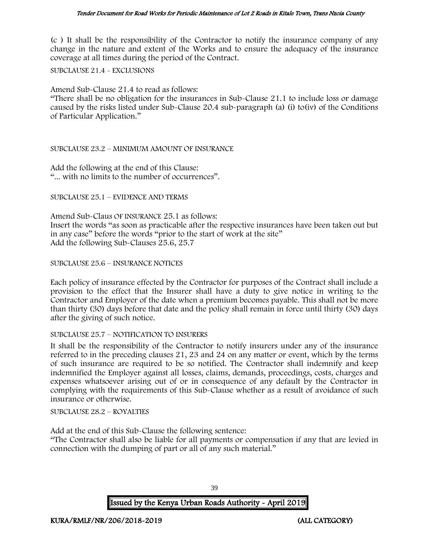(c ) It shall be the responsibility of the Contractor to notify the insurance company of any change in the nature and extent of the Works and to ensure the adequacy of the insurance coverage at all times during the period of the Contract.

SUBCLAUSE 21.4 - EXCLUSIONS

Amend Sub-Clause 21.4 to read as follows:

"There shall be no obligation for the insurances in Sub-Clause 21.1 to include loss or damage caused by the risks listed under Sub-Clause 20.4 sub-paragraph (a) (i) to(iv) of the Conditions of Particular Application."

#### SUBCLAUSE 23.2 – MINIMUM AMOUNT OF INSURANCE

Add the following at the end of this Clause: "... with no limits to the number of occurrences".

SUBCLAUSE 25.1 – EVIDENCE AND TERMS

Amend Sub-Claus OF INSURANCE 25.1 as follows: Insert the words "as soon as practicable after the respective insurances have been taken out but in any case" before the words "prior to the start of work at the site" Add the following Sub-Clauses 25.6, 25.7

SUBCLAUSE 25.6 – INSURANCE NOTICES

Each policy of insurance effected by the Contractor for purposes of the Contract shall include a provision to the effect that the Insurer shall have a duty to give notice in writing to the Contractor and Employer of the date when a premium becomes payable. This shall not be more than thirty (30) days before that date and the policy shall remain in force until thirty (30) days after the giving of such notice.

#### SUBCLAUSE 25.7 – NOTIFICATION TO INSURERS

It shall be the responsibility of the Contractor to notify insurers under any of the insurance referred to in the preceding clauses 21, 23 and 24 on any matter or event, which by the terms of such insurance are required to be so notified. The Contractor shall indemnify and keep indemnified the Employer against all losses, claims, demands, proceedings, costs, charges and expenses whatsoever arising out of or in consequence of any default by the Contractor in complying with the requirements of this Sub-Clause whether as a result of avoidance of such insurance or otherwise.

SUBCLAUSE 28.2 – ROYALTIES

Add at the end of this Sub-Clause the following sentence:

"The Contractor shall also be liable for all payments or compensation if any that are levied in connection with the dumping of part or all of any such material."

Issued by the Kenya Urban Roads Authority - April 2019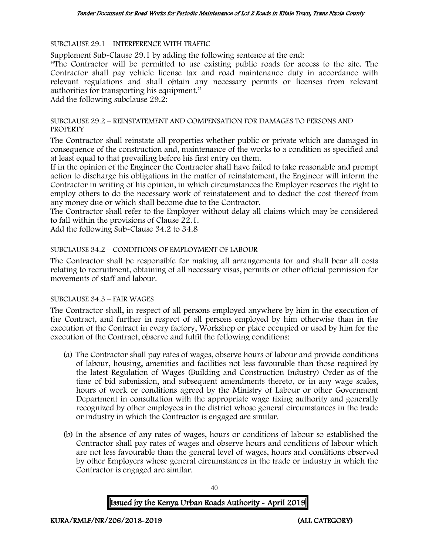SUBCLAUSE 29.1 – INTERFERENCE WITH TRAFFIC

Supplement Sub-Clause 29.1 by adding the following sentence at the end:

"The Contractor will be permitted to use existing public roads for access to the site. The Contractor shall pay vehicle license tax and road maintenance duty in accordance with relevant regulations and shall obtain any necessary permits or licenses from relevant authorities for transporting his equipment."

Add the following subclause 29.2:

#### SUBCLAUSE 29.2 – REINSTATEMENT AND COMPENSATION FOR DAMAGES TO PERSONS AND **PROPERTY**

The Contractor shall reinstate all properties whether public or private which are damaged in consequence of the construction and, maintenance of the works to a condition as specified and at least equal to that prevailing before his first entry on them.

If in the opinion of the Engineer the Contractor shall have failed to take reasonable and prompt action to discharge his obligations in the matter of reinstatement, the Engineer will inform the Contractor in writing of his opinion, in which circumstances the Employer reserves the right to employ others to do the necessary work of reinstatement and to deduct the cost thereof from any money due or which shall become due to the Contractor.

The Contractor shall refer to the Employer without delay all claims which may be considered to fall within the provisions of Clause 22.1.

Add the following Sub-Clause 34.2 to 34.8

#### SUBCLAUSE 34.2 – CONDITIONS OF EMPLOYMENT OF LABOUR

The Contractor shall be responsible for making all arrangements for and shall bear all costs relating to recruitment, obtaining of all necessary visas, permits or other official permission for movements of staff and labour.

#### SUBCLAUSE 34.3 – FAIR WAGES

The Contractor shall, in respect of all persons employed anywhere by him in the execution of the Contract, and further in respect of all persons employed by him otherwise than in the execution of the Contract in every factory, Workshop or place occupied or used by him for the execution of the Contract, observe and fulfil the following conditions:

- (a) The Contractor shall pay rates of wages, observe hours of labour and provide conditions of labour, housing, amenities and facilities not less favourable than those required by the latest Regulation of Wages (Building and Construction Industry) Order as of the time of bid submission, and subsequent amendments thereto, or in any wage scales, hours of work or conditions agreed by the Ministry of Labour or other Government Department in consultation with the appropriate wage fixing authority and generally recognized by other employees in the district whose general circumstances in the trade or industry in which the Contractor is engaged are similar.
- (b) In the absence of any rates of wages, hours or conditions of labour so established the Contractor shall pay rates of wages and observe hours and conditions of labour which are not less favourable than the general level of wages, hours and conditions observed by other Employers whose general circumstances in the trade or industry in which the Contractor is engaged are similar.

Issued by the Kenya Urban Roads Authority - April 2019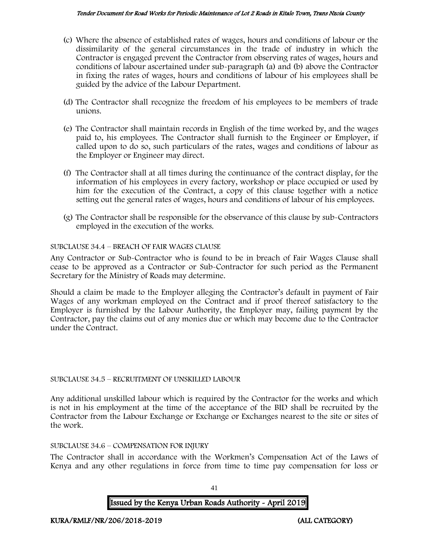#### Tender Document for Road Works for Periodic Maintenance of Lot 2 Roads in Kitale Town, Trans Nzoia County

- (c) Where the absence of established rates of wages, hours and conditions of labour or the dissimilarity of the general circumstances in the trade of industry in which the Contractor is engaged prevent the Contractor from observing rates of wages, hours and conditions of labour ascertained under sub-paragraph (a) and (b) above the Contractor in fixing the rates of wages, hours and conditions of labour of his employees shall be guided by the advice of the Labour Department.
- (d) The Contractor shall recognize the freedom of his employees to be members of trade unions.
- (e) The Contractor shall maintain records in English of the time worked by, and the wages paid to, his employees. The Contractor shall furnish to the Engineer or Employer, if called upon to do so, such particulars of the rates, wages and conditions of labour as the Employer or Engineer may direct.
- (f) The Contractor shall at all times during the continuance of the contract display, for the information of his employees in every factory, workshop or place occupied or used by him for the execution of the Contract, a copy of this clause together with a notice setting out the general rates of wages, hours and conditions of labour of his employees.
- (g) The Contractor shall be responsible for the observance of this clause by sub-Contractors employed in the execution of the works.

## SUBCLAUSE 34.4 – BREACH OF FAIR WAGES CLAUSE

Any Contractor or Sub-Contractor who is found to be in breach of Fair Wages Clause shall cease to be approved as a Contractor or Sub-Contractor for such period as the Permanent Secretary for the Ministry of Roads may determine.

Should a claim be made to the Employer alleging the Contractor's default in payment of Fair Wages of any workman employed on the Contract and if proof thereof satisfactory to the Employer is furnished by the Labour Authority, the Employer may, failing payment by the Contractor, pay the claims out of any monies due or which may become due to the Contractor under the Contract.

## SUBCLAUSE 34.5 – RECRUITMENT OF UNSKILLED LABOUR

Any additional unskilled labour which is required by the Contractor for the works and which is not in his employment at the time of the acceptance of the BID shall be recruited by the Contractor from the Labour Exchange or Exchange or Exchanges nearest to the site or sites of the work.

## SUBCLAUSE 34.6 – COMPENSATION FOR INJURY

The Contractor shall in accordance with the Workmen's Compensation Act of the Laws of Kenya and any other regulations in force from time to time pay compensation for loss or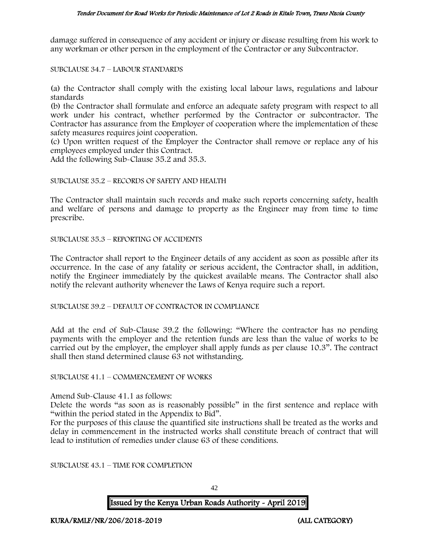#### Tender Document for Road Works for Periodic Maintenance of Lot 2 Roads in Kitale Town, Trans Nzoia County

damage suffered in consequence of any accident or injury or disease resulting from his work to any workman or other person in the employment of the Contractor or any Subcontractor.

SUBCLAUSE 34.7 – LABOUR STANDARDS

(a) the Contractor shall comply with the existing local labour laws, regulations and labour standards

(b) the Contractor shall formulate and enforce an adequate safety program with respect to all work under his contract, whether performed by the Contractor or subcontractor. The Contractor has assurance from the Employer of cooperation where the implementation of these safety measures requires joint cooperation.

(c) Upon written request of the Employer the Contractor shall remove or replace any of his employees employed under this Contract.

Add the following Sub-Clause 35.2 and 35.3.

#### SUBCLAUSE 35.2 – RECORDS OF SAFETY AND HEALTH

The Contractor shall maintain such records and make such reports concerning safety, health and welfare of persons and damage to property as the Engineer may from time to time prescribe.

SUBCLAUSE 35.3 – REPORTING OF ACCIDENTS

The Contractor shall report to the Engineer details of any accident as soon as possible after its occurrence. In the case of any fatality or serious accident, the Contractor shall, in addition, notify the Engineer immediately by the quickest available means. The Contractor shall also notify the relevant authority whenever the Laws of Kenya require such a report.

SUBCLAUSE 39.2 – DEFAULT OF CONTRACTOR IN COMPLIANCE

Add at the end of Sub-Clause 39.2 the following: "Where the contractor has no pending payments with the employer and the retention funds are less than the value of works to be carried out by the employer, the employer shall apply funds as per clause 10.3". The contract shall then stand determined clause 63 not withstanding.

## SUBCLAUSE 41.1 – COMMENCEMENT OF WORKS

Amend Sub-Clause 41.1 as follows:

Delete the words "as soon as is reasonably possible" in the first sentence and replace with "within the period stated in the Appendix to Bid".

For the purposes of this clause the quantified site instructions shall be treated as the works and delay in commencement in the instructed works shall constitute breach of contract that will lead to institution of remedies under clause 63 of these conditions.

SUBCLAUSE 43.1 – TIME FOR COMPLETION

42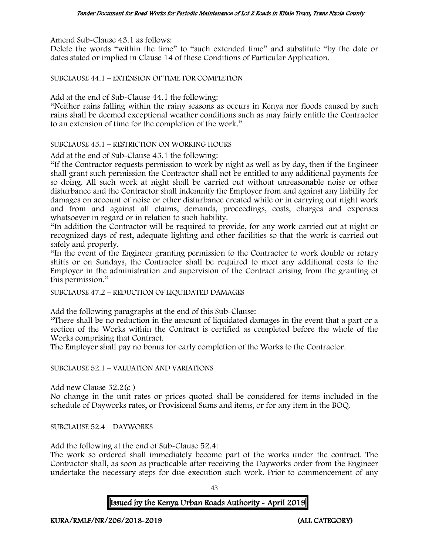Amend Sub-Clause 43.1 as follows:

Delete the words "within the time" to "such extended time" and substitute "by the date or dates stated or implied in Clause 14 of these Conditions of Particular Application.

SUBCLAUSE 44.1 – EXTENSION OF TIME FOR COMPLETION

Add at the end of Sub-Clause 44.1 the following:

"Neither rains falling within the rainy seasons as occurs in Kenya nor floods caused by such rains shall be deemed exceptional weather conditions such as may fairly entitle the Contractor to an extension of time for the completion of the work."

#### SUBCLAUSE 45.1 – RESTRICTION ON WORKING HOURS

Add at the end of Sub-Clause 45.1 the following:

"If the Contractor requests permission to work by night as well as by day, then if the Engineer shall grant such permission the Contractor shall not be entitled to any additional payments for so doing. All such work at night shall be carried out without unreasonable noise or other disturbance and the Contractor shall indemnify the Employer from and against any liability for damages on account of noise or other disturbance created while or in carrying out night work and from and against all claims, demands, proceedings, costs, charges and expenses whatsoever in regard or in relation to such liability.

"In addition the Contractor will be required to provide, for any work carried out at night or recognized days of rest, adequate lighting and other facilities so that the work is carried out safely and properly.

"In the event of the Engineer granting permission to the Contractor to work double or rotary shifts or on Sundays, the Contractor shall be required to meet any additional costs to the Employer in the administration and supervision of the Contract arising from the granting of this permission."

SUBCLAUSE 47.2 – REDUCTION OF LIQUIDATED DAMAGES

Add the following paragraphs at the end of this Sub-Clause:

"There shall be no reduction in the amount of liquidated damages in the event that a part or a section of the Works within the Contract is certified as completed before the whole of the Works comprising that Contract.

The Employer shall pay no bonus for early completion of the Works to the Contractor.

#### SUBCLAUSE 52.1 – VALUATION AND VARIATIONS

Add new Clause 52.2(c )

No change in the unit rates or prices quoted shall be considered for items included in the schedule of Dayworks rates, or Provisional Sums and items, or for any item in the BOQ.

SUBCLAUSE 52.4 – DAYWORKS

Add the following at the end of Sub-Clause 52.4:

The work so ordered shall immediately become part of the works under the contract. The Contractor shall, as soon as practicable after receiving the Dayworks order from the Engineer undertake the necessary steps for due execution such work. Prior to commencement of any

43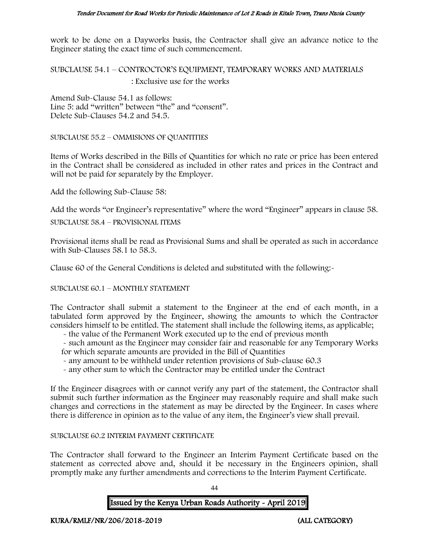work to be done on a Dayworks basis, the Contractor shall give an advance notice to the Engineer stating the exact time of such commencement.

SUBCLAUSE 54.1 – CONTROCTOR'S EQUIPMENT, TEMPORARY WORKS AND MATERIALS : Exclusive use for the works

Amend Sub-Clause 54.1 as follows: Line 5: add "written" between "the" and "consent". Delete Sub-Clauses 54.2 and 54.5.

SUBCLAUSE 55.2 – OMMISIONS OF QUANTITIES

Items of Works described in the Bills of Quantities for which no rate or price has been entered in the Contract shall be considered as included in other rates and prices in the Contract and will not be paid for separately by the Employer.

Add the following Sub-Clause 58:

Add the words "or Engineer's representative" where the word "Engineer" appears in clause 58.

SUBCLAUSE 58.4 – PROVISIONAL ITEMS

Provisional items shall be read as Provisional Sums and shall be operated as such in accordance with Sub-Clauses 58.1 to 58.3.

Clause 60 of the General Conditions is deleted and substituted with the following:-

SUBCLAUSE 60.1 – MONTHLY STATEMENT

The Contractor shall submit a statement to the Engineer at the end of each month, in a tabulated form approved by the Engineer, showing the amounts to which the Contractor considers himself to be entitled. The statement shall include the following items, as applicable;

- the value of the Permanent Work executed up to the end of previous month

- such amount as the Engineer may consider fair and reasonable for any Temporary Works for which separate amounts are provided in the Bill of Quantities

- any amount to be withheld under retention provisions of Sub-clause 60.3
- any other sum to which the Contractor may be entitled under the Contract

If the Engineer disagrees with or cannot verify any part of the statement, the Contractor shall submit such further information as the Engineer may reasonably require and shall make such changes and corrections in the statement as may be directed by the Engineer. In cases where there is difference in opinion as to the value of any item, the Engineer's view shall prevail.

#### SUBCLAUSE 60.2 INTERIM PAYMENT CERTIFICATE

The Contractor shall forward to the Engineer an Interim Payment Certificate based on the statement as corrected above and, should it be necessary in the Engineers opinion, shall promptly make any further amendments and corrections to the Interim Payment Certificate.

 $\overline{A}$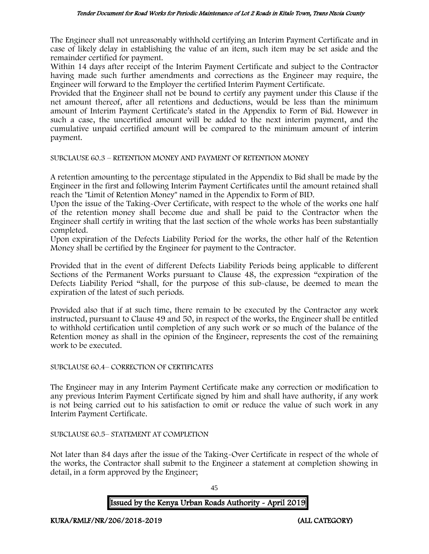The Engineer shall not unreasonably withhold certifying an Interim Payment Certificate and in case of likely delay in establishing the value of an item, such item may be set aside and the remainder certified for payment.

Within 14 days after receipt of the Interim Payment Certificate and subject to the Contractor having made such further amendments and corrections as the Engineer may require, the Engineer will forward to the Employer the certified Interim Payment Certificate.

Provided that the Engineer shall not be bound to certify any payment under this Clause if the net amount thereof, after all retentions and deductions, would be less than the minimum amount of Interim Payment Certificate's stated in the Appendix to Form of Bid. However in such a case, the uncertified amount will be added to the next interim payment, and the cumulative unpaid certified amount will be compared to the minimum amount of interim payment.

#### SUBCLAUSE 60.3 – RETENTION MONEY AND PAYMENT OF RETENTION MONEY

A retention amounting to the percentage stipulated in the Appendix to Bid shall be made by the Engineer in the first and following Interim Payment Certificates until the amount retained shall reach the "Limit of Retention Money" named in the Appendix to Form of BID.

Upon the issue of the Taking-Over Certificate, with respect to the whole of the works one half of the retention money shall become due and shall be paid to the Contractor when the Engineer shall certify in writing that the last section of the whole works has been substantially completed.

Upon expiration of the Defects Liability Period for the works, the other half of the Retention Money shall be certified by the Engineer for payment to the Contractor.

Provided that in the event of different Defects Liability Periods being applicable to different Sections of the Permanent Works pursuant to Clause 48, the expression "expiration of the Defects Liability Period "shall, for the purpose of this sub-clause, be deemed to mean the expiration of the latest of such periods.

Provided also that if at such time, there remain to be executed by the Contractor any work instructed, pursuant to Clause 49 and 50, in respect of the works, the Engineer shall be entitled to withhold certification until completion of any such work or so much of the balance of the Retention money as shall in the opinion of the Engineer, represents the cost of the remaining work to be executed.

#### SUBCLAUSE 60.4– CORRECTION OF CERTIFICATES

The Engineer may in any Interim Payment Certificate make any correction or modification to any previous Interim Payment Certificate signed by him and shall have authority, if any work is not being carried out to his satisfaction to omit or reduce the value of such work in any Interim Payment Certificate.

#### SUBCLAUSE 60.5– STATEMENT AT COMPLETION

Not later than 84 days after the issue of the Taking-Over Certificate in respect of the whole of the works, the Contractor shall submit to the Engineer a statement at completion showing in detail, in a form approved by the Engineer;

45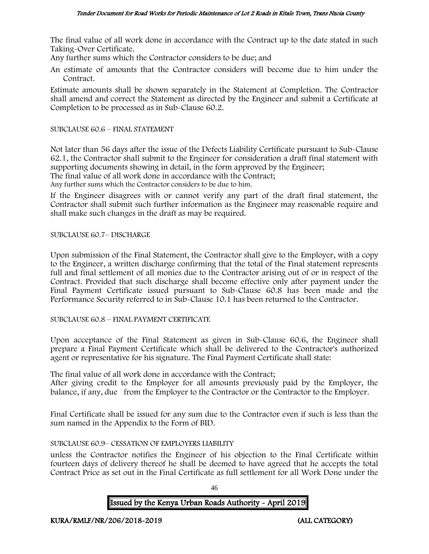The final value of all work done in accordance with the Contract up to the date stated in such Taking-Over Certificate.

Any further sums which the Contractor considers to be due; and

An estimate of amounts that the Contractor considers will become due to him under the Contract.

Estimate amounts shall be shown separately in the Statement at Completion. The Contractor shall amend and correct the Statement as directed by the Engineer and submit a Certificate at Completion to be processed as in Sub-Clause 60.2.

#### SUBCLAUSE 60.6 – FINAL STATEMENT

Not later than 56 days after the issue of the Defects Liability Certificate pursuant to Sub-Clause 62.1, the Contractor shall submit to the Engineer for consideration a draft final statement with supporting documents showing in detail, in the form approved by the Engineer; The final value of all work done in accordance with the Contract;

Any further sums which the Contractor considers to be due to him.

If the Engineer disagrees with or cannot verify any part of the draft final statement, the Contractor shall submit such further information as the Engineer may reasonable require and shall make such changes in the draft as may be required.

SUBCLAUSE 60.7– DISCHARGE

Upon submission of the Final Statement, the Contractor shall give to the Employer, with a copy to the Engineer, a written discharge confirming that the total of the Final statement represents full and final settlement of all monies due to the Contractor arising out of or in respect of the Contract. Provided that such discharge shall become effective only after payment under the Final Payment Certificate issued pursuant to Sub-Clause 60.8 has been made and the Performance Security referred to in Sub-Clause 10.1 has been returned to the Contractor.

SUBCLAUSE 60.8 – FINAL PAYMENT CERTIFICATE

Upon acceptance of the Final Statement as given in Sub-Clause 60.6, the Engineer shall prepare a Final Payment Certificate which shall be delivered to the Contractor's authorized agent or representative for his signature. The Final Payment Certificate shall state:

The final value of all work done in accordance with the Contract;

After giving credit to the Employer for all amounts previously paid by the Employer, the balance, if any, due from the Employer to the Contractor or the Contractor to the Employer.

Final Certificate shall be issued for any sum due to the Contractor even if such is less than the sum named in the Appendix to the Form of BID.

## SUBCLAUSE 60.9– CESSATION OF EMPLOYERS LIABILITY

unless the Contractor notifies the Engineer of his objection to the Final Certificate within fourteen days of delivery thereof he shall be deemed to have agreed that he accepts the total Contract Price as set out in the Final Certificate as full settlement for all Work Done under the

46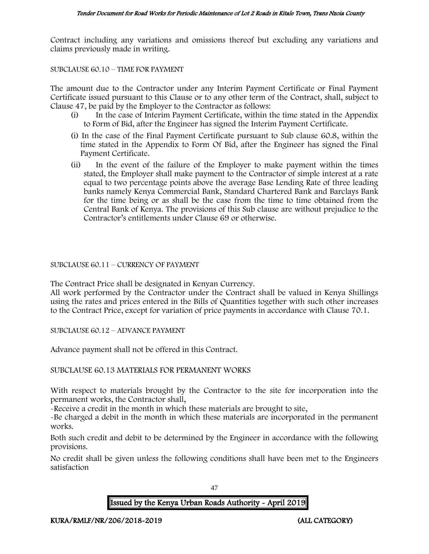Contract including any variations and omissions thereof but excluding any variations and claims previously made in writing.

#### SUBCLAUSE 60.10 – TIME FOR PAYMENT

The amount due to the Contractor under any Interim Payment Certificate or Final Payment Certificate issued pursuant to this Clause or to any other term of the Contract, shall, subject to Clause 47, be paid by the Employer to the Contractor as follows:

- (i) In the case of Interim Payment Certificate, within the time stated in the Appendix to Form of Bid, after the Engineer has signed the Interim Payment Certificate.
- (i) In the case of the Final Payment Certificate pursuant to Sub clause 60.8, within the time stated in the Appendix to Form Of Bid, after the Engineer has signed the Final Payment Certificate.
- (ii) In the event of the failure of the Employer to make payment within the times stated, the Employer shall make payment to the Contractor of simple interest at a rate equal to two percentage points above the average Base Lending Rate of three leading banks namely Kenya Commercial Bank, Standard Chartered Bank and Barclays Bank for the time being or as shall be the case from the time to time obtained from the Central Bank of Kenya. The provisions of this Sub clause are without prejudice to the Contractor's entitlements under Clause 69 or otherwise.

#### SUBCLAUSE 60.11 – CURRENCY OF PAYMENT

The Contract Price shall be designated in Kenyan Currency.

All work performed by the Contractor under the Contract shall be valued in Kenya Shillings using the rates and prices entered in the Bills of Quantities together with such other increases to the Contract Price, except for variation of price payments in accordance with Clause 70.1.

SUBCLAUSE 60.12 – ADVANCE PAYMENT

Advance payment shall not be offered in this Contract.

#### SUBCLAUSE 60.13 MATERIALS FOR PERMANENT WORKS

With respect to materials brought by the Contractor to the site for incorporation into the permanent works, the Contractor shall,

-Receive a credit in the month in which these materials are brought to site,

-Be charged a debit in the month in which these materials are incorporated in the permanent works.

Both such credit and debit to be determined by the Engineer in accordance with the following provisions.

No credit shall be given unless the following conditions shall have been met to the Engineers satisfaction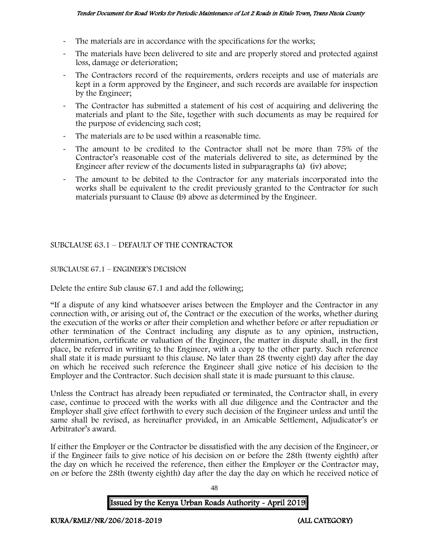- The materials are in accordance with the specifications for the works;
- The materials have been delivered to site and are properly stored and protected against loss, damage or deterioration;
- The Contractors record of the requirements, orders receipts and use of materials are kept in a form approved by the Engineer, and such records are available for inspection by the Engineer;
- The Contractor has submitted a statement of his cost of acquiring and delivering the materials and plant to the Site, together with such documents as may be required for the purpose of evidencing such cost;
- The materials are to be used within a reasonable time.
- The amount to be credited to the Contractor shall not be more than 75% of the Contractor's reasonable cost of the materials delivered to site, as determined by the Engineer after review of the documents listed in subparagraphs (a) (iv) above;
- The amount to be debited to the Contractor for any materials incorporated into the works shall be equivalent to the credit previously granted to the Contractor for such materials pursuant to Clause (b) above as determined by the Engineer.

## SUBCLAUSE 63.1 – DEFAULT OF THE CONTRACTOR

## SUBCLAUSE 67.1 – ENGINEER'S DECISION

Delete the entire Sub clause 67.1 and add the following;

"If a dispute of any kind whatsoever arises between the Employer and the Contractor in any connection with, or arising out of, the Contract or the execution of the works, whether during the execution of the works or after their completion and whether before or after repudiation or other termination of the Contract including any dispute as to any opinion, instruction, determination, certificate or valuation of the Engineer, the matter in dispute shall, in the first place, be referred in writing to the Engineer, with a copy to the other party. Such reference shall state it is made pursuant to this clause. No later than 28 (twenty eight) day after the day on which he received such reference the Engineer shall give notice of his decision to the Employer and the Contractor. Such decision shall state it is made pursuant to this clause.

Unless the Contract has already been repudiated or terminated, the Contractor shall, in every case, continue to proceed with the works with all due diligence and the Contractor and the Employer shall give effect forthwith to every such decision of the Engineer unless and until the same shall be revised, as hereinafter provided, in an Amicable Settlement, Adjudicator's or Arbitrator's award.

If either the Employer or the Contractor be dissatisfied with the any decision of the Engineer, or if the Engineer fails to give notice of his decision on or before the 28th (twenty eighth) after the day on which he received the reference, then either the Employer or the Contractor may, on or before the 28th (twenty eighth) day after the day the day on which he received notice of

Issued by the Kenya Urban Roads Authority - April 2019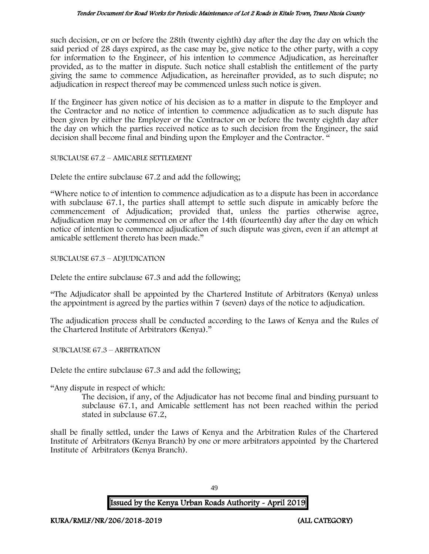such decision, or on or before the 28th (twenty eighth) day after the day the day on which the said period of 28 days expired, as the case may be, give notice to the other party, with a copy for information to the Engineer, of his intention to commence Adjudication, as hereinafter provided, as to the matter in dispute. Such notice shall establish the entitlement of the party giving the same to commence Adjudication, as hereinafter provided, as to such dispute; no adjudication in respect thereof may be commenced unless such notice is given.

If the Engineer has given notice of his decision as to a matter in dispute to the Employer and the Contractor and no notice of intention to commence adjudication as to such dispute has been given by either the Employer or the Contractor on or before the twenty eighth day after the day on which the parties received notice as to such decision from the Engineer, the said decision shall become final and binding upon the Employer and the Contractor. "

SUBCLAUSE 67.2 – AMICABLE SETTLEMENT

Delete the entire subclause 67.2 and add the following;

"Where notice to of intention to commence adjudication as to a dispute has been in accordance with subclause 67.1, the parties shall attempt to settle such dispute in amicably before the commencement of Adjudication; provided that, unless the parties otherwise agree, Adjudication may be commenced on or after the 14th (fourteenth) day after the day on which notice of intention to commence adjudication of such dispute was given, even if an attempt at amicable settlement thereto has been made."

SUBCLAUSE 67.3 – ADJUDICATION

Delete the entire subclause 67.3 and add the following;

"The Adjudicator shall be appointed by the Chartered Institute of Arbitrators (Kenya) unless the appointment is agreed by the parties within 7 (seven) days of the notice to adjudication.

The adjudication process shall be conducted according to the Laws of Kenya and the Rules of the Chartered Institute of Arbitrators (Kenya)."

SUBCLAUSE 67.3 – ARBITRATION

Delete the entire subclause 67.3 and add the following;

"Any dispute in respect of which:

The decision, if any, of the Adjudicator has not become final and binding pursuant to subclause 67.1, and Amicable settlement has not been reached within the period stated in subclause 67.2,

shall be finally settled, under the Laws of Kenya and the Arbitration Rules of the Chartered Institute of Arbitrators (Kenya Branch) by one or more arbitrators appointed by the Chartered Institute of Arbitrators (Kenya Branch).

49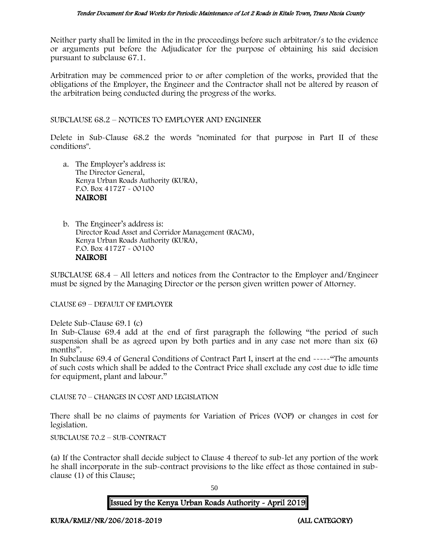Neither party shall be limited in the in the proceedings before such arbitrator/s to the evidence or arguments put before the Adjudicator for the purpose of obtaining his said decision pursuant to subclause 67.1.

Arbitration may be commenced prior to or after completion of the works, provided that the obligations of the Employer, the Engineer and the Contractor shall not be altered by reason of the arbitration being conducted during the progress of the works.

SUBCLAUSE 68.2 – NOTICES TO EMPLOYER AND ENGINEER

Delete in Sub-Clause 68.2 the words "nominated for that purpose in Part II of these conditions".

- a. The Employer's address is: The Director General, Kenya Urban Roads Authority (KURA), P.O. Box 41727 - 00100 NAIROBI
- b. The Engineer's address is: Director Road Asset and Corridor Management (RACM), Kenya Urban Roads Authority (KURA), P.O. Box 41727 - 00100 NAIROBI

SUBCLAUSE 68.4 – All letters and notices from the Contractor to the Employer and/Engineer must be signed by the Managing Director or the person given written power of Attorney.

CLAUSE 69 – DEFAULT OF EMPLOYER

Delete Sub-Clause 69.1 (c)

In Sub-Clause 69.4 add at the end of first paragraph the following "the period of such suspension shall be as agreed upon by both parties and in any case not more than six (6) months".

In Subclause 69.4 of General Conditions of Contract Part I, insert at the end -----"The amounts of such costs which shall be added to the Contract Price shall exclude any cost due to idle time for equipment, plant and labour."

CLAUSE 70 – CHANGES IN COST AND LEGISLATION

There shall be no claims of payments for Variation of Prices (VOP) or changes in cost for legislation.

SUBCLAUSE 70.2 – SUB-CONTRACT

(a) If the Contractor shall decide subject to Clause 4 thereof to sub-let any portion of the work he shall incorporate in the sub-contract provisions to the like effect as those contained in subclause (1) of this Clause;

50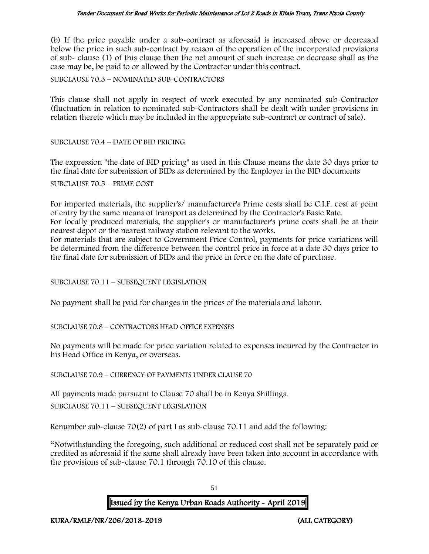#### Tender Document for Road Works for Periodic Maintenance of Lot 2 Roads in Kitale Town, Trans Nzoia County

(b) If the price payable under a sub-contract as aforesaid is increased above or decreased below the price in such sub-contract by reason of the operation of the incorporated provisions of sub- clause (1) of this clause then the net amount of such increase or decrease shall as the case may be, be paid to or allowed by the Contractor under this contract.

SUBCLAUSE 70.3 – NOMINATED SUB-CONTRACTORS

This clause shall not apply in respect of work executed by any nominated sub-Contractor (fluctuation in relation to nominated sub-Contractors shall be dealt with under provisions in relation thereto which may be included in the appropriate sub-contract or contract of sale).

SUBCLAUSE 70.4 – DATE OF BID PRICING

The expression "the date of BID pricing" as used in this Clause means the date 30 days prior to the final date for submission of BIDs as determined by the Employer in the BID documents

SUBCLAUSE 70.5 – PRIME COST

For imported materials, the supplier's/ manufacturer's Prime costs shall be C.I.F. cost at point of entry by the same means of transport as determined by the Contractor's Basic Rate. For locally produced materials, the supplier's or manufacturer's prime costs shall be at their

nearest depot or the nearest railway station relevant to the works.

For materials that are subject to Government Price Control, payments for price variations will be determined from the difference between the control price in force at a date 30 days prior to the final date for submission of BIDs and the price in force on the date of purchase.

SUBCLAUSE 70.11 – SUBSEQUENT LEGISLATION

No payment shall be paid for changes in the prices of the materials and labour.

SUBCLAUSE 70.8 – CONTRACTORS HEAD OFFICE EXPENSES

No payments will be made for price variation related to expenses incurred by the Contractor in his Head Office in Kenya, or overseas.

SUBCLAUSE 70.9 – CURRENCY OF PAYMENTS UNDER CLAUSE 70

All payments made pursuant to Clause 70 shall be in Kenya Shillings. SUBCLAUSE 70.11 – SUBSEQUENT LEGISLATION

Renumber sub-clause 70(2) of part I as sub-clause 70.11 and add the following:

"Notwithstanding the foregoing, such additional or reduced cost shall not be separately paid or credited as aforesaid if the same shall already have been taken into account in accordance with the provisions of sub-clause 70.1 through 70.10 of this clause.

51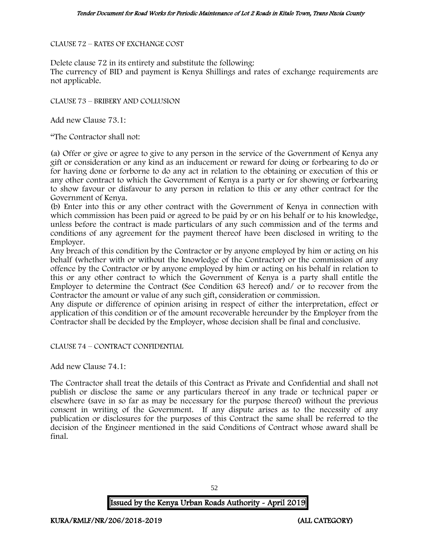#### CLAUSE 72 – RATES OF EXCHANGE COST

Delete clause 72 in its entirety and substitute the following:

The currency of BID and payment is Kenya Shillings and rates of exchange requirements are not applicable.

CLAUSE 73 – BRIBERY AND COLLUSION

Add new Clause 73.1:

"The Contractor shall not:

(a) Offer or give or agree to give to any person in the service of the Government of Kenya any gift or consideration or any kind as an inducement or reward for doing or forbearing to do or for having done or forborne to do any act in relation to the obtaining or execution of this or any other contract to which the Government of Kenya is a party or for showing or forbearing to show favour or disfavour to any person in relation to this or any other contract for the Government of Kenya.

(b) Enter into this or any other contract with the Government of Kenya in connection with which commission has been paid or agreed to be paid by or on his behalf or to his knowledge, unless before the contract is made particulars of any such commission and of the terms and conditions of any agreement for the payment thereof have been disclosed in writing to the Employer.

Any breach of this condition by the Contractor or by anyone employed by him or acting on his behalf (whether with or without the knowledge of the Contractor) or the commission of any offence by the Contractor or by anyone employed by him or acting on his behalf in relation to this or any other contract to which the Government of Kenya is a party shall entitle the Employer to determine the Contract (See Condition 63 hereof) and/ or to recover from the Contractor the amount or value of any such gift, consideration or commission.

Any dispute or difference of opinion arising in respect of either the interpretation, effect or application of this condition or of the amount recoverable hereunder by the Employer from the Contractor shall be decided by the Employer, whose decision shall be final and conclusive.

CLAUSE 74 – CONTRACT CONFIDENTIAL

Add new Clause 74.1:

The Contractor shall treat the details of this Contract as Private and Confidential and shall not publish or disclose the same or any particulars thereof in any trade or technical paper or elsewhere (save in so far as may be necessary for the purpose thereof) without the previous consent in writing of the Government. If any dispute arises as to the necessity of any publication or disclosures for the purposes of this Contract the same shall be referred to the decision of the Engineer mentioned in the said Conditions of Contract whose award shall be final.

52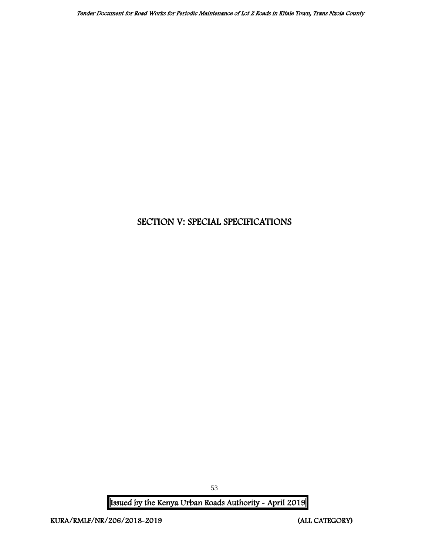# SECTION V: SPECIAL SPECIFICATIONS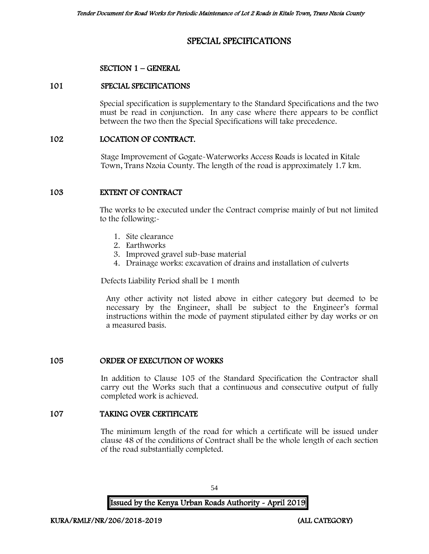# SPECIAL SPECIFICATIONS

## SECTION 1 – GENERAL

#### 101 SPECIAL SPECIFICATIONS

Special specification is supplementary to the Standard Specifications and the two must be read in conjunction. In any case where there appears to be conflict between the two then the Special Specifications will take precedence.

## 102 LOCATION OF CONTRACT.

Stage Improvement of Gogate-Waterworks Access Roads is located in Kitale Town, Trans Nzoia County. The length of the road is approximately 1.7 km.

## 103 EXTENT OF CONTRACT

The works to be executed under the Contract comprise mainly of but not limited to the following:-

- 1. Site clearance
- 2. Earthworks
- 3. Improved gravel sub-base material
- 4. Drainage works: excavation of drains and installation of culverts

Defects Liability Period shall be 1 month

Any other activity not listed above in either category but deemed to be necessary by the Engineer, shall be subject to the Engineer's formal instructions within the mode of payment stipulated either by day works or on a measured basis.

## 105 ORDER OF EXECUTION OF WORKS

In addition to Clause 105 of the Standard Specification the Contractor shall carry out the Works such that a continuous and consecutive output of fully completed work is achieved.

#### 107 TAKING OVER CERTIFICATE

The minimum length of the road for which a certificate will be issued under clause 48 of the conditions of Contract shall be the whole length of each section of the road substantially completed.

54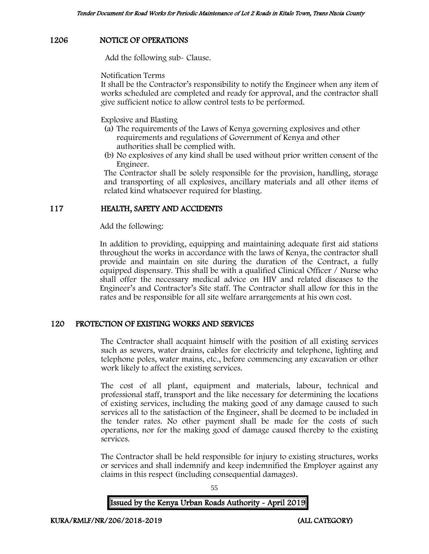## 1206 NOTICE OF OPERATIONS

Add the following sub- Clause.

Notification Terms

It shall be the Contractor's responsibility to notify the Engineer when any item of works scheduled are completed and ready for approval, and the contractor shall give sufficient notice to allow control tests to be performed.

Explosive and Blasting

- (a) The requirements of the Laws of Kenya governing explosives and other requirements and regulations of Government of Kenya and other authorities shall be complied with.
- (b) No explosives of any kind shall be used without prior written consent of the Engineer.

The Contractor shall be solely responsible for the provision, handling, storage and transporting of all explosives, ancillary materials and all other items of related kind whatsoever required for blasting.

## 117 HEALTH, SAFETY AND ACCIDENTS

Add the following:

In addition to providing, equipping and maintaining adequate first aid stations throughout the works in accordance with the laws of Kenya, the contractor shall provide and maintain on site during the duration of the Contract, a fully equipped dispensary. This shall be with a qualified Clinical Officer / Nurse who shall offer the necessary medical advice on HIV and related diseases to the Engineer's and Contractor's Site staff. The Contractor shall allow for this in the rates and be responsible for all site welfare arrangements at his own cost.

## 120 PROTECTION OF EXISTING WORKS AND SERVICES

The Contractor shall acquaint himself with the position of all existing services such as sewers, water drains, cables for electricity and telephone, lighting and telephone poles, water mains, etc., before commencing any excavation or other work likely to affect the existing services.

The cost of all plant, equipment and materials, labour, technical and professional staff, transport and the like necessary for determining the locations of existing services, including the making good of any damage caused to such services all to the satisfaction of the Engineer, shall be deemed to be included in the tender rates. No other payment shall be made for the costs of such operations, nor for the making good of damage caused thereby to the existing services.

The Contractor shall be held responsible for injury to existing structures, works or services and shall indemnify and keep indemnified the Employer against any claims in this respect (including consequential damages).

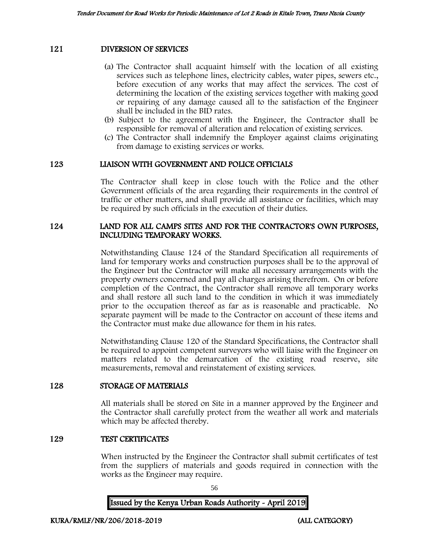#### 121 DIVERSION OF SERVICES

- (a) The Contractor shall acquaint himself with the location of all existing services such as telephone lines, electricity cables, water pipes, sewers etc., before execution of any works that may affect the services. The cost of determining the location of the existing services together with making good or repairing of any damage caused all to the satisfaction of the Engineer shall be included in the BID rates.
- (b) Subject to the agreement with the Engineer, the Contractor shall be responsible for removal of alteration and relocation of existing services.
- (c) The Contractor shall indemnify the Employer against claims originating from damage to existing services or works.

#### 123 LIAISON WITH GOVERNMENT AND POLICE OFFICIALS

The Contractor shall keep in close touch with the Police and the other Government officials of the area regarding their requirements in the control of traffic or other matters, and shall provide all assistance or facilities, which may be required by such officials in the execution of their duties.

#### 124 LAND FOR ALL CAMPS SITES AND FOR THE CONTRACTOR'S OWN PURPOSES, INCLUDING TEMPORARY WORKS.

Notwithstanding Clause 124 of the Standard Specification all requirements of land for temporary works and construction purposes shall be to the approval of the Engineer but the Contractor will make all necessary arrangements with the property owners concerned and pay all charges arising therefrom. On or before completion of the Contract, the Contractor shall remove all temporary works and shall restore all such land to the condition in which it was immediately prior to the occupation thereof as far as is reasonable and practicable. No separate payment will be made to the Contractor on account of these items and the Contractor must make due allowance for them in his rates.

Notwithstanding Clause 120 of the Standard Specifications, the Contractor shall be required to appoint competent surveyors who will liaise with the Engineer on matters related to the demarcation of the existing road reserve, site measurements, removal and reinstatement of existing services.

#### 128 STORAGE OF MATERIALS

All materials shall be stored on Site in a manner approved by the Engineer and the Contractor shall carefully protect from the weather all work and materials which may be affected thereby.

#### 129 TEST CERTIFICATES

When instructed by the Engineer the Contractor shall submit certificates of test from the suppliers of materials and goods required in connection with the works as the Engineer may require.

56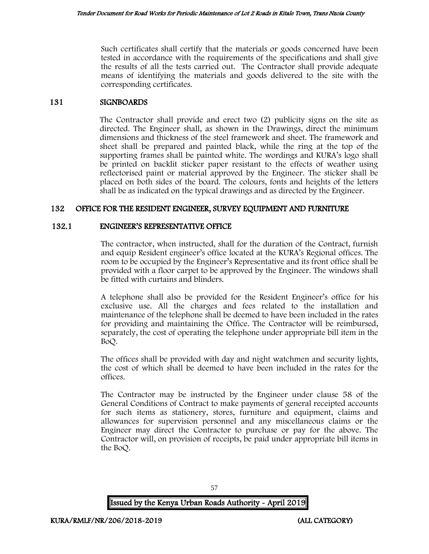Such certificates shall certify that the materials or goods concerned have been tested in accordance with the requirements of the specifications and shall give the results of all the tests carried out. The Contractor shall provide adequate means of identifying the materials and goods delivered to the site with the corresponding certificates.

#### 131 SIGNBOARDS

The Contractor shall provide and erect two (2) publicity signs on the site as directed. The Engineer shall, as shown in the Drawings, direct the minimum dimensions and thickness of the steel framework and sheet. The framework and sheet shall be prepared and painted black, while the ring at the top of the supporting frames shall be painted white. The wordings and KURA's logo shall be printed on backlit sticker paper resistant to the effects of weather using reflectorised paint or material approved by the Engineer. The sticker shall be placed on both sides of the board. The colours, fonts and heights of the letters shall be as indicated on the typical drawings and as directed by the Engineer.

## 132 OFFICE FOR THE RESIDENT ENGINEER, SURVEY EQUIPMENT AND FURNITURE

#### 132.1 ENGINEER'S REPRESENTATIVE OFFICE

The contractor, when instructed, shall for the duration of the Contract, furnish and equip Resident engineer's office located at the KURA's Regional offices. The room to be occupied by the Engineer's Representative and its front office shall be provided with a floor carpet to be approved by the Engineer. The windows shall be fitted with curtains and blinders.

A telephone shall also be provided for the Resident Engineer's office for his exclusive use. All the charges and fees related to the installation and maintenance of the telephone shall be deemed to have been included in the rates for providing and maintaining the Office. The Contractor will be reimbursed, separately, the cost of operating the telephone under appropriate bill item in the BoQ.

The offices shall be provided with day and night watchmen and security lights, the cost of which shall be deemed to have been included in the rates for the offices.

The Contractor may be instructed by the Engineer under clause 58 of the General Conditions of Contract to make payments of general receipted accounts for such items as stationery, stores, furniture and equipment, claims and allowances for supervision personnel and any miscellaneous claims or the Engineer may direct the Contractor to purchase or pay for the above. The Contractor will, on provision of receipts, be paid under appropriate bill items in the BoQ.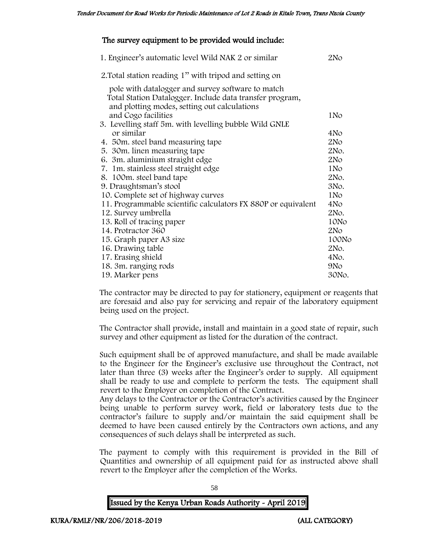## The survey equipment to be provided would include:

| 1. Engineer's automatic level Wild NAK 2 or similar                           | 2N <sub>O</sub> |
|-------------------------------------------------------------------------------|-----------------|
| 2. Total station reading 1" with tripod and setting on                        |                 |
| pole with datalogger and survey software to match                             |                 |
| Total Station Datalogger. Include data transfer program,                      |                 |
| and plotting modes, setting out calculations                                  |                 |
| and Cogo facilities<br>3. Levelling staff 5m. with levelling bubble Wild GNLE | 1No             |
| or similar                                                                    | 4N <sub>O</sub> |
| 4. 50 m. steel band measuring tape                                            | 2N <sub>O</sub> |
| 5. 30 m. linen measuring tape                                                 | 2No.            |
| 6. 3m. aluminium straight edge                                                | 2N <sub>O</sub> |
| 7. 1m. stainless steel straight edge                                          | 1N <sub>o</sub> |
| 8. 100m. steel band tape                                                      | 2No.            |
| 9. Draughtsman's stool                                                        | 3No.            |
| 10. Complete set of highway curves                                            | 1N <sub>o</sub> |
| 11. Programmable scientific calculators FX 880P or equivalent                 | 4N <sub>o</sub> |
| 12. Survey umbrella                                                           | 2No.            |
| 13. Roll of tracing paper                                                     | 10No            |
| 14. Protractor 360                                                            | 2N <sub>O</sub> |
| 15. Graph paper A3 size                                                       | 100No           |
| 16. Drawing table                                                             | 2No.            |
| 17. Erasing shield                                                            | 4No.            |
| 18. 3m. ranging rods                                                          | 9N <sub>o</sub> |
| 19. Marker pens                                                               | 30No.           |

The contractor may be directed to pay for stationery, equipment or reagents that are foresaid and also pay for servicing and repair of the laboratory equipment being used on the project.

The Contractor shall provide, install and maintain in a good state of repair, such survey and other equipment as listed for the duration of the contract.

Such equipment shall be of approved manufacture, and shall be made available to the Engineer for the Engineer's exclusive use throughout the Contract, not later than three (3) weeks after the Engineer's order to supply. All equipment shall be ready to use and complete to perform the tests. The equipment shall revert to the Employer on completion of the Contract.

Any delays to the Contractor or the Contractor's activities caused by the Engineer being unable to perform survey work, field or laboratory tests due to the contractor's failure to supply and/or maintain the said equipment shall be deemed to have been caused entirely by the Contractors own actions, and any consequences of such delays shall be interpreted as such.

The payment to comply with this requirement is provided in the Bill of Quantities and ownership of all equipment paid for as instructed above shall revert to the Employer after the completion of the Works.

| Issued by the Kenya Urban Roads Authority - April 2019 |  |  |
|--------------------------------------------------------|--|--|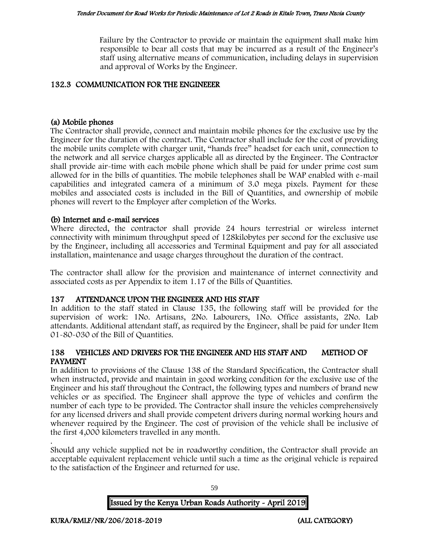Failure by the Contractor to provide or maintain the equipment shall make him responsible to bear all costs that may be incurred as a result of the Engineer's staff using alternative means of communication, including delays in supervision and approval of Works by the Engineer.

#### 132.3 COMMUNICATION FOR THE ENGINEEER

#### (a) Mobile phones

The Contractor shall provide, connect and maintain mobile phones for the exclusive use by the Engineer for the duration of the contract. The Contractor shall include for the cost of providing the mobile units complete with charger unit, "hands free" headset for each unit, connection to the network and all service charges applicable all as directed by the Engineer. The Contractor shall provide air-time with each mobile phone which shall be paid for under prime cost sum allowed for in the bills of quantities. The mobile telephones shall be WAP enabled with e-mail capabilities and integrated camera of a minimum of 3.0 mega pixels. Payment for these mobiles and associated costs is included in the Bill of Quantities, and ownership of mobile phones will revert to the Employer after completion of the Works.

#### (b) Internet and e-mail services

Where directed, the contractor shall provide 24 hours terrestrial or wireless internet connectivity with minimum throughput speed of 128kilobytes per second for the exclusive use by the Engineer, including all accessories and Terminal Equipment and pay for all associated installation, maintenance and usage charges throughout the duration of the contract.

The contractor shall allow for the provision and maintenance of internet connectivity and associated costs as per Appendix to item 1.17 of the Bills of Quantities.

#### 137 ATTENDANCE UPON THE ENGINEER AND HIS STAFF

In addition to the staff stated in Clause 135, the following staff will be provided for the supervision of work: 1No. Artisans, 2No. Labourers, 1No. Office assistants, 2No. Lab attendants. Additional attendant staff, as required by the Engineer, shall be paid for under Item 01-80-030 of the Bill of Quantities.

#### 138 VEHICLES AND DRIVERS FOR THE ENGINEER AND HIS STAFF AND METHOD OF PAYMENT

In addition to provisions of the Clause 138 of the Standard Specification, the Contractor shall when instructed, provide and maintain in good working condition for the exclusive use of the Engineer and his staff throughout the Contract, the following types and numbers of brand new vehicles or as specified. The Engineer shall approve the type of vehicles and confirm the number of each type to be provided. The Contractor shall insure the vehicles comprehensively for any licensed drivers and shall provide competent drivers during normal working hours and whenever required by the Engineer. The cost of provision of the vehicle shall be inclusive of the first 4,000 kilometers travelled in any month.

. Should any vehicle supplied not be in roadworthy condition, the Contractor shall provide an acceptable equivalent replacement vehicle until such a time as the original vehicle is repaired to the satisfaction of the Engineer and returned for use.

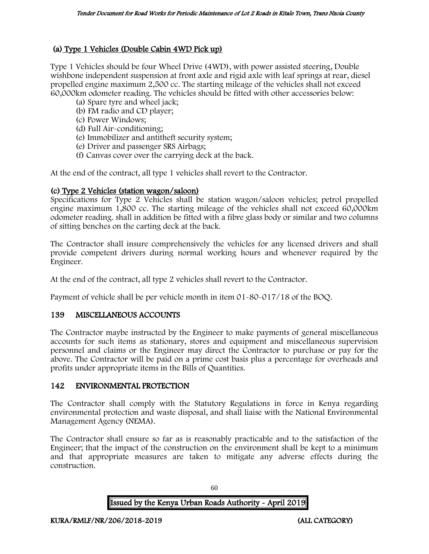# (a) Type 1 Vehicles (Double Cabin 4WD Pick up)

Type 1 Vehicles should be four Wheel Drive (4WD), with power assisted steering, Double wishbone independent suspension at front axle and rigid axle with leaf springs at rear, diesel propelled engine maximum 2,500 cc. The starting mileage of the vehicles shall not exceed 60,000km odometer reading. The vehicles should be fitted with other accessories below:

- (a) Spare tyre and wheel jack;
- (b) FM radio and CD player;
- (c) Power Windows;
- (d) Full Air-conditioning;
- (e) Immobilizer and antitheft security system;
- (e) Driver and passenger SRS Airbags;
- (f) Canvas cover over the carrying deck at the back.

At the end of the contract, all type 1 vehicles shall revert to the Contractor.

## (c) Type 2 Vehicles (station wagon/saloon)

Specifications for Type 2 Vehicles shall be station wagon/saloon vehicles; petrol propelled engine maximum 1,800 cc. The starting mileage of the vehicles shall not exceed 60,000km odometer reading. shall in addition be fitted with a fibre glass body or similar and two columns of sitting benches on the carting deck at the back.

The Contractor shall insure comprehensively the vehicles for any licensed drivers and shall provide competent drivers during normal working hours and whenever required by the Engineer.

At the end of the contract, all type 2 vehicles shall revert to the Contractor.

Payment of vehicle shall be per vehicle month in item 01-80-017/18 of the BOQ.

## 139 MISCELLANEOUS ACCOUNTS

The Contractor maybe instructed by the Engineer to make payments of general miscellaneous accounts for such items as stationary, stores and equipment and miscellaneous supervision personnel and claims or the Engineer may direct the Contractor to purchase or pay for the above. The Contractor will be paid on a prime cost basis plus a percentage for overheads and profits under appropriate items in the Bills of Quantities.

## 142 ENVIRONMENTAL PROTECTION

The Contractor shall comply with the Statutory Regulations in force in Kenya regarding environmental protection and waste disposal, and shall liaise with the National Environmental Management Agency (NEMA).

The Contractor shall ensure so far as is reasonably practicable and to the satisfaction of the Engineer; that the impact of the construction on the environment shall be kept to a minimum and that appropriate measures are taken to mitigate any adverse effects during the construction.

Issued by the Kenya Urban Roads Authority - April 2019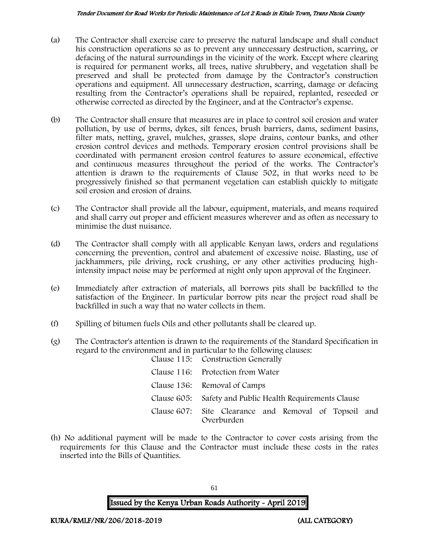- (a) The Contractor shall exercise care to preserve the natural landscape and shall conduct his construction operations so as to prevent any unnecessary destruction, scarring, or defacing of the natural surroundings in the vicinity of the work. Except where clearing is required for permanent works, all trees, native shrubbery, and vegetation shall be preserved and shall be protected from damage by the Contractor's construction operations and equipment. All unnecessary destruction, scarring, damage or defacing resulting from the Contractor's operations shall be repaired, replanted, reseeded or otherwise corrected as directed by the Engineer, and at the Contractor's expense.
- (b) The Contractor shall ensure that measures are in place to control soil erosion and water pollution, by use of berms, dykes, silt fences, brush barriers, dams, sediment basins, filter mats, netting, gravel, mulches, grasses, slope drains, contour banks, and other erosion control devices and methods. Temporary erosion control provisions shall be coordinated with permanent erosion control features to assure economical, effective and continuous measures throughout the period of the works. The Contractor's attention is drawn to the requirements of Clause 502, in that works need to be progressively finished so that permanent vegetation can establish quickly to mitigate soil erosion and erosion of drains.
- (c) The Contractor shall provide all the labour, equipment, materials, and means required and shall carry out proper and efficient measures wherever and as often as necessary to minimise the dust nuisance.
- (d) The Contractor shall comply with all applicable Kenyan laws, orders and regulations concerning the prevention, control and abatement of excessive noise. Blasting, use of jackhammers, pile driving, rock crushing, or any other activities producing highintensity impact noise may be performed at night only upon approval of the Engineer.
- (e) Immediately after extraction of materials, all borrows pits shall be backfilled to the satisfaction of the Engineer. In particular borrow pits near the project road shall be backfilled in such a way that no water collects in them.
- (f) Spilling of bitumen fuels Oils and other pollutants shall be cleared up.
- (g) The Contractor's attention is drawn to the requirements of the Standard Specification in regard to the environment and in particular to the following clauses: Clause 115: Construction Generally

| Overburden                                               |
|----------------------------------------------------------|
| Clause 607: Site Clearance and Removal of Topsoil and    |
| Clause 605: Safety and Public Health Requirements Clause |
| Clause 136: Removal of Camps                             |
| Clause 116: Protection from Water                        |
| Clause 119. Construction Generally                       |

(h) No additional payment will be made to the Contractor to cover costs arising from the requirements for this Clause and the Contractor must include these costs in the rates inserted into the Bills of Quantities.

Issued by the Kenya Urban Roads Authority - April 2019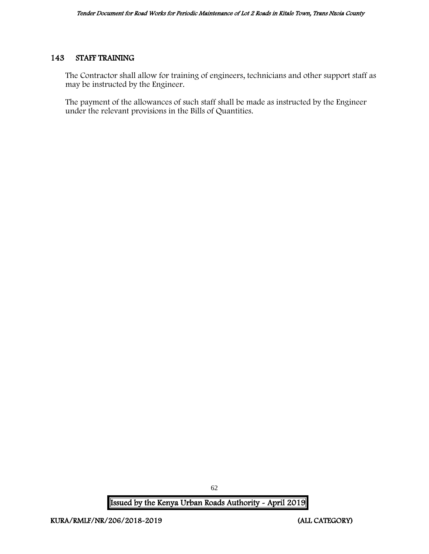## 143 STAFF TRAINING

The Contractor shall allow for training of engineers, technicians and other support staff as may be instructed by the Engineer.

The payment of the allowances of such staff shall be made as instructed by the Engineer under the relevant provisions in the Bills of Quantities.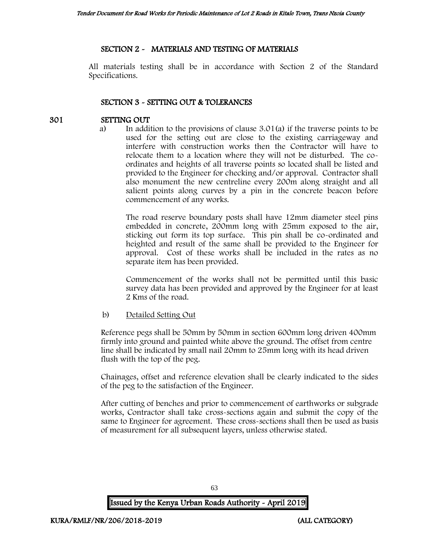## SECTION 2 - MATERIALS AND TESTING OF MATERIALS

All materials testing shall be in accordance with Section 2 of the Standard Specifications.

## SECTION 3 - SETTING OUT & TOLERANCES

#### 301 SETTING OUT

a) In addition to the provisions of clause 3.01(a) if the traverse points to be used for the setting out are close to the existing carriageway and interfere with construction works then the Contractor will have to relocate them to a location where they will not be disturbed. The coordinates and heights of all traverse points so located shall be listed and provided to the Engineer for checking and/or approval. Contractor shall also monument the new centreline every 200m along straight and all salient points along curves by a pin in the concrete beacon before commencement of any works.

The road reserve boundary posts shall have 12mm diameter steel pins embedded in concrete, 200mm long with 25mm exposed to the air, sticking out form its top surface. This pin shall be co-ordinated and heighted and result of the same shall be provided to the Engineer for approval. Cost of these works shall be included in the rates as no separate item has been provided.

Commencement of the works shall not be permitted until this basic survey data has been provided and approved by the Engineer for at least 2 Kms of the road.

#### b) Detailed Setting Out

Reference pegs shall be 50mm by 50mm in section 600mm long driven 400mm firmly into ground and painted white above the ground. The offset from centre line shall be indicated by small nail 20mm to 25mm long with its head driven flush with the top of the peg.

Chainages, offset and reference elevation shall be clearly indicated to the sides of the peg to the satisfaction of the Engineer.

After cutting of benches and prior to commencement of earthworks or subgrade works, Contractor shall take cross-sections again and submit the copy of the same to Engineer for agreement. These cross-sections shall then be used as basis of measurement for all subsequent layers, unless otherwise stated.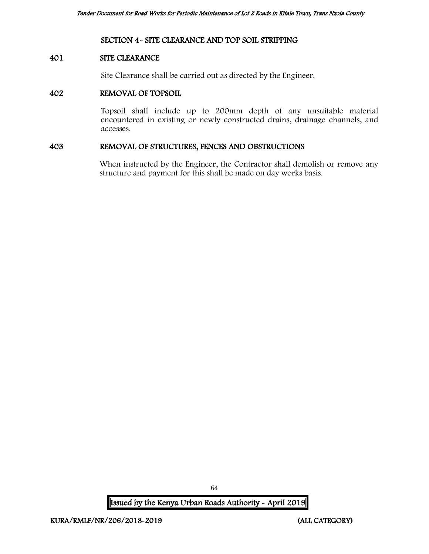#### SECTION 4- SITE CLEARANCE AND TOP SOIL STRIPPING

#### 401 SITE CLEARANCE

Site Clearance shall be carried out as directed by the Engineer.

#### 402 REMOVAL OF TOPSOIL

Topsoil shall include up to 200mm depth of any unsuitable material encountered in existing or newly constructed drains, drainage channels, and accesses.

#### 403 REMOVAL OF STRUCTURES, FENCES AND OBSTRUCTIONS

When instructed by the Engineer, the Contractor shall demolish or remove any structure and payment for this shall be made on day works basis.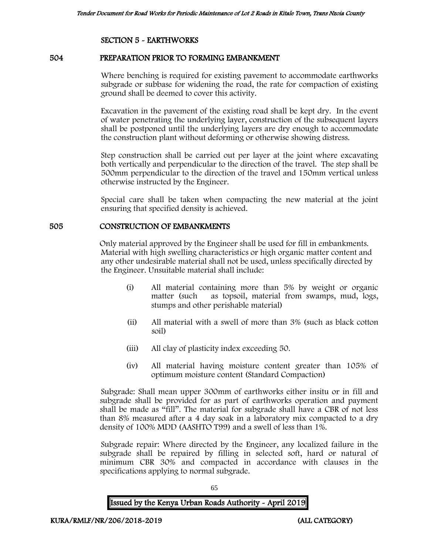## SECTION 5 - EARTHWORKS

#### 504 PREPARATION PRIOR TO FORMING EMBANKMENT

Where benching is required for existing pavement to accommodate earthworks subgrade or subbase for widening the road, the rate for compaction of existing ground shall be deemed to cover this activity.

Excavation in the pavement of the existing road shall be kept dry. In the event of water penetrating the underlying layer, construction of the subsequent layers shall be postponed until the underlying layers are dry enough to accommodate the construction plant without deforming or otherwise showing distress.

Step construction shall be carried out per layer at the joint where excavating both vertically and perpendicular to the direction of the travel. The step shall be 500mm perpendicular to the direction of the travel and 150mm vertical unless otherwise instructed by the Engineer.

Special care shall be taken when compacting the new material at the joint ensuring that specified density is achieved.

#### 505 CONSTRUCTION OF EMBANKMENTS

Only material approved by the Engineer shall be used for fill in embankments. Material with high swelling characteristics or high organic matter content and any other undesirable material shall not be used, unless specifically directed by the Engineer. Unsuitable material shall include:

- (i) All material containing more than 5% by weight or organic matter (such as topsoil, material from swamps, mud, logs, stumps and other perishable material)
- (ii) All material with a swell of more than 3% (such as black cotton soil)
- (iii) All clay of plasticity index exceeding 50.
- (iv) All material having moisture content greater than 105% of optimum moisture content (Standard Compaction)

Subgrade: Shall mean upper 300mm of earthworks either insitu or in fill and subgrade shall be provided for as part of earthworks operation and payment shall be made as "fill". The material for subgrade shall have a CBR of not less than 8% measured after a 4 day soak in a laboratory mix compacted to a dry density of 100% MDD (AASHTO T99) and a swell of less than 1%.

Subgrade repair: Where directed by the Engineer, any localized failure in the subgrade shall be repaired by filling in selected soft, hard or natural of minimum CBR 30% and compacted in accordance with clauses in the specifications applying to normal subgrade.

65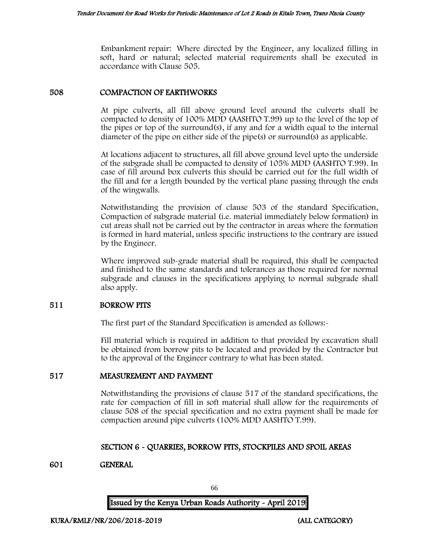Embankment repair: Where directed by the Engineer, any localized filling in soft, hard or natural; selected material requirements shall be executed in accordance with Clause 505.

#### 508 COMPACTION OF EARTHWORKS

At pipe culverts, all fill above ground level around the culverts shall be compacted to density of 100% MDD (AASHTO T.99) up to the level of the top of the pipes or top of the surround(s), if any and for a width equal to the internal diameter of the pipe on either side of the pipe(s) or surround(s) as applicable.

At locations adjacent to structures, all fill above ground level upto the underside of the subgrade shall be compacted to density of 105% MDD (AASHTO T.99). In case of fill around box culverts this should be carried out for the full width of the fill and for a length bounded by the vertical plane passing through the ends of the wingwalls.

Notwithstanding the provision of clause 503 of the standard Specification, Compaction of subgrade material (i.e. material immediately below formation) in cut areas shall not be carried out by the contractor in areas where the formation is formed in hard material, unless specific instructions to the contrary are issued by the Engineer.

Where improved sub-grade material shall be required, this shall be compacted and finished to the same standards and tolerances as those required for normal subgrade and clauses in the specifications applying to normal subgrade shall also apply.

#### 511 BORROW PITS

The first part of the Standard Specification is amended as follows:-

Fill material which is required in addition to that provided by excavation shall be obtained from borrow pits to be located and provided by the Contractor but to the approval of the Engineer contrary to what has been stated.

## 517 MEASUREMENT AND PAYMENT

Notwithstanding the provisions of clause 517 of the standard specifications, the rate for compaction of fill in soft material shall allow for the requirements of clause 508 of the special specification and no extra payment shall be made for compaction around pipe culverts (100% MDD AASHTO T.99).

## SECTION 6 - QUARRIES, BORROW PITS, STOCKPILES AND SPOIL AREAS

## 601 GENERAL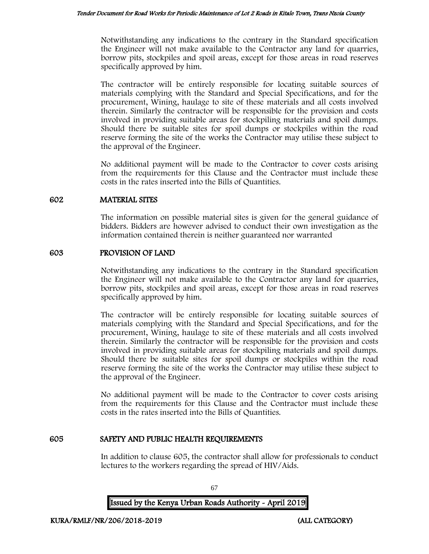Notwithstanding any indications to the contrary in the Standard specification the Engineer will not make available to the Contractor any land for quarries, borrow pits, stockpiles and spoil areas, except for those areas in road reserves specifically approved by him.

The contractor will be entirely responsible for locating suitable sources of materials complying with the Standard and Special Specifications, and for the procurement, Wining, haulage to site of these materials and all costs involved therein. Similarly the contractor will be responsible for the provision and costs involved in providing suitable areas for stockpiling materials and spoil dumps. Should there be suitable sites for spoil dumps or stockpiles within the road reserve forming the site of the works the Contractor may utilise these subject to the approval of the Engineer.

No additional payment will be made to the Contractor to cover costs arising from the requirements for this Clause and the Contractor must include these costs in the rates inserted into the Bills of Quantities.

#### 602 MATERIAL SITES

The information on possible material sites is given for the general guidance of bidders. Bidders are however advised to conduct their own investigation as the information contained therein is neither guaranteed nor warranted

## 603 PROVISION OF LAND

Notwithstanding any indications to the contrary in the Standard specification the Engineer will not make available to the Contractor any land for quarries, borrow pits, stockpiles and spoil areas, except for those areas in road reserves specifically approved by him.

The contractor will be entirely responsible for locating suitable sources of materials complying with the Standard and Special Specifications, and for the procurement, Wining, haulage to site of these materials and all costs involved therein. Similarly the contractor will be responsible for the provision and costs involved in providing suitable areas for stockpiling materials and spoil dumps. Should there be suitable sites for spoil dumps or stockpiles within the road reserve forming the site of the works the Contractor may utilise these subject to the approval of the Engineer.

No additional payment will be made to the Contractor to cover costs arising from the requirements for this Clause and the Contractor must include these costs in the rates inserted into the Bills of Quantities.

## 605 SAFETY AND PUBLIC HEALTH REQUIREMENTS

In addition to clause 605, the contractor shall allow for professionals to conduct lectures to the workers regarding the spread of HIV/Aids.

Issued by the Kenya Urban Roads Authority - April 2019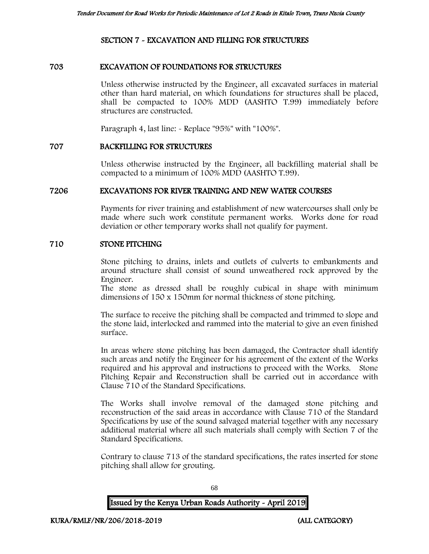## SECTION 7 - EXCAVATION AND FILLING FOR STRUCTURES

#### 703 EXCAVATION OF FOUNDATIONS FOR STRUCTURES

Unless otherwise instructed by the Engineer, all excavated surfaces in material other than hard material, on which foundations for structures shall be placed, shall be compacted to 100% MDD (AASHTO T.99) immediately before structures are constructed.

Paragraph 4, last line: - Replace "95%" with "100%".

#### 707 BACKFILLING FOR STRUCTURES

Unless otherwise instructed by the Engineer, all backfilling material shall be compacted to a minimum of 100% MDD (AASHTO T.99).

#### 7206 EXCAVATIONS FOR RIVER TRAINING AND NEW WATER COURSES

Payments for river training and establishment of new watercourses shall only be made where such work constitute permanent works. Works done for road deviation or other temporary works shall not qualify for payment.

#### 710 STONE PITCHING

Stone pitching to drains, inlets and outlets of culverts to embankments and around structure shall consist of sound unweathered rock approved by the Engineer.

The stone as dressed shall be roughly cubical in shape with minimum dimensions of 150 x 150mm for normal thickness of stone pitching.

The surface to receive the pitching shall be compacted and trimmed to slope and the stone laid, interlocked and rammed into the material to give an even finished surface.

In areas where stone pitching has been damaged, the Contractor shall identify such areas and notify the Engineer for his agreement of the extent of the Works required and his approval and instructions to proceed with the Works. Stone Pitching Repair and Reconstruction shall be carried out in accordance with Clause 710 of the Standard Specifications.

The Works shall involve removal of the damaged stone pitching and reconstruction of the said areas in accordance with Clause 710 of the Standard Specifications by use of the sound salvaged material together with any necessary additional material where all such materials shall comply with Section 7 of the Standard Specifications.

Contrary to clause 713 of the standard specifications, the rates inserted for stone pitching shall allow for grouting.

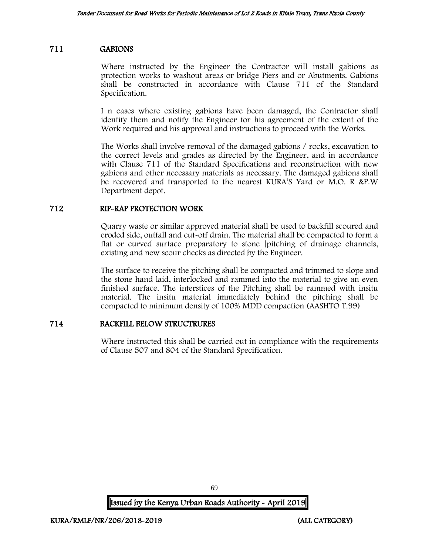## 711 GABIONS

Where instructed by the Engineer the Contractor will install gabions as protection works to washout areas or bridge Piers and or Abutments. Gabions shall be constructed in accordance with Clause 711 of the Standard Specification.

I n cases where existing gabions have been damaged, the Contractor shall identify them and notify the Engineer for his agreement of the extent of the Work required and his approval and instructions to proceed with the Works.

The Works shall involve removal of the damaged gabions / rocks, excavation to the correct levels and grades as directed by the Engineer, and in accordance with Clause 711 of the Standard Specifications and reconstruction with new gabions and other necessary materials as necessary. The damaged gabions shall be recovered and transported to the nearest KURA'S Yard or M.O. R &P.W Department depot.

#### 712 RIP-RAP PROTECTION WORK

Quarry waste or similar approved material shall be used to backfill scoured and eroded side, outfall and cut-off drain. The material shall be compacted to form a flat or curved surface preparatory to stone [pitching of drainage channels, existing and new scour checks as directed by the Engineer.

The surface to receive the pitching shall be compacted and trimmed to slope and the stone hand laid, interlocked and rammed into the material to give an even finished surface. The interstices of the Pitching shall be rammed with insitu material. The insitu material immediately behind the pitching shall be compacted to minimum density of 100% MDD compaction (AASHTO T.99)

## 714 BACKFILL BELOW STRUCTRURES

Where instructed this shall be carried out in compliance with the requirements of Clause 507 and 804 of the Standard Specification.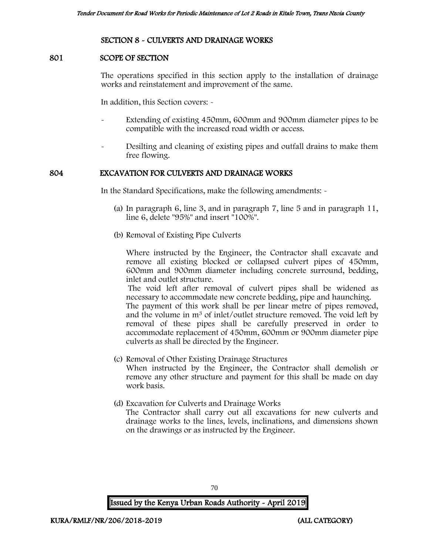#### SECTION 8 - CULVERTS AND DRAINAGE WORKS

#### 801 SCOPE OF SECTION

The operations specified in this section apply to the installation of drainage works and reinstatement and improvement of the same.

In addition, this Section covers: -

- Extending of existing 450mm, 600mm and 900mm diameter pipes to be compatible with the increased road width or access.
- Desilting and cleaning of existing pipes and outfall drains to make them free flowing.

#### 804 EXCAVATION FOR CULVERTS AND DRAINAGE WORKS

In the Standard Specifications, make the following amendments: -

- (a) In paragraph 6, line 3, and in paragraph 7, line 5 and in paragraph 11, line 6, delete "95%" and insert "100%".
- (b) Removal of Existing Pipe Culverts

Where instructed by the Engineer, the Contractor shall excavate and remove all existing blocked or collapsed culvert pipes of 450mm, 600mm and 900mm diameter including concrete surround, bedding, inlet and outlet structure.

The void left after removal of culvert pipes shall be widened as necessary to accommodate new concrete bedding, pipe and haunching.

The payment of this work shall be per linear metre of pipes removed, and the volume in m<sup>3</sup> of inlet/outlet structure removed. The void left by removal of these pipes shall be carefully preserved in order to accommodate replacement of 450mm, 600mm or 900mm diameter pipe culverts as shall be directed by the Engineer.

- (c) Removal of Other Existing Drainage Structures When instructed by the Engineer, the Contractor shall demolish or remove any other structure and payment for this shall be made on day work basis.
- (d) Excavation for Culverts and Drainage Works

The Contractor shall carry out all excavations for new culverts and drainage works to the lines, levels, inclinations, and dimensions shown on the drawings or as instructed by the Engineer.

70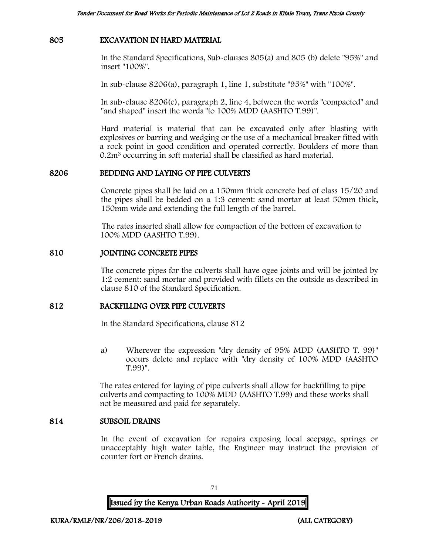#### 805 EXCAVATION IN HARD MATERIAL

In the Standard Specifications, Sub-clauses 805(a) and 805 (b) delete "95%" and insert "100%".

In sub-clause 8206(a), paragraph 1, line 1, substitute "95%" with "100%".

In sub-clause 8206(c), paragraph 2, line 4, between the words "compacted" and "and shaped" insert the words "to 100% MDD (AASHTO T.99)".

Hard material is material that can be excavated only after blasting with explosives or barring and wedging or the use of a mechanical breaker fitted with a rock point in good condition and operated correctly. Boulders of more than 0.2m<sup>3</sup> occurring in soft material shall be classified as hard material.

#### 8206 BEDDING AND LAYING OF PIPE CULVERTS

Concrete pipes shall be laid on a 150mm thick concrete bed of class 15/20 and the pipes shall be bedded on a 1:3 cement: sand mortar at least 50mm thick, 150mm wide and extending the full length of the barrel.

The rates inserted shall allow for compaction of the bottom of excavation to 100% MDD (AASHTO T.99).

#### 810 JOINTING CONCRETE PIPES

The concrete pipes for the culverts shall have ogee joints and will be jointed by 1:2 cement: sand mortar and provided with fillets on the outside as described in clause 810 of the Standard Specification.

#### 812 BACKFILLING OVER PIPE CULVERTS

In the Standard Specifications, clause 812

a) Wherever the expression "dry density of 95% MDD (AASHTO T. 99)" occurs delete and replace with "dry density of 100% MDD (AASHTO T.99)".

The rates entered for laying of pipe culverts shall allow for backfilling to pipe culverts and compacting to 100% MDD (AASHTO T.99) and these works shall not be measured and paid for separately.

#### 814 SUBSOIL DRAINS

In the event of excavation for repairs exposing local seepage, springs or unacceptably high water table, the Engineer may instruct the provision of counter fort or French drains.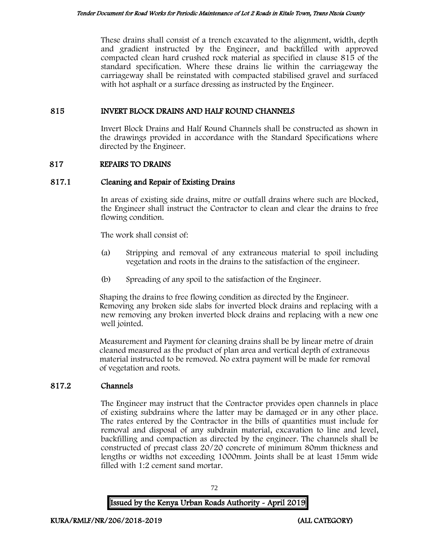These drains shall consist of a trench excavated to the alignment, width, depth and gradient instructed by the Engineer, and backfilled with approved compacted clean hard crushed rock material as specified in clause 815 of the standard specification. Where these drains lie within the carriageway the carriageway shall be reinstated with compacted stabilised gravel and surfaced with hot asphalt or a surface dressing as instructed by the Engineer.

#### 815 INVERT BLOCK DRAINS AND HALF ROUND CHANNELS

Invert Block Drains and Half Round Channels shall be constructed as shown in the drawings provided in accordance with the Standard Specifications where directed by the Engineer.

### 817 REPAIRS TO DRAINS

### 817.1 Cleaning and Repair of Existing Drains

In areas of existing side drains, mitre or outfall drains where such are blocked, the Engineer shall instruct the Contractor to clean and clear the drains to free flowing condition.

The work shall consist of:

- (a) Stripping and removal of any extraneous material to spoil including vegetation and roots in the drains to the satisfaction of the engineer.
- (b) Spreading of any spoil to the satisfaction of the Engineer.

Shaping the drains to free flowing condition as directed by the Engineer. Removing any broken side slabs for inverted block drains and replacing with a new removing any broken inverted block drains and replacing with a new one well jointed.

Measurement and Payment for cleaning drains shall be by linear metre of drain cleaned measured as the product of plan area and vertical depth of extraneous material instructed to be removed. No extra payment will be made for removal of vegetation and roots.

### 817.2 Channels

The Engineer may instruct that the Contractor provides open channels in place of existing subdrains where the latter may be damaged or in any other place. The rates entered by the Contractor in the bills of quantities must include for removal and disposal of any subdrain material, excavation to line and level, backfilling and compaction as directed by the engineer. The channels shall be constructed of precast class 20/20 concrete of minimum 80mm thickness and lengths or widths not exceeding 1000mm. Joints shall be at least 15mm wide filled with 1:2 cement sand mortar.



72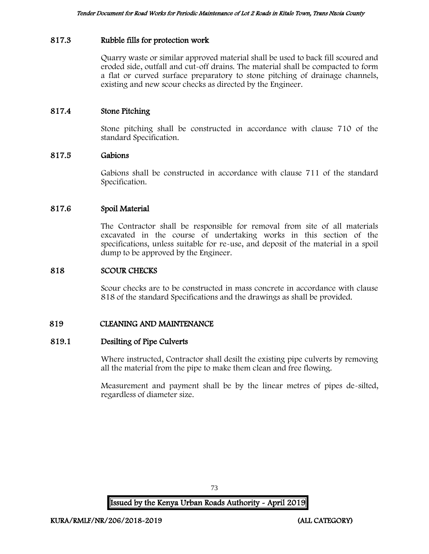### 817.3 Rubble fills for protection work

Quarry waste or similar approved material shall be used to back fill scoured and eroded side, outfall and cut-off drains. The material shall be compacted to form a flat or curved surface preparatory to stone pitching of drainage channels, existing and new scour checks as directed by the Engineer.

### 817.4 Stone Pitching

Stone pitching shall be constructed in accordance with clause 710 of the standard Specification.

#### 817.5 Gabions

Gabions shall be constructed in accordance with clause 711 of the standard Specification.

#### 817.6 Spoil Material

The Contractor shall be responsible for removal from site of all materials excavated in the course of undertaking works in this section of the specifications, unless suitable for re-use, and deposit of the material in a spoil dump to be approved by the Engineer.

#### 818 SCOUR CHECKS

Scour checks are to be constructed in mass concrete in accordance with clause 818 of the standard Specifications and the drawings as shall be provided.

#### 819 CLEANING AND MAINTENANCE

#### 819.1 Desilting of Pipe Culverts

Where instructed, Contractor shall desilt the existing pipe culverts by removing all the material from the pipe to make them clean and free flowing.

Measurement and payment shall be by the linear metres of pipes de-silted, regardless of diameter size.

73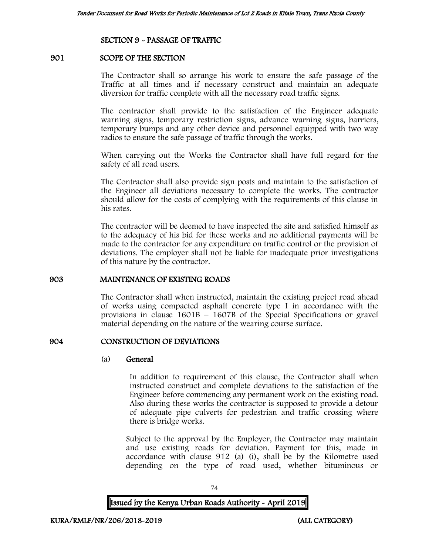### SECTION 9 - PASSAGE OF TRAFFIC

### 901 SCOPE OF THE SECTION

The Contractor shall so arrange his work to ensure the safe passage of the Traffic at all times and if necessary construct and maintain an adequate diversion for traffic complete with all the necessary road traffic signs.

The contractor shall provide to the satisfaction of the Engineer adequate warning signs, temporary restriction signs, advance warning signs, barriers, temporary bumps and any other device and personnel equipped with two way radios to ensure the safe passage of traffic through the works.

When carrying out the Works the Contractor shall have full regard for the safety of all road users.

The Contractor shall also provide sign posts and maintain to the satisfaction of the Engineer all deviations necessary to complete the works. The contractor should allow for the costs of complying with the requirements of this clause in his rates.

The contractor will be deemed to have inspected the site and satisfied himself as to the adequacy of his bid for these works and no additional payments will be made to the contractor for any expenditure on traffic control or the provision of deviations. The employer shall not be liable for inadequate prior investigations of this nature by the contractor.

#### 903 MAINTENANCE OF EXISTING ROADS

The Contractor shall when instructed, maintain the existing project road ahead of works using compacted asphalt concrete type I in accordance with the provisions in clause  $1601B - 1607B$  of the Special Specifications or gravel material depending on the nature of the wearing course surface.

#### 904 CONSTRUCTION OF DEVIATIONS

#### (a) General

In addition to requirement of this clause, the Contractor shall when instructed construct and complete deviations to the satisfaction of the Engineer before commencing any permanent work on the existing road. Also during these works the contractor is supposed to provide a detour of adequate pipe culverts for pedestrian and traffic crossing where there is bridge works.

Subject to the approval by the Employer, the Contractor may maintain and use existing roads for deviation. Payment for this, made in accordance with clause 912 (a) (i), shall be by the Kilometre used depending on the type of road used, whether bituminous or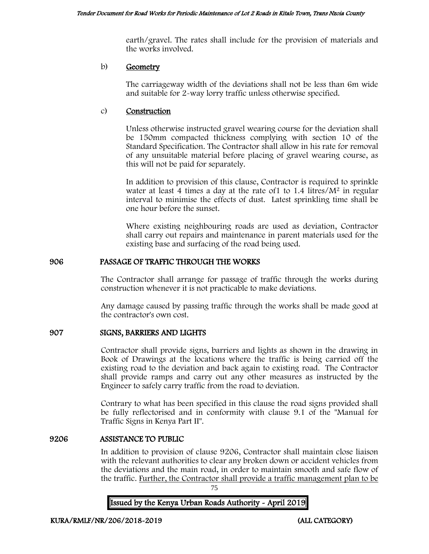earth/gravel. The rates shall include for the provision of materials and the works involved.

#### b) Geometry

The carriageway width of the deviations shall not be less than 6m wide and suitable for 2-way lorry traffic unless otherwise specified.

### c) Construction

Unless otherwise instructed gravel wearing course for the deviation shall be 150mm compacted thickness complying with section 10 of the Standard Specification. The Contractor shall allow in his rate for removal of any unsuitable material before placing of gravel wearing course, as this will not be paid for separately.

In addition to provision of this clause, Contractor is required to sprinkle water at least 4 times a day at the rate of  $1$  to  $1.4$  litres/ $M<sup>2</sup>$  in regular interval to minimise the effects of dust. Latest sprinkling time shall be one hour before the sunset.

Where existing neighbouring roads are used as deviation, Contractor shall carry out repairs and maintenance in parent materials used for the existing base and surfacing of the road being used.

### 906 PASSAGE OF TRAFFIC THROUGH THE WORKS

The Contractor shall arrange for passage of traffic through the works during construction whenever it is not practicable to make deviations.

Any damage caused by passing traffic through the works shall be made good at the contractor's own cost.

### 907 SIGNS, BARRIERS AND LIGHTS

Contractor shall provide signs, barriers and lights as shown in the drawing in Book of Drawings at the locations where the traffic is being carried off the existing road to the deviation and back again to existing road. The Contractor shall provide ramps and carry out any other measures as instructed by the Engineer to safely carry traffic from the road to deviation.

Contrary to what has been specified in this clause the road signs provided shall be fully reflectorised and in conformity with clause 9.1 of the "Manual for Traffic Signs in Kenya Part II".

#### 9206 ASSISTANCE TO PUBLIC

In addition to provision of clause 9206, Contractor shall maintain close liaison with the relevant authorities to clear any broken down or accident vehicles from the deviations and the main road, in order to maintain smooth and safe flow of the traffic. Further, the Contractor shall provide a traffic management plan to be

75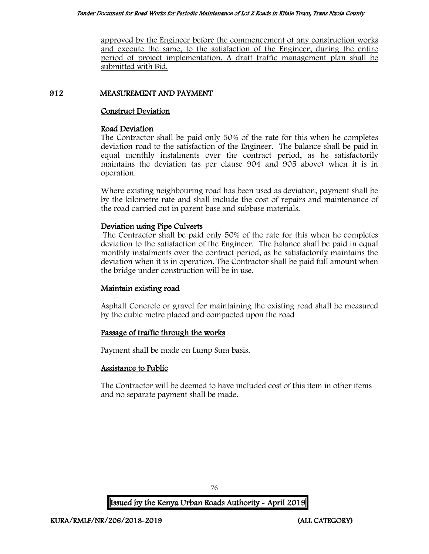approved by the Engineer before the commencement of any construction works and execute the same, to the satisfaction of the Engineer, during the entire period of project implementation. A draft traffic management plan shall be submitted with Bid.

### 912 MEASUREMENT AND PAYMENT

### Construct Deviation

#### Road Deviation

The Contractor shall be paid only 50% of the rate for this when he completes deviation road to the satisfaction of the Engineer. The balance shall be paid in equal monthly instalments over the contract period, as he satisfactorily maintains the deviation (as per clause 904 and 905 above) when it is in operation.

Where existing neighbouring road has been used as deviation, payment shall be by the kilometre rate and shall include the cost of repairs and maintenance of the road carried out in parent base and subbase materials.

### Deviation using Pipe Culverts

The Contractor shall be paid only 50% of the rate for this when he completes deviation to the satisfaction of the Engineer. The balance shall be paid in equal monthly instalments over the contract period, as he satisfactorily maintains the deviation when it is in operation. The Contractor shall be paid full amount when the bridge under construction will be in use.

### Maintain existing road

Asphalt Concrete or gravel for maintaining the existing road shall be measured by the cubic metre placed and compacted upon the road

### Passage of traffic through the works

Payment shall be made on Lump Sum basis.

### Assistance to Public

The Contractor will be deemed to have included cost of this item in other items and no separate payment shall be made.

76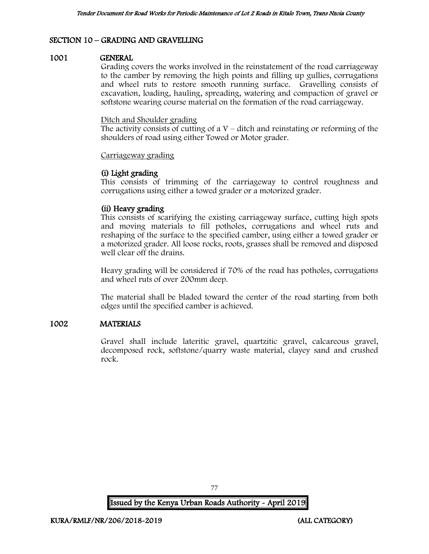# SECTION 10 – GRADING AND GRAVELLING

#### 1001 GENERAL

Grading covers the works involved in the reinstatement of the road carriageway to the camber by removing the high points and filling up gullies, corrugations and wheel ruts to restore smooth running surface. Gravelling consists of excavation, loading, hauling, spreading, watering and compaction of gravel or softstone wearing course material on the formation of the road carriageway.

#### Ditch and Shoulder grading

The activity consists of cutting of a  $V$  – ditch and reinstating or reforming of the shoulders of road using either Towed or Motor grader.

#### Carriageway grading

### (i) Light grading

This consists of trimming of the carriageway to control roughness and corrugations using either a towed grader or a motorized grader.

#### (ii) Heavy grading

This consists of scarifying the existing carriageway surface, cutting high spots and moving materials to fill potholes, corrugations and wheel ruts and reshaping of the surface to the specified camber, using either a towed grader or a motorized grader. All loose rocks, roots, grasses shall be removed and disposed well clear off the drains.

Heavy grading will be considered if 70% of the road has potholes, corrugations and wheel ruts of over 200mm deep.

The material shall be bladed toward the center of the road starting from both edges until the specified camber is achieved.

#### 1002 MATERIALS

Gravel shall include lateritic gravel, quartzitic gravel, calcareous gravel, decomposed rock, softstone/quarry waste material, clayey sand and crushed rock.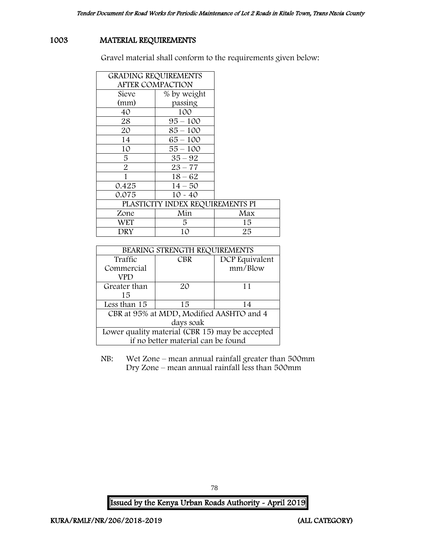# 1003 MATERIAL REQUIREMENTS

Gravel material shall conform to the requirements given below:

| <b>GRADING REQUIREMENTS</b>      |             |     |
|----------------------------------|-------------|-----|
| <b>AFTER COMPACTION</b>          |             |     |
| Sieve                            | % by weight |     |
| (mm)                             | passing     |     |
| 40                               | 100         |     |
| 28                               | $95 - 100$  |     |
| 20                               | $85 - 100$  |     |
| 14                               | $65 - 100$  |     |
| 10                               | $55 - 100$  |     |
| 5                                | $35 - 92$   |     |
| $\overline{2}$                   | $23 - 77$   |     |
|                                  | $18 - 62$   |     |
| 0.425                            | $14 - 50$   |     |
| 0.075                            | $10 - 40$   |     |
| PLASTICITY INDEX REQUIREMENTS PI |             |     |
| Zone                             | Min         | Max |
| WET                              | 5           | 15  |
| DRY                              | 10          | 25  |

| BEARING STRENGTH REQUIREMENTS                   |            |                |
|-------------------------------------------------|------------|----------------|
| Traffic                                         | <b>CBR</b> | DCP Equivalent |
| Commercial                                      |            | mm/Blow        |
| VPD                                             |            |                |
| Greater than                                    | $2\Omega$  | 11             |
| 15                                              |            |                |
| Less than 15                                    | 15         | 14             |
| CBR at 95% at MDD, Modified AASHTO and 4        |            |                |
| days soak                                       |            |                |
| Lower quality material (CBR 15) may be accepted |            |                |
| if no better material can be found              |            |                |

NB: Wet Zone – mean annual rainfall greater than 500mm Dry Zone – mean annual rainfall less than 500mm

Issued by the Kenya Urban Roads Authority - April 2019

78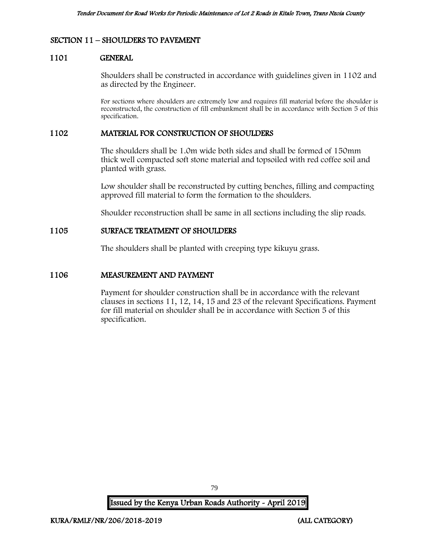### SECTION 11 – SHOULDERS TO PAVEMENT

#### 1101 GENERAL

Shoulders shall be constructed in accordance with guidelines given in 1102 and as directed by the Engineer.

For sections where shoulders are extremely low and requires fill material before the shoulder is reconstructed, the construction of fill embankment shall be in accordance with Section 5 of this specification.

#### 1102 MATERIAL FOR CONSTRUCTION OF SHOULDERS

The shoulders shall be 1.0m wide both sides and shall be formed of 150mm thick well compacted soft stone material and topsoiled with red coffee soil and planted with grass.

Low shoulder shall be reconstructed by cutting benches, filling and compacting approved fill material to form the formation to the shoulders.

Shoulder reconstruction shall be same in all sections including the slip roads.

### 1105 SURFACE TREATMENT OF SHOULDERS

The shoulders shall be planted with creeping type kikuyu grass.

#### 1106 MEASUREMENT AND PAYMENT

Payment for shoulder construction shall be in accordance with the relevant clauses in sections 11, 12, 14, 15 and 23 of the relevant Specifications. Payment for fill material on shoulder shall be in accordance with Section 5 of this specification.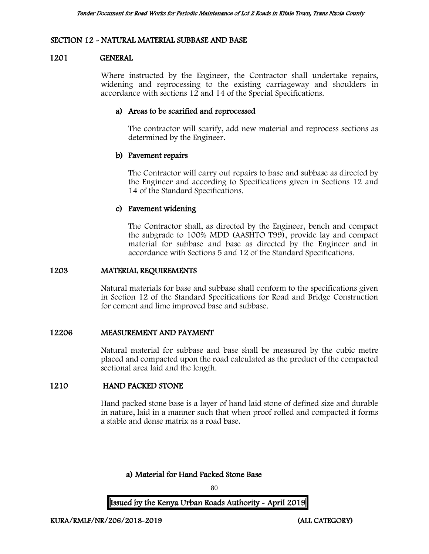#### SECTION 12 - NATURAL MATERIAL SUBBASE AND BASE

#### 1201 GENERAL

Where instructed by the Engineer, the Contractor shall undertake repairs, widening and reprocessing to the existing carriageway and shoulders in accordance with sections 12 and 14 of the Special Specifications.

#### a) Areas to be scarified and reprocessed

The contractor will scarify, add new material and reprocess sections as determined by the Engineer.

#### b) Pavement repairs

The Contractor will carry out repairs to base and subbase as directed by the Engineer and according to Specifications given in Sections 12 and 14 of the Standard Specifications.

#### c) Pavement widening

The Contractor shall, as directed by the Engineer, bench and compact the subgrade to 100% MDD (AASHTO T99), provide lay and compact material for subbase and base as directed by the Engineer and in accordance with Sections 5 and 12 of the Standard Specifications.

#### 1203 MATERIAL REQUIREMENTS

Natural materials for base and subbase shall conform to the specifications given in Section 12 of the Standard Specifications for Road and Bridge Construction for cement and lime improved base and subbase.

#### 12206 MEASUREMENT AND PAYMENT

Natural material for subbase and base shall be measured by the cubic metre placed and compacted upon the road calculated as the product of the compacted sectional area laid and the length.

### 1210 HAND PACKED STONE

Hand packed stone base is a layer of hand laid stone of defined size and durable in nature, laid in a manner such that when proof rolled and compacted it forms a stable and dense matrix as a road base.

a) Material for Hand Packed Stone Base

80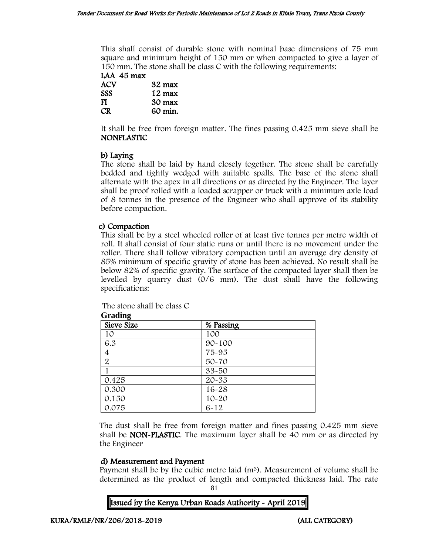This shall consist of durable stone with nominal base dimensions of 75 mm square and minimum height of 150 mm or when compacted to give a layer of 150 mm. The stone shall be class C with the following requirements:

| LAA 45 max |                  |
|------------|------------------|
| ACV        | 32 max           |
| <b>SSS</b> | $12 \text{ max}$ |
| FI         | 30 max           |
| CR         | 60 min.          |

It shall be free from foreign matter. The fines passing 0.425 mm sieve shall be NONPLASTIC

# b) Laying

The stone shall be laid by hand closely together. The stone shall be carefully bedded and tightly wedged with suitable spalls. The base of the stone shall alternate with the apex in all directions or as directed by the Engineer. The layer shall be proof rolled with a loaded scrapper or truck with a minimum axle load of 8 tonnes in the presence of the Engineer who shall approve of its stability before compaction.

### c) Compaction

This shall be by a steel wheeled roller of at least five tonnes per metre width of roll. It shall consist of four static runs or until there is no movement under the roller. There shall follow vibratory compaction until an average dry density of 85% minimum of specific gravity of stone has been achieved. No result shall be below 82% of specific gravity. The surface of the compacted layer shall then be levelled by quarry dust (0/6 mm). The dust shall have the following specifications:

The stone shall be class C

| $rac{1}{2}$<br>Sieve Size | % Passing  |  |
|---------------------------|------------|--|
| 10                        | 100        |  |
| 6.3                       | $90 - 100$ |  |
| 4                         | 75-95      |  |
| $\overline{2}$            | 50-70      |  |
|                           | $33 - 50$  |  |
| 0.425                     | 20-33      |  |
| 0.300                     | 16-28      |  |
| 0.150                     | $10 - 20$  |  |
| 0.075                     | $6 - 12$   |  |

**Grading**

The dust shall be free from foreign matter and fines passing 0.425 mm sieve shall be NON-PLASTIC. The maximum layer shall be 40 mm or as directed by the Engineer

### d) Measurement and Payment

Payment shall be by the cubic metre laid  $(m<sup>3</sup>)$ . Measurement of volume shall be determined as the product of length and compacted thickness laid. The rate

81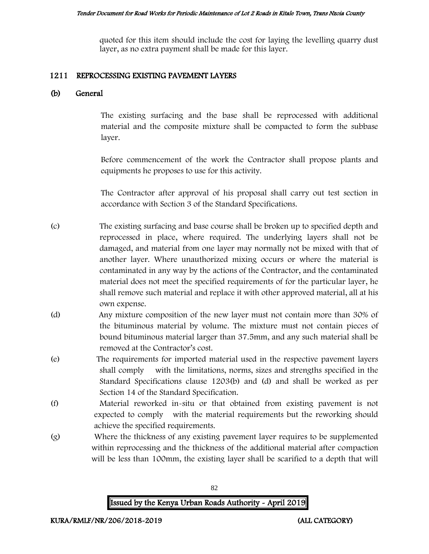quoted for this item should include the cost for laying the levelling quarry dust layer, as no extra payment shall be made for this layer.

#### 1211 REPROCESSING EXISTING PAVEMENT LAYERS

### (b) General

The existing surfacing and the base shall be reprocessed with additional material and the composite mixture shall be compacted to form the subbase layer.

Before commencement of the work the Contractor shall propose plants and equipments he proposes to use for this activity.

The Contractor after approval of his proposal shall carry out test section in accordance with Section 3 of the Standard Specifications.

- (c) The existing surfacing and base course shall be broken up to specified depth and reprocessed in place, where required. The underlying layers shall not be damaged, and material from one layer may normally not be mixed with that of another layer. Where unauthorized mixing occurs or where the material is contaminated in any way by the actions of the Contractor, and the contaminated material does not meet the specified requirements of for the particular layer, he shall remove such material and replace it with other approved material, all at his own expense.
- (d) Any mixture composition of the new layer must not contain more than 30% of the bituminous material by volume. The mixture must not contain pieces of bound bituminous material larger than 37.5mm, and any such material shall be removed at the Contractor's cost.
- (e) The requirements for imported material used in the respective pavement layers shall comply with the limitations, norms, sizes and strengths specified in the Standard Specifications clause 1203(b) and (d) and shall be worked as per Section 14 of the Standard Specification.
- (f) Material reworked in-situ or that obtained from existing pavement is not expected to comply with the material requirements but the reworking should achieve the specified requirements.
- (g) Where the thickness of any existing pavement layer requires to be supplemented within reprocessing and the thickness of the additional material after compaction will be less than 100mm, the existing layer shall be scarified to a depth that will

82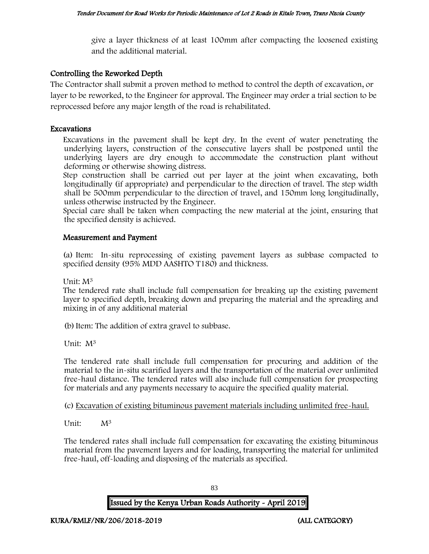give a layer thickness of at least 100mm after compacting the loosened existing and the additional material.

# Controlling the Reworked Depth

The Contractor shall submit a proven method to method to control the depth of excavation, or layer to be reworked, to the Engineer for approval. The Engineer may order a trial section to be reprocessed before any major length of the road is rehabilitated.

### Excavations

Excavations in the pavement shall be kept dry. In the event of water penetrating the underlying layers, construction of the consecutive layers shall be postponed until the underlying layers are dry enough to accommodate the construction plant without deforming or otherwise showing distress.

Step construction shall be carried out per layer at the joint when excavating, both longitudinally (if appropriate) and perpendicular to the direction of travel. The step width shall be 500mm perpendicular to the direction of travel, and 150mm long longitudinally, unless otherwise instructed by the Engineer.

Special care shall be taken when compacting the new material at the joint, ensuring that the specified density is achieved.

### Measurement and Payment

(a) Item: In-situ reprocessing of existing pavement layers as subbase compacted to specified density (95% MDD AASHTO T180) and thickness.

Unit: M<sup>3</sup>

The tendered rate shall include full compensation for breaking up the existing pavement layer to specified depth, breaking down and preparing the material and the spreading and mixing in of any additional material

(b)Item: The addition of extra gravel to subbase.

Unit: M<sup>3</sup>

The tendered rate shall include full compensation for procuring and addition of the material to the in-situ scarified layers and the transportation of the material over unlimited free-haul distance. The tendered rates will also include full compensation for prospecting for materials and any payments necessary to acquire the specified quality material.

(c) Excavation of existing bituminous pavement materials including unlimited free-haul.

Unit: M<sup>3</sup>

The tendered rates shall include full compensation for excavating the existing bituminous material from the pavement layers and for loading, transporting the material for unlimited free-haul, off-loading and disposing of the materials as specified.

83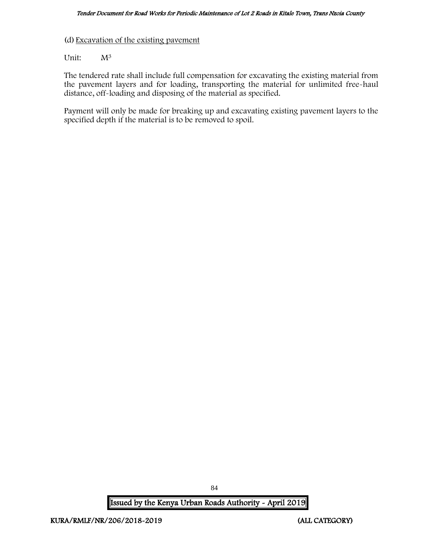(d) Excavation of the existing pavement

Unit:  $M^3$ 

The tendered rate shall include full compensation for excavating the existing material from the pavement layers and for loading, transporting the material for unlimited free-haul distance, off-loading and disposing of the material as specified.

Payment will only be made for breaking up and excavating existing pavement layers to the specified depth if the material is to be removed to spoil.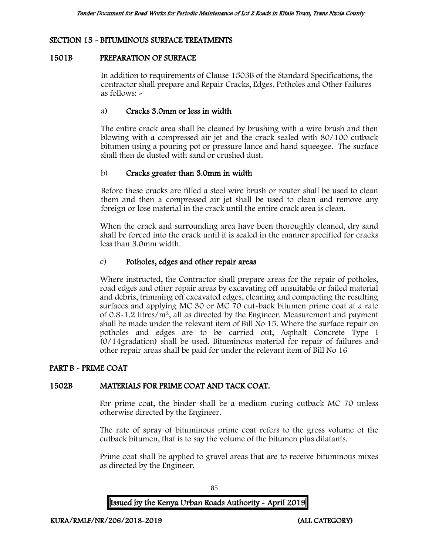### SECTION 15 - BITUMINOUS SURFACE TREATMENTS

### 1501B PREPARATION OF SURFACE

In addition to requirements of Clause 1503B of the Standard Specifications, the contractor shall prepare and Repair Cracks, Edges, Potholes and Other Failures as follows: -

### a) Cracks 3.0mm or less in width

The entire crack area shall be cleaned by brushing with a wire brush and then blowing with a compressed air jet and the crack sealed with 80/100 cutback bitumen using a pouring pot or pressure lance and hand squeegee. The surface shall then de dusted with sand or crushed dust.

### b) Cracks greater than 3.0mm in width

Before these cracks are filled a steel wire brush or router shall be used to clean them and then a compressed air jet shall be used to clean and remove any foreign or lose material in the crack until the entire crack area is clean.

When the crack and surrounding area have been thoroughly cleaned, dry sand shall be forced into the crack until it is sealed in the manner specified for cracks less than 3.0mm width.

### c) Potholes, edges and other repair areas

Where instructed, the Contractor shall prepare areas for the repair of potholes, road edges and other repair areas by excavating off unsuitable or failed material and debris, trimming off excavated edges, cleaning and compacting the resulting surfaces and applying MC 30 or MC 70 cut-back bitumen prime coat at a rate of 0.8-1.2 litres/m<sup>2</sup>, all as directed by the Engineer. Measurement and payment shall be made under the relevant item of Bill No 15. Where the surface repair on potholes and edges are to be carried out, Asphalt Concrete Type I (0/14gradation) shall be used. Bituminous material for repair of failures and other repair areas shall be paid for under the relevant item of Bill No 16

#### PART B - PRIME COAT

#### 1502B MATERIALS FOR PRIME COAT AND TACK COAT.

For prime coat, the binder shall be a medium-curing cutback MC 70 unless otherwise directed by the Engineer.

The rate of spray of bituminous prime coat refers to the gross volume of the cutback bitumen, that is to say the volume of the bitumen plus dilatants.

Prime coat shall be applied to gravel areas that are to receive bituminous mixes as directed by the Engineer.

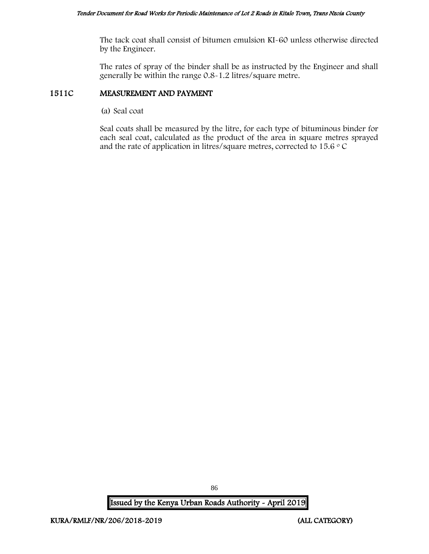The tack coat shall consist of bitumen emulsion KI-60 unless otherwise directed by the Engineer.

The rates of spray of the binder shall be as instructed by the Engineer and shall generally be within the range 0.8-1.2 litres/square metre.

### 1511C MEASUREMENT AND PAYMENT

(a) Seal coat

Seal coats shall be measured by the litre, for each type of bituminous binder for each seal coat, calculated as the product of the area in square metres sprayed and the rate of application in litres/square metres, corrected to 15.6  $\circ$  C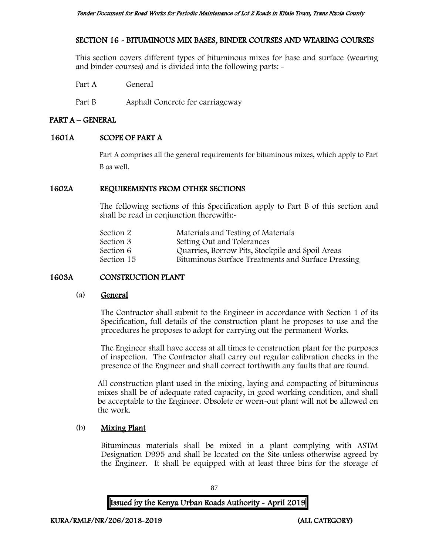### SECTION 16 - BITUMINOUS MIX BASES, BINDER COURSES AND WEARING COURSES

This section covers different types of bituminous mixes for base and surface (wearing and binder courses) and is divided into the following parts: -

Part A General

Part B Asphalt Concrete for carriageway

### PART A – GENERAL

### 1601A SCOPE OF PART A

Part A comprises all the general requirements for bituminous mixes, which apply to Part B as well.

### 1602A REQUIREMENTS FROM OTHER SECTIONS

The following sections of this Specification apply to Part B of this section and shall be read in conjunction therewith:-

| Section 2  | Materials and Testing of Materials                 |
|------------|----------------------------------------------------|
| Section 3  | Setting Out and Tolerances                         |
| Section 6  | Quarries, Borrow Pits, Stockpile and Spoil Areas   |
| Section 15 | Bituminous Surface Treatments and Surface Dressing |
|            |                                                    |

### 1603A CONSTRUCTION PLANT

#### (a) General

The Contractor shall submit to the Engineer in accordance with Section 1 of its Specification, full details of the construction plant he proposes to use and the procedures he proposes to adopt for carrying out the permanent Works.

The Engineer shall have access at all times to construction plant for the purposes of inspection. The Contractor shall carry out regular calibration checks in the presence of the Engineer and shall correct forthwith any faults that are found.

All construction plant used in the mixing, laying and compacting of bituminous mixes shall be of adequate rated capacity, in good working condition, and shall be acceptable to the Engineer. Obsolete or worn-out plant will not be allowed on the work.

### (b) Mixing Plant

Bituminous materials shall be mixed in a plant complying with ASTM Designation D995 and shall be located on the Site unless otherwise agreed by the Engineer. It shall be equipped with at least three bins for the storage of

87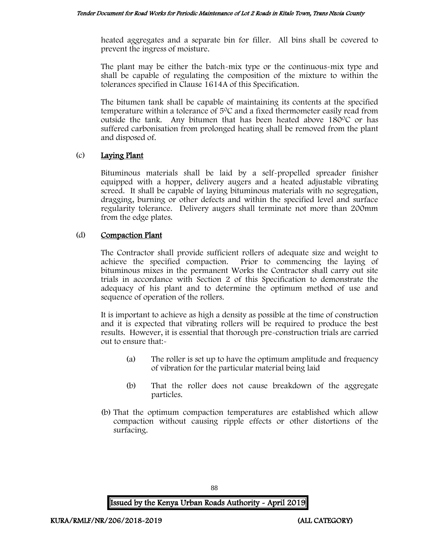heated aggregates and a separate bin for filler. All bins shall be covered to prevent the ingress of moisture.

The plant may be either the batch-mix type or the continuous-mix type and shall be capable of regulating the composition of the mixture to within the tolerances specified in Clause 1614A of this Specification.

The bitumen tank shall be capable of maintaining its contents at the specified temperature within a tolerance of  $5^{\circ}$ C and a fixed thermometer easily read from outside the tank. Any bitumen that has been heated above  $180^{\circ}$ C or has suffered carbonisation from prolonged heating shall be removed from the plant and disposed of.

### (c) Laying Plant

Bituminous materials shall be laid by a self-propelled spreader finisher equipped with a hopper, delivery augers and a heated adjustable vibrating screed. It shall be capable of laying bituminous materials with no segregation, dragging, burning or other defects and within the specified level and surface regularity tolerance. Delivery augers shall terminate not more than 200mm from the edge plates.

### (d) Compaction Plant

The Contractor shall provide sufficient rollers of adequate size and weight to achieve the specified compaction. Prior to commencing the laying of bituminous mixes in the permanent Works the Contractor shall carry out site trials in accordance with Section 2 of this Specification to demonstrate the adequacy of his plant and to determine the optimum method of use and sequence of operation of the rollers.

It is important to achieve as high a density as possible at the time of construction and it is expected that vibrating rollers will be required to produce the best results. However, it is essential that thorough pre-construction trials are carried out to ensure that:-

- (a) The roller is set up to have the optimum amplitude and frequency of vibration for the particular material being laid
- (b) That the roller does not cause breakdown of the aggregate particles.
- (b) That the optimum compaction temperatures are established which allow compaction without causing ripple effects or other distortions of the surfacing.

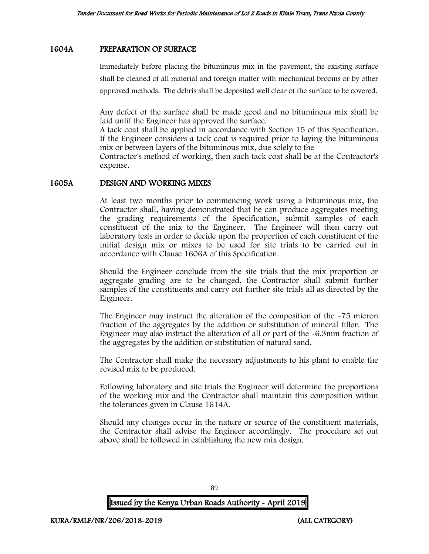### 1604A PREPARATION OF SURFACE

Immediately before placing the bituminous mix in the pavement, the existing surface shall be cleaned of all material and foreign matter with mechanical brooms or by other approved methods. The debris shall be deposited well clear of the surface to be covered.

Any defect of the surface shall be made good and no bituminous mix shall be laid until the Engineer has approved the surface.

A tack coat shall be applied in accordance with Section 15 of this Specification. If the Engineer considers a tack coat is required prior to laying the bituminous mix or between layers of the bituminous mix, due solely to the

Contractor's method of working, then such tack coat shall be at the Contractor's expense.

#### 1605A DESIGN AND WORKING MIXES

At least two months prior to commencing work using a bituminous mix, the Contractor shall, having demonstrated that he can produce aggregates meeting the grading requirements of the Specification, submit samples of each constituent of the mix to the Engineer. The Engineer will then carry out laboratory tests in order to decide upon the proportion of each constituent of the initial design mix or mixes to be used for site trials to be carried out in accordance with Clause 1606A of this Specification.

Should the Engineer conclude from the site trials that the mix proportion or aggregate grading are to be changed, the Contractor shall submit further samples of the constituents and carry out further site trials all as directed by the Engineer.

The Engineer may instruct the alteration of the composition of the -75 micron fraction of the aggregates by the addition or substitution of mineral filler. The Engineer may also instruct the alteration of all or part of the -6.3mm fraction of the aggregates by the addition or substitution of natural sand.

The Contractor shall make the necessary adjustments to his plant to enable the revised mix to be produced.

Following laboratory and site trials the Engineer will determine the proportions of the working mix and the Contractor shall maintain this composition within the tolerances given in Clause 1614A.

Should any changes occur in the nature or source of the constituent materials, the Contractor shall advise the Engineer accordingly. The procedure set out above shall be followed in establishing the new mix design.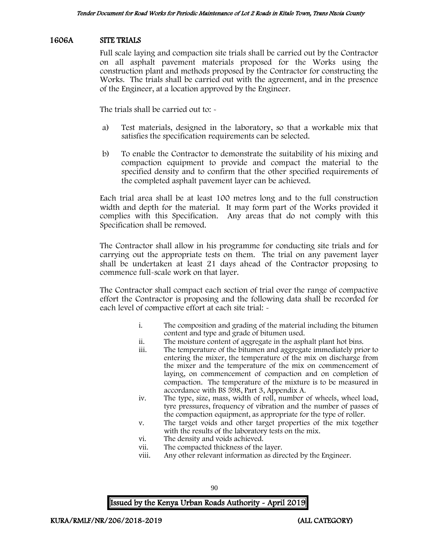### 1606A SITE TRIALS

Full scale laying and compaction site trials shall be carried out by the Contractor on all asphalt pavement materials proposed for the Works using the construction plant and methods proposed by the Contractor for constructing the Works. The trials shall be carried out with the agreement, and in the presence of the Engineer, at a location approved by the Engineer.

The trials shall be carried out to: -

- a) Test materials, designed in the laboratory, so that a workable mix that satisfies the specification requirements can be selected.
- b) To enable the Contractor to demonstrate the suitability of his mixing and compaction equipment to provide and compact the material to the specified density and to confirm that the other specified requirements of the completed asphalt pavement layer can be achieved.

Each trial area shall be at least 100 metres long and to the full construction width and depth for the material. It may form part of the Works provided it complies with this Specification. Any areas that do not comply with this Specification shall be removed.

The Contractor shall allow in his programme for conducting site trials and for carrying out the appropriate tests on them. The trial on any pavement layer shall be undertaken at least 21 days ahead of the Contractor proposing to commence full-scale work on that layer.

The Contractor shall compact each section of trial over the range of compactive effort the Contractor is proposing and the following data shall be recorded for each level of compactive effort at each site trial: -

- i. The composition and grading of the material including the bitumen content and type and grade of bitumen used.
- ii. The moisture content of aggregate in the asphalt plant hot bins.
- The temperature of the bitumen and aggregate immediately prior to entering the mixer, the temperature of the mix on discharge from the mixer and the temperature of the mix on commencement of laying, on commencement of compaction and on completion of compaction. The temperature of the mixture is to be measured in accordance with BS 598, Part 3, Appendix A.
- iv. The type, size, mass, width of roll, number of wheels, wheel load, tyre pressures, frequency of vibration and the number of passes of the compaction equipment, as appropriate for the type of roller.
- v. The target voids and other target properties of the mix together with the results of the laboratory tests on the mix.
- vi. The density and voids achieved.
- vii. The compacted thickness of the layer.
- viii. Any other relevant information as directed by the Engineer.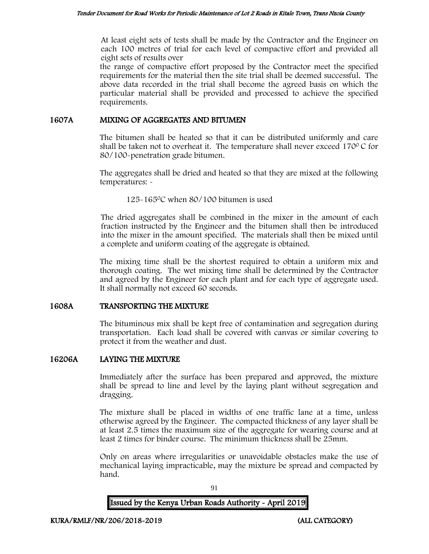At least eight sets of tests shall be made by the Contractor and the Engineer on each 100 metres of trial for each level of compactive effort and provided all eight sets of results over

the range of compactive effort proposed by the Contractor meet the specified requirements for the material then the site trial shall be deemed successful. The above data recorded in the trial shall become the agreed basis on which the particular material shall be provided and processed to achieve the specified requirements.

#### 1607A MIXING OF AGGREGATES AND BITUMEN

The bitumen shall be heated so that it can be distributed uniformly and care shall be taken not to overheat it. The temperature shall never exceed  $170^{\circ}$ C for 80/100-penetration grade bitumen.

The aggregates shall be dried and heated so that they are mixed at the following temperatures: -

125-165<sup>0</sup>C when 80/100 bitumen is used

The dried aggregates shall be combined in the mixer in the amount of each fraction instructed by the Engineer and the bitumen shall then be introduced into the mixer in the amount specified. The materials shall then be mixed until a complete and uniform coating of the aggregate is obtained.

The mixing time shall be the shortest required to obtain a uniform mix and thorough coating. The wet mixing time shall be determined by the Contractor and agreed by the Engineer for each plant and for each type of aggregate used. It shall normally not exceed 60 seconds.

### 1608A TRANSPORTING THE MIXTURE

The bituminous mix shall be kept free of contamination and segregation during transportation. Each load shall be covered with canvas or similar covering to protect it from the weather and dust.

### 16206A LAYING THE MIXTURE

Immediately after the surface has been prepared and approved, the mixture shall be spread to line and level by the laying plant without segregation and dragging.

The mixture shall be placed in widths of one traffic lane at a time, unless otherwise agreed by the Engineer. The compacted thickness of any layer shall be at least 2.5 times the maximum size of the aggregate for wearing course and at least 2 times for binder course. The minimum thickness shall be 25mm.

Only on areas where irregularities or unavoidable obstacles make the use of mechanical laying impracticable, may the mixture be spread and compacted by hand.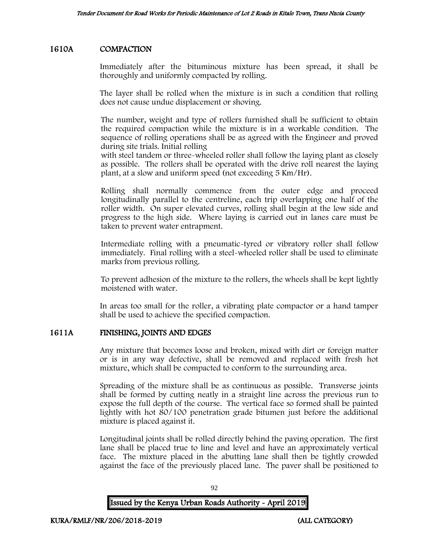### 1610A COMPACTION

Immediately after the bituminous mixture has been spread, it shall be thoroughly and uniformly compacted by rolling.

The layer shall be rolled when the mixture is in such a condition that rolling does not cause undue displacement or shoving.

The number, weight and type of rollers furnished shall be sufficient to obtain the required compaction while the mixture is in a workable condition. The sequence of rolling operations shall be as agreed with the Engineer and proved during site trials. Initial rolling

with steel tandem or three-wheeled roller shall follow the laying plant as closely as possible. The rollers shall be operated with the drive roll nearest the laying plant, at a slow and uniform speed (not exceeding 5 Km/Hr).

Rolling shall normally commence from the outer edge and proceed longitudinally parallel to the centreline, each trip overlapping one half of the roller width. On super elevated curves, rolling shall begin at the low side and progress to the high side. Where laying is carried out in lanes care must be taken to prevent water entrapment.

Intermediate rolling with a pneumatic-tyred or vibratory roller shall follow immediately. Final rolling with a steel-wheeled roller shall be used to eliminate marks from previous rolling.

To prevent adhesion of the mixture to the rollers, the wheels shall be kept lightly moistened with water.

In areas too small for the roller, a vibrating plate compactor or a hand tamper shall be used to achieve the specified compaction.

### 1611A FINISHING, JOINTS AND EDGES

Any mixture that becomes loose and broken, mixed with dirt or foreign matter or is in any way defective, shall be removed and replaced with fresh hot mixture, which shall be compacted to conform to the surrounding area.

Spreading of the mixture shall be as continuous as possible. Transverse joints shall be formed by cutting neatly in a straight line across the previous run to expose the full depth of the course. The vertical face so formed shall be painted lightly with hot 80/100 penetration grade bitumen just before the additional mixture is placed against it.

Longitudinal joints shall be rolled directly behind the paving operation. The first lane shall be placed true to line and level and have an approximately vertical face. The mixture placed in the abutting lane shall then be tightly crowded against the face of the previously placed lane. The paver shall be positioned to

| <b>Issued by the Kenya Urban Roads Authority - April 2019</b> |  |
|---------------------------------------------------------------|--|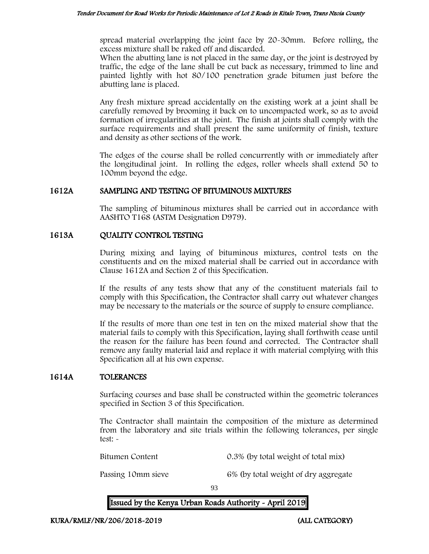spread material overlapping the joint face by 20-30mm. Before rolling, the excess mixture shall be raked off and discarded.

When the abutting lane is not placed in the same day, or the joint is destroyed by traffic, the edge of the lane shall be cut back as necessary, trimmed to line and painted lightly with hot 80/100 penetration grade bitumen just before the abutting lane is placed.

Any fresh mixture spread accidentally on the existing work at a joint shall be carefully removed by brooming it back on to uncompacted work, so as to avoid formation of irregularities at the joint. The finish at joints shall comply with the surface requirements and shall present the same uniformity of finish, texture and density as other sections of the work.

The edges of the course shall be rolled concurrently with or immediately after the longitudinal joint. In rolling the edges, roller wheels shall extend 50 to 100mm beyond the edge.

### 1612A SAMPLING AND TESTING OF BITUMINOUS MIXTURES

The sampling of bituminous mixtures shall be carried out in accordance with AASHTO T168 (ASTM Designation D979).

### 1613A QUALITY CONTROL TESTING

During mixing and laying of bituminous mixtures, control tests on the constituents and on the mixed material shall be carried out in accordance with Clause 1612A and Section 2 of this Specification.

If the results of any tests show that any of the constituent materials fail to comply with this Specification, the Contractor shall carry out whatever changes may be necessary to the materials or the source of supply to ensure compliance.

If the results of more than one test in ten on the mixed material show that the material fails to comply with this Specification, laying shall forthwith cease until the reason for the failure has been found and corrected. The Contractor shall remove any faulty material laid and replace it with material complying with this Specification all at his own expense.

### 1614A TOLERANCES

Surfacing courses and base shall be constructed within the geometric tolerances specified in Section 3 of this Specification.

The Contractor shall maintain the composition of the mixture as determined from the laboratory and site trials within the following tolerances, per single test: -

Bitumen Content 0.3% (by total weight of total mix)

Passing 10mm sieve 6% (by total weight of dry aggregate

93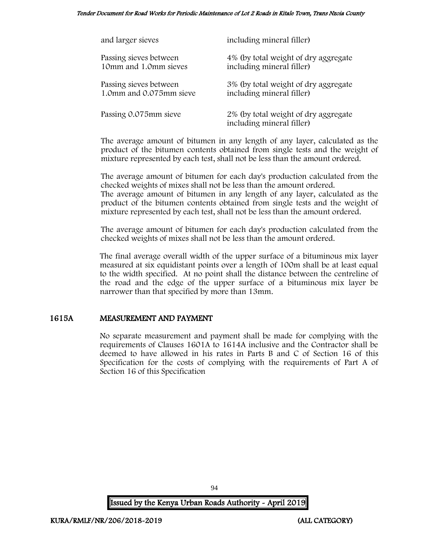#### Tender Document for Road Works for Periodic Maintenance of Lot 2 Roads in Kitale Town, Trans Nzoia County

| and larger sieves       | including mineral filler)                                         |
|-------------------------|-------------------------------------------------------------------|
| Passing sieves between  | 4% (by total weight of dry aggregate                              |
| 10mm and 1.0mm sieves   | including mineral filler)                                         |
| Passing sieves between  | 3% (by total weight of dry aggregate                              |
| 1.0mm and 0.075mm sieve | including mineral filler)                                         |
| Passing 0.075mm sieve   | 2% (by total weight of dry aggregate<br>including mineral filler) |

The average amount of bitumen in any length of any layer, calculated as the product of the bitumen contents obtained from single tests and the weight of mixture represented by each test, shall not be less than the amount ordered.

The average amount of bitumen for each day's production calculated from the checked weights of mixes shall not be less than the amount ordered. The average amount of bitumen in any length of any layer, calculated as the

product of the bitumen contents obtained from single tests and the weight of mixture represented by each test, shall not be less than the amount ordered.

The average amount of bitumen for each day's production calculated from the checked weights of mixes shall not be less than the amount ordered.

The final average overall width of the upper surface of a bituminous mix layer measured at six equidistant points over a length of 100m shall be at least equal to the width specified. At no point shall the distance between the centreline of the road and the edge of the upper surface of a bituminous mix layer be narrower than that specified by more than 13mm.

#### 1615A MEASUREMENT AND PAYMENT

No separate measurement and payment shall be made for complying with the requirements of Clauses 1601A to 1614A inclusive and the Contractor shall be deemed to have allowed in his rates in Parts B and C of Section 16 of this Specification for the costs of complying with the requirements of Part A of Section 16 of this Specification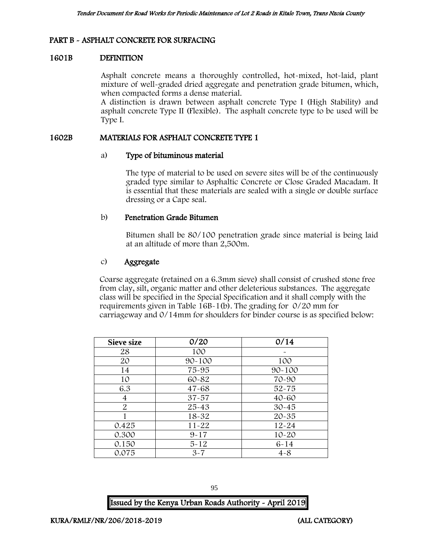### PART B - ASPHALT CONCRETE FOR SURFACING

#### 1601B DEFINITION

Asphalt concrete means a thoroughly controlled, hot-mixed, hot-laid, plant mixture of well-graded dried aggregate and penetration grade bitumen, which, when compacted forms a dense material.

A distinction is drawn between asphalt concrete Type I (High Stability) and asphalt concrete Type II (Flexible). The asphalt concrete type to be used will be Type I.

#### 1602B MATERIALS FOR ASPHALT CONCRETE TYPE 1

#### a) Type of bituminous material

The type of material to be used on severe sites will be of the continuously graded type similar to Asphaltic Concrete or Close Graded Macadam. It is essential that these materials are sealed with a single or double surface dressing or a Cape seal.

#### b) Penetration Grade Bitumen

Bitumen shall be 80/100 penetration grade since material is being laid at an altitude of more than 2,500m.

#### c) Aggregate

Coarse aggregate (retained on a 6.3mm sieve) shall consist of crushed stone free from clay, silt, organic matter and other deleterious substances. The aggregate class will be specified in the Special Specification and it shall comply with the requirements given in Table 16B-1(b). The grading for 0/20 mm for carriageway and 0/14mm for shoulders for binder course is as specified below:

| <b>Sieve size</b> | 0/20       | 0/14       |
|-------------------|------------|------------|
| 28                | 100        |            |
| 20                | $90 - 100$ | 100        |
| 14                | 75-95      | $90 - 100$ |
| 10                | 60-82      | 70-90      |
| 6.3               | $47 - 68$  | $52 - 75$  |
| 4                 | $37 - 57$  | $40 - 60$  |
| $\overline{2}$    | $25 - 43$  | $30 - 45$  |
|                   | $18 - 32$  | $20 - 35$  |
| 0.425             | $11 - 22$  | $12 - 24$  |
| 0.300             | $9 - 17$   | $10 - 20$  |
| 0.150             | $5 - 12$   | $6 - 14$   |
| 0.075             | $3 - 7$    | $4 - 8$    |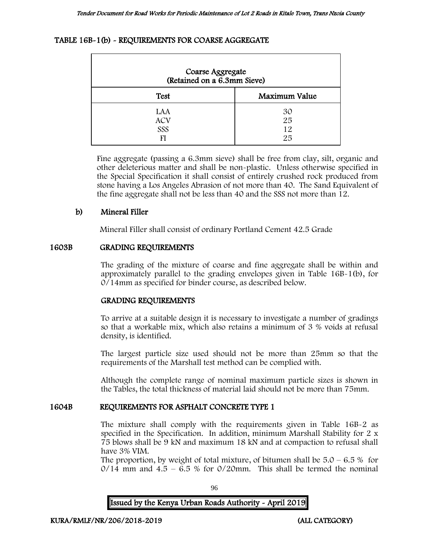#### TABLE 16B-1(b) - REQUIREMENTS FOR COARSE AGGREGATE

| Coarse Aggregate<br>(Retained on a 6.3mm Sieve) |                      |  |
|-------------------------------------------------|----------------------|--|
| <b>Test</b>                                     | Maximum Value        |  |
| LAA<br><b>ACV</b><br>SSS<br>FI                  | 30<br>25<br>12<br>25 |  |

Fine aggregate (passing a 6.3mm sieve) shall be free from clay, silt, organic and other deleterious matter and shall be non-plastic. Unless otherwise specified in the Special Specification it shall consist of entirely crushed rock produced from stone having a Los Angeles Abrasion of not more than 40. The Sand Equivalent of the fine aggregate shall not be less than 40 and the SSS not more than 12.

#### b) Mineral Filler

Mineral Filler shall consist of ordinary Portland Cement 42.5 Grade

#### 1603B GRADING REQUIREMENTS

The grading of the mixture of coarse and fine aggregate shall be within and approximately parallel to the grading envelopes given in Table 16B-1(b), for 0/14mm as specified for binder course, as described below.

#### GRADING REQUIREMENTS

To arrive at a suitable design it is necessary to investigate a number of gradings so that a workable mix, which also retains a minimum of 3 % voids at refusal density, is identified.

The largest particle size used should not be more than 25mm so that the requirements of the Marshall test method can be complied with.

Although the complete range of nominal maximum particle sizes is shown in the Tables, the total thickness of material laid should not be more than 75mm.

#### 1604B REQUIREMENTS FOR ASPHALT CONCRETE TYPE 1

The mixture shall comply with the requirements given in Table 16B-2 as specified in the Specification. In addition, minimum Marshall Stability for 2 x 75 blows shall be 9 kN and maximum 18 kN and at compaction to refusal shall have 3% VIM.

The proportion, by weight of total mixture, of bitumen shall be  $5.0 - 6.5\%$  for  $0/14$  mm and  $4.5 - 6.5$  % for  $0/20$ mm. This shall be termed the nominal

96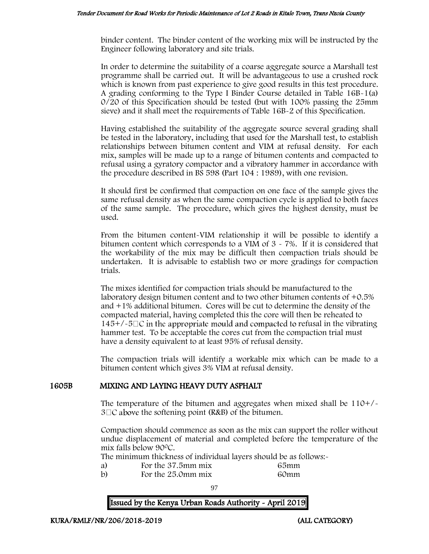binder content. The binder content of the working mix will be instructed by the Engineer following laboratory and site trials.

In order to determine the suitability of a coarse aggregate source a Marshall test programme shall be carried out. It will be advantageous to use a crushed rock which is known from past experience to give good results in this test procedure. A grading conforming to the Type I Binder Course detailed in Table 16B-1(a) 0/20 of this Specification should be tested (but with 100% passing the 25mm sieve) and it shall meet the requirements of Table 16B-2 of this Specification.

Having established the suitability of the aggregate source several grading shall be tested in the laboratory, including that used for the Marshall test, to establish relationships between bitumen content and VIM at refusal density. For each mix, samples will be made up to a range of bitumen contents and compacted to refusal using a gyratory compactor and a vibratory hammer in accordance with the procedure described in BS 598 (Part 104 : 1989), with one revision.

It should first be confirmed that compaction on one face of the sample gives the same refusal density as when the same compaction cycle is applied to both faces of the same sample. The procedure, which gives the highest density, must be used.

From the bitumen content-VIM relationship it will be possible to identify a bitumen content which corresponds to a VIM of  $3 \times 7\%$ . If it is considered that the workability of the mix may be difficult then compaction trials should be undertaken. It is advisable to establish two or more gradings for compaction trials.

The mixes identified for compaction trials should be manufactured to the laboratory design bitumen content and to two other bitumen contents of +0.5% and +1% additional bitumen. Cores will be cut to determine the density of the compacted material, having completed this the core will then be reheated to  $145+/-5\degree$  in the appropriate mould and compacted to refusal in the vibrating hammer test. To be acceptable the cores cut from the compaction trial must have a density equivalent to at least 95% of refusal density.

The compaction trials will identify a workable mix which can be made to a bitumen content which gives 3% VIM at refusal density.

### 1605B MIXING AND LAYING HEAVY DUTY ASPHALT

The temperature of the bitumen and aggregates when mixed shall be 110+/-  $3 \square C$  above the softening point (R&B) of the bitumen.

Compaction should commence as soon as the mix can support the roller without undue displacement of material and completed before the temperature of the mix falls below 90<sup>0</sup>C.

The minimum thickness of individual layers should be as follows:-

- 
- a) For the 37.5mm mix 65mm<br>b) For the 25.0mm mix 60mm For the 25.0mm mix 60mm

97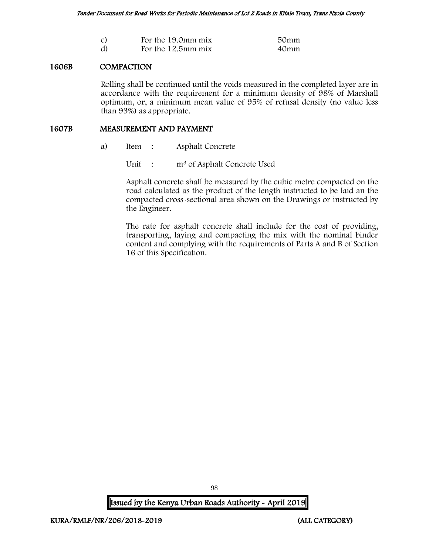| $\mathcal{C}$ | For the 19.0mm mix | 50mm |
|---------------|--------------------|------|
| d)            | For the 12.5mm mix | 40mm |

### 1606B COMPACTION

Rolling shall be continued until the voids measured in the completed layer are in accordance with the requirement for a minimum density of 98% of Marshall optimum, or, a minimum mean value of 95% of refusal density (no value less than 93%) as appropriate.

#### 1607B MEASUREMENT AND PAYMENT

a) Item : Asphalt Concrete

Unit : m<sup>3</sup> of Asphalt Concrete Used

Asphalt concrete shall be measured by the cubic metre compacted on the road calculated as the product of the length instructed to be laid an the compacted cross-sectional area shown on the Drawings or instructed by the Engineer.

The rate for asphalt concrete shall include for the cost of providing, transporting, laying and compacting the mix with the nominal binder content and complying with the requirements of Parts A and B of Section 16 of this Specification.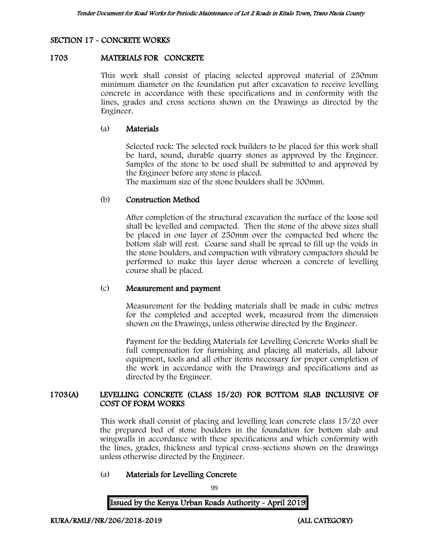# SECTION 17 - CONCRETE WORKS

#### 1703 MATERIALS FOR CONCRETE

This work shall consist of placing selected approved material of 250mm minimum diameter on the foundation put after excavation to receive levelling concrete in accordance with these specifications and in conformity with the lines, grades and cross sections shown on the Drawings as directed by the Engineer.

#### (a) Materials

Selected rock: The selected rock builders to be placed for this work shall be hard, sound, durable quarry stones as approved by the Engineer. Samples of the stone to be used shall be submitted to and approved by the Engineer before any stone is placed.

The maximum size of the stone boulders shall be 300mm.

#### (b) Construction Method

After completion of the structural excavation the surface of the loose soil shall be levelled and compacted. Then the stone of the above sizes shall be placed in one layer of 250mm over the compacted bed where the bottom slab will rest. Coarse sand shall be spread to fill up the voids in the stone boulders, and compaction with vibratory compactors should be performed to make this layer dense whereon a concrete of levelling course shall be placed.

#### (c) Measurement and payment

Measurement for the bedding materials shall be made in cubic metres for the completed and accepted work, measured from the dimension shown on the Drawings, unless otherwise directed by the Engineer.

Payment for the bedding Materials for Levelling Concrete Works shall be full compensation for furnishing and placing all materials, all labour equipment, tools and all other items necessary for proper completion of the work in accordance with the Drawings and specifications and as directed by the Engineer.

### 1703(A) LEVELLING CONCRETE (CLASS 15/20) FOR BOTTOM SLAB INCLUSIVE OF COST OF FORM WORKS

This work shall consist of placing and levelling lean concrete class 15/20 over the prepared bed of stone boulders in the foundation for bottom slab and wingwalls in accordance with these specifications and which conformity with the lines, grades, thickness and typical cross-sections shown on the drawings unless otherwise directed by the Engineer.

### (a) Materials for Levelling Concrete

99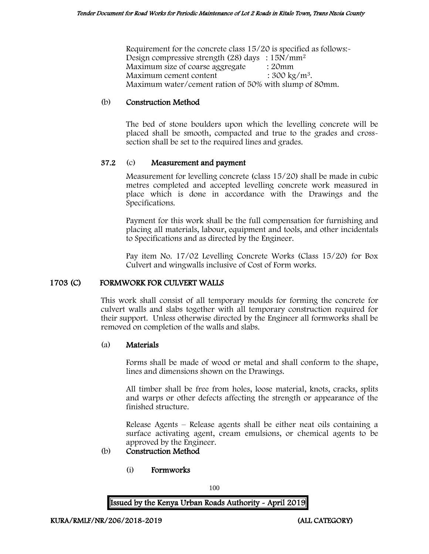Requirement for the concrete class 15/20 is specified as follows:- Design compressive strength (28) days : 15N/mm<sup>2</sup> Maximum size of coarse aggregate : 20mm Maximum cement content  $: 300 \text{ kg/m}^3$ . Maximum water/cement ration of 50% with slump of 80mm.

### (b) Construction Method

The bed of stone boulders upon which the levelling concrete will be placed shall be smooth, compacted and true to the grades and crosssection shall be set to the required lines and grades.

### 37.2 (c) Measurement and payment

Measurement for levelling concrete (class 15/20) shall be made in cubic metres completed and accepted levelling concrete work measured in place which is done in accordance with the Drawings and the Specifications.

Payment for this work shall be the full compensation for furnishing and placing all materials, labour, equipment and tools, and other incidentals to Specifications and as directed by the Engineer.

Pay item No. 17/02 Levelling Concrete Works (Class 15/20) for Box Culvert and wingwalls inclusive of Cost of Form works.

#### 1703 (C) FORMWORK FOR CULVERT WALLS

This work shall consist of all temporary moulds for forming the concrete for culvert walls and slabs together with all temporary construction required for their support. Unless otherwise directed by the Engineer all formworks shall be removed on completion of the walls and slabs.

#### (a) Materials

Forms shall be made of wood or metal and shall conform to the shape, lines and dimensions shown on the Drawings.

All timber shall be free from holes, loose material, knots, cracks, splits and warps or other defects affecting the strength or appearance of the finished structure.

Release Agents – Release agents shall be either neat oils containing a surface activating agent, cream emulsions, or chemical agents to be approved by the Engineer.

### (b) Construction Method

(i) Formworks

100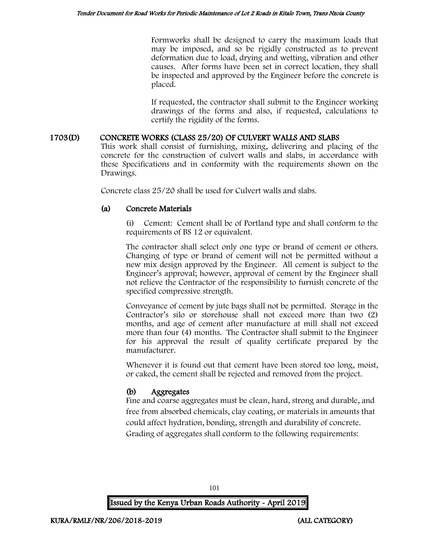Formworks shall be designed to carry the maximum loads that may be imposed, and so be rigidly constructed as to prevent deformation due to load, drying and wetting, vibration and other causes. After forms have been set in correct location, they shall be inspected and approved by the Engineer before the concrete is placed.

If requested, the contractor shall submit to the Engineer working drawings of the forms and also, if requested, calculations to certify the rigidity of the forms.

### 1703(D) CONCRETE WORKS (CLASS 25/20) OF CULVERT WALLS AND SLABS

This work shall consist of furnishing, mixing, delivering and placing of the concrete for the construction of culvert walls and slabs, in accordance with these Specifications and in conformity with the requirements shown on the Drawings.

Concrete class 25/20 shall be used for Culvert walls and slabs.

### (a) Concrete Materials

Cement: Cement shall be of Portland type and shall conform to the requirements of BS 12 or equivalent.

The contractor shall select only one type or brand of cement or others. Changing of type or brand of cement will not be permitted without a new mix design approved by the Engineer. All cement is subject to the Engineer's approval; however, approval of cement by the Engineer shall not relieve the Contractor of the responsibility to furnish concrete of the specified compressive strength.

Conveyance of cement by jute bags shall not be permitted. Storage in the Contractor's silo or storehouse shall not exceed more than two (2) months, and age of cement after manufacture at mill shall not exceed more than four (4) months. The Contractor shall submit to the Engineer for his approval the result of quality certificate prepared by the manufacturer.

Whenever it is found out that cement have been stored too long, moist, or caked, the cement shall be rejected and removed from the project.

# (b) Aggregates

Fine and coarse aggregates must be clean, hard, strong and durable, and free from absorbed chemicals, clay coating, or materials in amounts that could affect hydration, bonding, strength and durability of concrete. Grading of aggregates shall conform to the following requirements:

101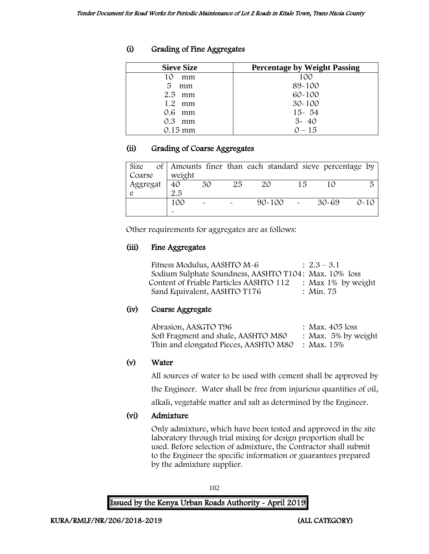# (i) Grading of Fine Aggregates

| <b>Sieve Size</b> | <b>Percentage by Weight Passing</b> |
|-------------------|-------------------------------------|
| 10<br>mm          | 100                                 |
| 5<br>mm           | 89-100                              |
| $2.5$ mm          | $60 - 100$                          |
| 1.2<br>mm         | $30 - 100$                          |
| 0.6 mm            | $15 - 54$                           |
| 0.3<br>mm         | $5 - 40$                            |
| $0.15$ mm         | $0 - 15$                            |

# (ii) Grading of Coarse Aggregates

| Size     |        |                       |    | of Amounts finer than each standard sieve percentage by |    |           |          |
|----------|--------|-----------------------|----|---------------------------------------------------------|----|-----------|----------|
| Coarse   | weight |                       |    |                                                         |    |           |          |
| Aggregat | 40     | 30                    | 25 | 20                                                      | 15 | 10        |          |
|          | 2.5    |                       |    |                                                         |    |           |          |
|          | 100    | $\tilde{\phantom{a}}$ |    | $90 - 100$                                              |    | $30 - 69$ | $0 - 10$ |
|          |        |                       |    |                                                         |    |           |          |

Other requirements for aggregates are as follows:

# (iii) Fine Aggregates

| Fitness Modulus, AASHTO M-6                           | $\therefore$ 2.3 – 3.1 |
|-------------------------------------------------------|------------------------|
| Sodium Sulphate Soundness, AASHTO T104: Max. 10% loss |                        |
| Content of Friable Particles AASHTO 112               | : Max $1\%$ by weight  |
| Sand Equivalent, AASHTO T176                          | : Min. 75              |

# (iv) Coarse Aggregate

| Abrasion, AASGTO T96                             | : Max. $405$ loss      |
|--------------------------------------------------|------------------------|
| Soft Fragment and shale, AASHTO M80              | : Max. $5\%$ by weight |
| Thin and elongated Pieces, AASHTO M80 : Max. 15% |                        |

# (v) Water

All sources of water to be used with cement shall be approved by

the Engineer. Water shall be free from injurious quantities of oil,

alkali, vegetable matter and salt as determined by the Engineer.

# (vi) Admixture

Only admixture, which have been tested and approved in the site laboratory through trial mixing for design proportion shall be used. Before selection of admixture, the Contractor shall submit to the Engineer the specific information or guarantees prepared by the admixture supplier.

102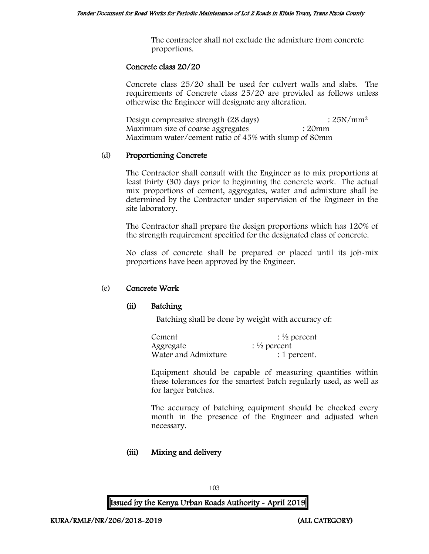The contractor shall not exclude the admixture from concrete proportions.

#### Concrete class 20/20

Concrete class 25/20 shall be used for culvert walls and slabs. The requirements of Concrete class 25/20 are provided as follows unless otherwise the Engineer will designate any alteration.

Design compressive strength  $(28 \text{ days})$  :  $25N/mm^2$ Maximum size of coarse aggregates : 20mm Maximum water/cement ratio of 45% with slump of 80mm

#### (d) Proportioning Concrete

The Contractor shall consult with the Engineer as to mix proportions at least thirty (30) days prior to beginning the concrete work. The actual mix proportions of cement, aggregates, water and admixture shall be determined by the Contractor under supervision of the Engineer in the site laboratory.

The Contractor shall prepare the design proportions which has 120% of the strength requirement specified for the designated class of concrete.

No class of concrete shall be prepared or placed until its job-mix proportions have been approved by the Engineer.

### (e) Concrete Work

### (ii) Batching

Batching shall be done by weight with accuracy of:

| Cement              | $\frac{1}{2}$ percent |
|---------------------|-----------------------|
| Aggregate           | $\frac{1}{2}$ percent |
| Water and Admixture | : 1 percent.          |

Equipment should be capable of measuring quantities within these tolerances for the smartest batch regularly used, as well as for larger batches.

The accuracy of batching equipment should be checked every month in the presence of the Engineer and adjusted when necessary.

### (iii) Mixing and delivery

103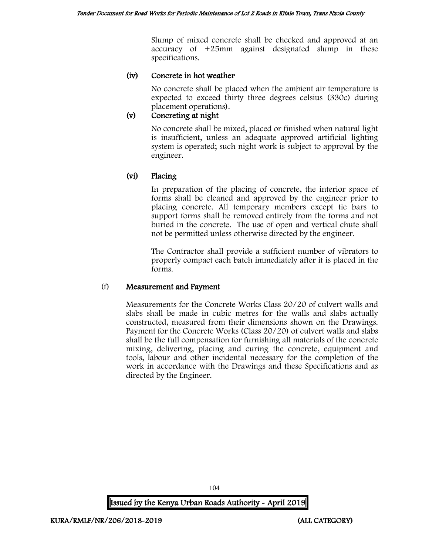Slump of mixed concrete shall be checked and approved at an accuracy of +25mm against designated slump in these specifications.

### (iv) Concrete in hot weather

No concrete shall be placed when the ambient air temperature is expected to exceed thirty three degrees celsius (330c) during placement operations).

# (v) Concreting at night

No concrete shall be mixed, placed or finished when natural light is insufficient, unless an adequate approved artificial lighting system is operated; such night work is subject to approval by the engineer.

# (vi) Placing

In preparation of the placing of concrete, the interior space of forms shall be cleaned and approved by the engineer prior to placing concrete. All temporary members except tie bars to support forms shall be removed entirely from the forms and not buried in the concrete. The use of open and vertical chute shall not be permitted unless otherwise directed by the engineer.

The Contractor shall provide a sufficient number of vibrators to properly compact each batch immediately after it is placed in the forms.

### (f) Measurement and Payment

Measurements for the Concrete Works Class 20/20 of culvert walls and slabs shall be made in cubic metres for the walls and slabs actually constructed, measured from their dimensions shown on the Drawings. Payment for the Concrete Works (Class 20/20) of culvert walls and slabs shall be the full compensation for furnishing all materials of the concrete mixing, delivering, placing and curing the concrete, equipment and tools, labour and other incidental necessary for the completion of the work in accordance with the Drawings and these Specifications and as directed by the Engineer.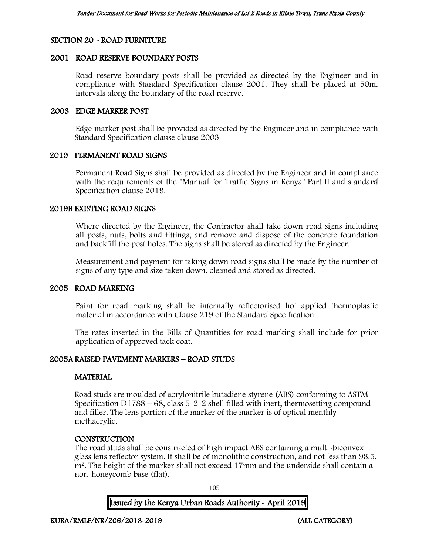### SECTION 20 - ROAD FURNITURE

#### 2001 ROAD RESERVE BOUNDARY POSTS

Road reserve boundary posts shall be provided as directed by the Engineer and in compliance with Standard Specification clause 2001. They shall be placed at 50m. intervals along the boundary of the road reserve.

#### 2003 EDGE MARKER POST

Edge marker post shall be provided as directed by the Engineer and in compliance with Standard Specification clause clause 2003

#### 2019 PERMANENT ROAD SIGNS

Permanent Road Signs shall be provided as directed by the Engineer and in compliance with the requirements of the "Manual for Traffic Signs in Kenya" Part II and standard Specification clause 2019.

#### 2019B EXISTING ROAD SIGNS

Where directed by the Engineer, the Contractor shall take down road signs including all posts, nuts, bolts and fittings, and remove and dispose of the concrete foundation and backfill the post holes. The signs shall be stored as directed by the Engineer.

Measurement and payment for taking down road signs shall be made by the number of signs of any type and size taken down, cleaned and stored as directed.

#### 2005 ROAD MARKING

Paint for road marking shall be internally reflectorised hot applied thermoplastic material in accordance with Clause 219 of the Standard Specification.

The rates inserted in the Bills of Quantities for road marking shall include for prior application of approved tack coat.

### 2005A RAISED PAVEMENT MARKERS – ROAD STUDS

#### **MATERIAL**

Road studs are moulded of acrylonitrile butadiene styrene (ABS) conforming to ASTM Specification D1788 – 68, class 5-2-2 shell filled with inert, thermosetting compound and filler. The lens portion of the marker of the marker is of optical menthly methacrylic.

#### **CONSTRUCTION**

The road studs shall be constructed of high impact ABS containing a multi-biconvex glass lens reflector system. It shall be of monolithic construction, and not less than 98.5. m<sup>2</sup>. The height of the marker shall not exceed 17mm and the underside shall contain a non-honeycomb base (flat).

105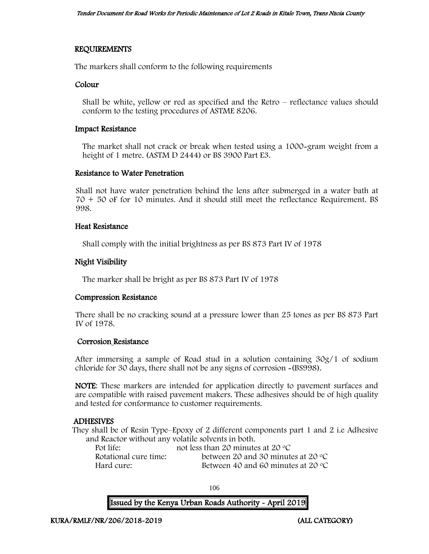### REQUIREMENTS

The markers shall conform to the following requirements

#### Colour

Shall be white, yellow or red as specified and the Retro – reflectance values should conform to the testing procedures of ASTME 8206.

#### Impact Resistance

The market shall not crack or break when tested using a 1000-gram weight from a height of 1 metre. (ASTM D 2444) or BS 3900 Part E3.

#### Resistance to Water Penetration

Shall not have water penetration behind the lens after submerged in a water bath at 70 + 50 oF for 10 minutes. And it should still meet the reflectance Requirement. BS 998.

#### Heat Resistance

Shall comply with the initial brightness as per BS 873 Part IV of 1978

#### Night Visibility

The marker shall be bright as per BS 873 Part IV of 1978

#### Compression Resistance

There shall be no cracking sound at a pressure lower than 25 tones as per BS 873 Part IV of 1978.

#### Corrosion Resistance

After immersing a sample of Road stud in a solution containing 30g/1 of sodium chloride for 30 days, there shall not be any signs of corrosion -(BS998).

NOTE: These markers are intended for application directly to pavement surfaces and are compatible with raised pavement makers. These adhesives should be of high quality and tested for conformance to customer requirements.

#### ADHESIVES

They shall be of Resin Type–Epoxy of 2 different components part 1 and 2 i.e Adhesive and Reactor without any volatile solvents in both.

| Pot life:             | not less than 20 minutes at 20 $\degree$ C  |
|-----------------------|---------------------------------------------|
| Rotational cure time: | between 20 and 30 minutes at 20 $\degree$ C |
| Hard cure:            | Between 40 and 60 minutes at 20 $\degree$ C |

106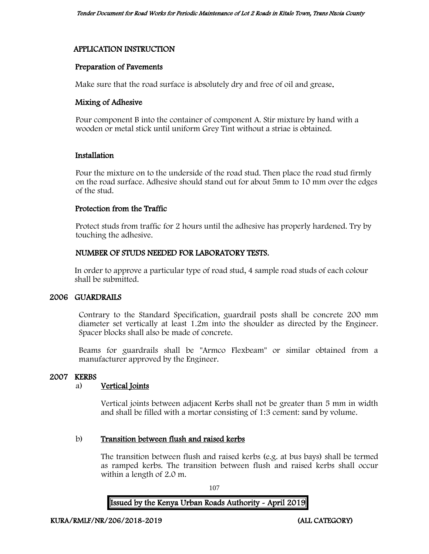### APPLICATION INSTRUCTION

#### Preparation of Pavements

Make sure that the road surface is absolutely dry and free of oil and grease.

### Mixing of Adhesive

Pour component B into the container of component A. Stir mixture by hand with a wooden or metal stick until uniform Grey Tint without a striae is obtained.

### Installation

Pour the mixture on to the underside of the road stud. Then place the road stud firmly on the road surface. Adhesive should stand out for about 5mm to 10 mm over the edges of the stud.

### Protection from the Traffic

Protect studs from traffic for 2 hours until the adhesive has properly hardened. Try by touching the adhesive.

### NUMBER OF STUDS NEEDED FOR LABORATORY TESTS.

In order to approve a particular type of road stud, 4 sample road studs of each colour shall be submitted.

### 2006 GUARDRAILS

Contrary to the Standard Specification, guardrail posts shall be concrete 200 mm diameter set vertically at least 1.2m into the shoulder as directed by the Engineer. Spacer blocks shall also be made of concrete.

Beams for guardrails shall be "Armco Flexbeam" or similar obtained from a manufacturer approved by the Engineer.

#### 2007 KERBS

### a) Vertical Joints

Vertical joints between adjacent Kerbs shall not be greater than 5 mm in width and shall be filled with a mortar consisting of 1:3 cement: sand by volume.

#### b) Transition between flush and raised kerbs

The transition between flush and raised kerbs (e.g. at bus bays) shall be termed as ramped kerbs. The transition between flush and raised kerbs shall occur within a length of 2.0 m.

107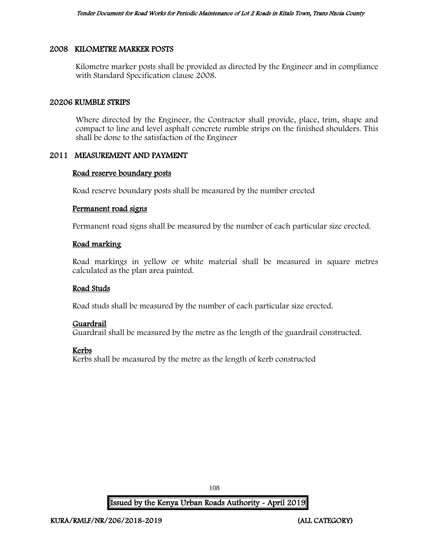#### 2008 KILOMETRE MARKER POSTS

Kilometre marker posts shall be provided as directed by the Engineer and in compliance with Standard Specification clause 2008.

#### 20206 RUMBLE STRIPS

Where directed by the Engineer, the Contractor shall provide, place, trim, shape and compact to line and level asphalt concrete rumble strips on the finished shoulders. This shall be done to the satisfaction of the Engineer

#### 2011 MEASUREMENT AND PAYMENT

#### Road reserve boundary posts

Road reserve boundary posts shall be measured by the number erected

#### Permanent road signs

Permanent road signs shall be measured by the number of each particular size erected.

#### Road marking

Road markings in yellow or white material shall be measured in square metres calculated as the plan area painted.

#### Road Studs

Road studs shall be measured by the number of each particular size erected.

#### Guardrail

Guardrail shall be measured by the metre as the length of the guardrail constructed.

#### Kerbs

Kerbs shall be measured by the metre as the length of kerb constructed

108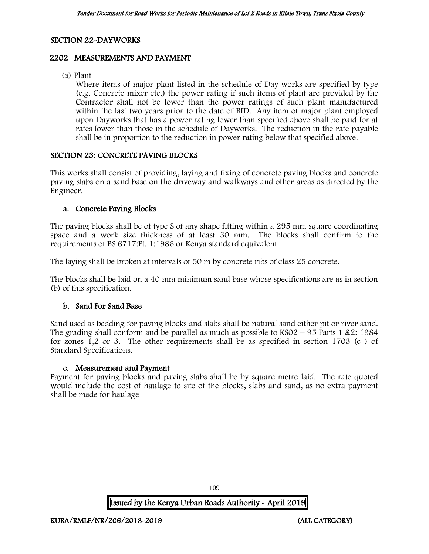#### SECTION 22-DAYWORKS

### 2202 MEASUREMENTS AND PAYMENT

(a) Plant

Where items of major plant listed in the schedule of Day works are specified by type (e.g. Concrete mixer etc.) the power rating if such items of plant are provided by the Contractor shall not be lower than the power ratings of such plant manufactured within the last two years prior to the date of BID. Any item of major plant employed upon Dayworks that has a power rating lower than specified above shall be paid for at rates lower than those in the schedule of Dayworks. The reduction in the rate payable shall be in proportion to the reduction in power rating below that specified above.

#### SECTION 23: CONCRETE PAVING BLOCKS

This works shall consist of providing, laying and fixing of concrete paving blocks and concrete paving slabs on a sand base on the driveway and walkways and other areas as directed by the Engineer.

#### a. Concrete Paving Blocks

The paving blocks shall be of type S of any shape fitting within a 295 mm square coordinating space and a work size thickness of at least 30 mm. The blocks shall confirm to the requirements of BS 6717:Pt. 1:1986 or Kenya standard equivalent.

The laying shall be broken at intervals of 50 m by concrete ribs of class 25 concrete.

The blocks shall be laid on a 40 mm minimum sand base whose specifications are as in section (b) of this specification.

#### b. Sand For Sand Base

Sand used as bedding for paving blocks and slabs shall be natural sand either pit or river sand. The grading shall conform and be parallel as much as possible to  $KSO2 - 95$  Parts 1 &2: 1984 for zones 1,2 or 3. The other requirements shall be as specified in section 1703 (c ) of Standard Specifications.

#### c. Measurement and Payment

Payment for paving blocks and paving slabs shall be by square metre laid. The rate quoted would include the cost of haulage to site of the blocks, slabs and sand, as no extra payment shall be made for haulage

109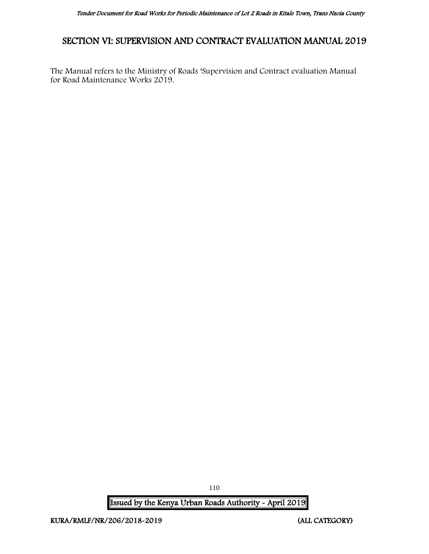## SECTION VI: SUPERVISION AND CONTRACT EVALUATION MANUAL 2019

The Manual refers to the Ministry of Roads 'Supervision and Contract evaluation Manual for Road Maintenance Works 2019.

Issued by the Kenya Urban Roads Authority - April 2019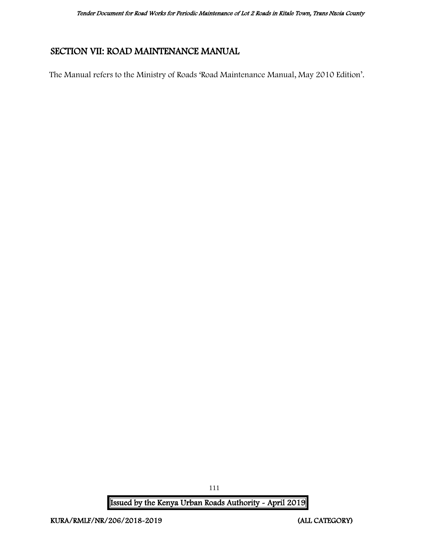## SECTION VII: ROAD MAINTENANCE MANUAL

The Manual refers to the Ministry of Roads 'Road Maintenance Manual, May 2010 Edition'.

Issued by the Kenya Urban Roads Authority - April 2019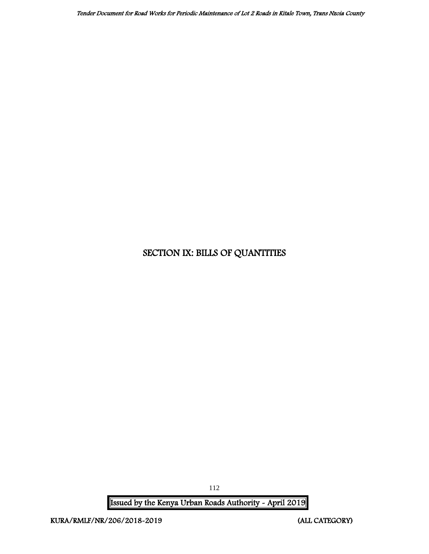## SECTION IX: BILLS OF QUANTITIES

Issued by the Kenya Urban Roads Authority - April 2019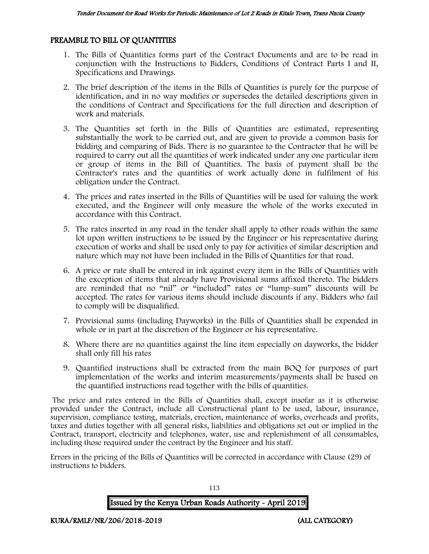#### PREAMBLE TO BILL OF QUANTITIES

- 1. The Bills of Quantities forms part of the Contract Documents and are to be read in conjunction with the Instructions to Bidders, Conditions of Contract Parts I and II, Specifications and Drawings.
- 2. The brief description of the items in the Bills of Quantities is purely for the purpose of identification, and in no way modifies or supersedes the detailed descriptions given in the conditions of Contract and Specifications for the full direction and description of work and materials.
- 3. The Quantities set forth in the Bills of Quantities are estimated, representing substantially the work to be carried out, and are given to provide a common basis for bidding and comparing of Bids. There is no guarantee to the Contractor that he will be required to carry out all the quantities of work indicated under any one particular item or group of items in the Bill of Quantities. The basis of payment shall be the Contractor's rates and the quantities of work actually done in fulfilment of his obligation under the Contract.
- 4. The prices and rates inserted in the Bills of Quantities will be used for valuing the work executed, and the Engineer will only measure the whole of the works executed in accordance with this Contract.
- 5. The rates inserted in any road in the tender shall apply to other roads within the same lot upon written instructions to be issued by the Engineer or his representative during execution of works and shall be used only to pay for activities of similar description and nature which may not have been included in the Bills of Quantities for that road.
- 6. A price or rate shall be entered in ink against every item in the Bills of Quantities with the exception of items that already have Provisional sums affixed thereto. The bidders are reminded that no "nil" or "included" rates or "lump-sum" discounts will be accepted. The rates for various items should include discounts if any. Bidders who fail to comply will be disqualified.
- 7. Provisional sums (including Dayworks) in the Bills of Quantities shall be expended in whole or in part at the discretion of the Engineer or his representative.
- 8. Where there are no quantities against the line item especially on dayworks, the bidder shall only fill his rates
- 9. Quantified instructions shall be extracted from the main BOQ for purposes of part implementation of the works and interim measurements/payments shall be based on the quantified instructions read together with the bills of quantities.

The price and rates entered in the Bills of Quantities shall, except insofar as it is otherwise provided under the Contract, include all Constructional plant to be used, labour, insurance, supervision, compliance testing, materials, erection, maintenance of works, overheads and profits, taxes and duties together with all general risks, liabilities and obligations set out or implied in the Contract, transport, electricity and telephones, water, use and replenishment of all consumables, including those required under the contract by the Engineer and his staff.

Errors in the pricing of the Bills of Quantities will be corrected in accordance with Clause (29) of instructions to bidders.

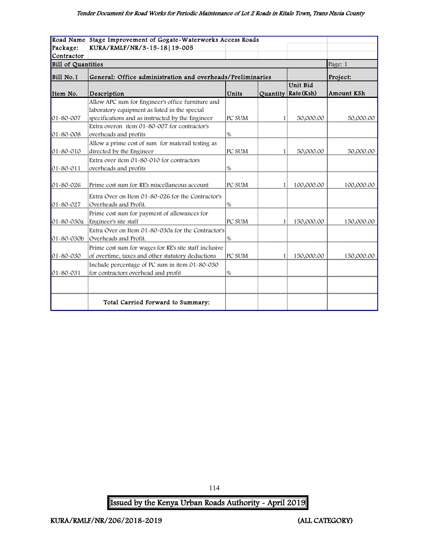|                    | Road Name Stage Improvement of Gogate-Waterworks Access Roads                                                                                                                                          |        |          |                        |            |
|--------------------|--------------------------------------------------------------------------------------------------------------------------------------------------------------------------------------------------------|--------|----------|------------------------|------------|
| Package:           | KURA/RMLF/NR/3-15-18   19-005                                                                                                                                                                          |        |          |                        |            |
| Contractor         |                                                                                                                                                                                                        |        |          |                        |            |
| Bill of Quantities |                                                                                                                                                                                                        |        |          |                        | Page: 1    |
| Bill No.1          | General: Office administration and overheads/Preliminaries                                                                                                                                             |        | Project: |                        |            |
| Item No.           | Description                                                                                                                                                                                            | Units  | Quantity | Unit Bid<br>Rate (Ksh) | Amount KSh |
| 01-80-007          | Allow APC sum for Engineer's office furniture and<br>laboratory equipment as listed in the special<br>specifications and as instructed by the Engineer<br>Extra overon item 01-80-007 for contractor's | PC SUM | 1        | 50,000.00              | 50,000.00  |
| 01-80-008          | overheads and profits                                                                                                                                                                                  | %      |          |                        |            |
| 01-80-010          | Allow a prime cost of sum for materail testing as<br>directed by the Engineer                                                                                                                          | PC SUM | 1        | 50,000.00              | 50,000.00  |
| 01-80-011          | Extra over item 01-80-010 for contractors<br>overheads and profits                                                                                                                                     | %      |          |                        |            |
| $01 - 80 - 026$    | Prime cost sum for RE's miscellaneous account                                                                                                                                                          | PC SUM | 1        | 100,000.00             | 100,000.00 |
| 01-80-027          | Extra Over on Item 01-80-026 for the Contractor's<br>Overheads and Profit.                                                                                                                             | %      |          |                        |            |
| 01-80-030a         | Prime cost sum for payment of allowances for<br>Engineer's site staff                                                                                                                                  | PC SUM | 1        | 150,000.00             | 150,000.00 |
| $01 - 80 - 030b$   | Extra Over on Item 01-80-030a for the Contractor's<br>Overheads and Profit.                                                                                                                            | $\%$   |          |                        |            |
| 01-80-030          | Prime cost sum for wages for RE's site staff inclusive<br>of overtime, taxes and other statutory deductions                                                                                            | PC SUM | 1        | 150,000.00             | 150,000.00 |
| 01-80-031          | Include percentage of PC sum in item 01-80-030<br>for contractors overhead and profit                                                                                                                  | %      |          |                        |            |
|                    | Total Carried Forward to Summary:                                                                                                                                                                      |        |          |                        |            |

114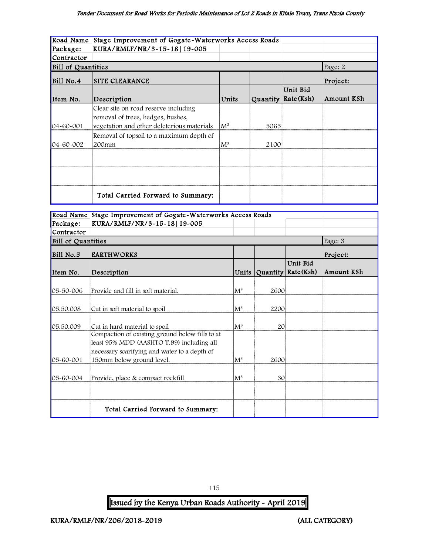#### Tender Document for Road Works for Periodic Maintenance of Lot 2 Roads in Kitale Town, Trans Nzoia County

|                    | Road Name Stage Improvement of Gogate-Waterworks Access Roads |                |      |                       |            |
|--------------------|---------------------------------------------------------------|----------------|------|-----------------------|------------|
| Package:           | KURA/RMLF/NR/3-15-18 19-005                                   |                |      |                       |            |
| Contractor         |                                                               |                |      |                       |            |
| Bill of Quantities | Page: 2                                                       |                |      |                       |            |
| Bill No.4          | SITE CLEARANCE                                                |                |      |                       | Project:   |
|                    |                                                               |                |      | Unit Bid              |            |
| Item No.           | Description                                                   | Units          |      | Quantity   Rate (Ksh) | Amount KSh |
|                    | Clear site on road reserve including                          |                |      |                       |            |
|                    | removal of trees, hedges, bushes,                             |                |      |                       |            |
| $04 - 60 - 001$    | vegetation and other deleterious materials                    | $M^2$          | 5065 |                       |            |
|                    | Removal of topsoil to a maximum depth of                      |                |      |                       |            |
| $04 - 60 - 002$    | 200mm                                                         | $\mathrm{M}^3$ | 2100 |                       |            |
|                    |                                                               |                |      |                       |            |
|                    |                                                               |                |      |                       |            |
|                    |                                                               |                |      |                       |            |
|                    |                                                               |                |      |                       |            |
|                    | Total Carried Forward to Summary:                             |                |      |                       |            |
|                    |                                                               |                |      |                       |            |
|                    | Road Name Stage Improvement of Gogate-Waterworks Access Roads |                |      |                       |            |

|                    | Road Name Stage Improvement of Gogate-Waterworks Access Roads |                |      |                              |            |
|--------------------|---------------------------------------------------------------|----------------|------|------------------------------|------------|
| Package:           | KURA/RMLF/NR/3-15-18   19-005                                 |                |      |                              |            |
| Contractor         |                                                               |                |      |                              |            |
| Bill of Quantities |                                                               |                |      |                              | Page: 3    |
| Bill No.5          | <b>EARTHWORKS</b>                                             |                |      |                              | Project:   |
|                    |                                                               |                |      | Unit Bid                     |            |
| Item No.           | Description                                                   | Units          |      | $\sqrt{Quantity}$ Rate (Ksh) | Amount KSh |
|                    |                                                               |                |      |                              |            |
| 05-50-006          | Provide and fill in soft material.                            | $\rm [M^3]$    | 2600 |                              |            |
|                    |                                                               |                |      |                              |            |
| 05.50.008          | Cut in soft material to spoil                                 | $\rm M^3$      | 2200 |                              |            |
|                    |                                                               |                |      |                              |            |
| 05.50.009          | Cut in hard material to spoil                                 | $\rm [M^3]$    | 20   |                              |            |
|                    | Compaction of existing ground below fills to at               |                |      |                              |            |
|                    | least 95% MDD (AASHTO T.99) including all                     |                |      |                              |            |
|                    | necessary scarifying and water to a depth of                  |                |      |                              |            |
| 05-60-001          | 150mm below ground level.                                     | $\mathrm{M}^3$ | 2600 |                              |            |
|                    |                                                               |                |      |                              |            |
| 05-60-004          | Provide, place & compact rockfill                             | $M^3$          | 30   |                              |            |
|                    |                                                               |                |      |                              |            |
|                    |                                                               |                |      |                              |            |
|                    | Total Carried Forward to Summary:                             |                |      |                              |            |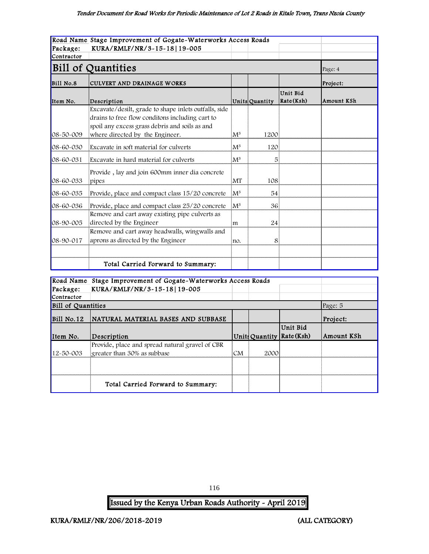|                 | Road Name Stage Improvement of Gogate-Waterworks Access Roads                                                                                                                                 |                |                |                       |            |
|-----------------|-----------------------------------------------------------------------------------------------------------------------------------------------------------------------------------------------|----------------|----------------|-----------------------|------------|
| Package:        | KURA/RMLF/NR/3-15-18 19-005                                                                                                                                                                   |                |                |                       |            |
| Contractor      |                                                                                                                                                                                               |                |                |                       |            |
|                 | <b>Bill of Quantities</b>                                                                                                                                                                     |                |                |                       | Page: 4    |
| Bill No.8       | CULVERT AND DRAINAGE WORKS                                                                                                                                                                    |                |                |                       | Project:   |
| Item No.        | Description                                                                                                                                                                                   |                | Units Quantity | Unit Bid<br>Rate(Ksh) | Amount KSh |
| $08 - 50 - 009$ | Excavate/desilt, grade to shape inlets outfalls, side<br>drains to free flow conditons including cart to<br>spoil any excess grass debris and soils as and<br>where directed by the Engineer. | $M^3$          | 1200           |                       |            |
| $08 - 60 - 030$ | Excavate in soft material for culverts                                                                                                                                                        | $\mathbf{M}^3$ | 120            |                       |            |
| 08-60-031       | Excavate in hard material for culverts                                                                                                                                                        | $\mathsf{M}^3$ | 5              |                       |            |
| 08-60-033       | Provide, lay and join 600mm inner dia concrete<br>pipes                                                                                                                                       | İMT            | 108            |                       |            |
| 08-60-035       | Provide, place and compact class 15/20 concrete                                                                                                                                               | $\mathsf{M}^3$ | 54             |                       |            |
| 08-60-036       | Provide, place and compact class 25/20 concrete                                                                                                                                               | ${\rm M}^3$    | 36             |                       |            |
| $08 - 90 - 005$ | Remove and cart away existing pipe culverts as<br>directed by the Engineer                                                                                                                    | lm             | 24             |                       |            |
| $08 - 90 - 017$ | Remove and cart away headwalls, wingwalls and<br>aprons as directed by the Engineer                                                                                                           | Ino.           | 8              |                       |            |
|                 |                                                                                                                                                                                               |                |                |                       |            |
|                 | Total Carried Forward to Summary:                                                                                                                                                             |                |                |                       |            |

|                           | Road Name Stage Improvement of Gogate-Waterworks Access Roads |                |      |                             |            |
|---------------------------|---------------------------------------------------------------|----------------|------|-----------------------------|------------|
| Package:                  | KURA/RMLF/NR/3-15-18 19-005                                   |                |      |                             |            |
| Contractor                |                                                               |                |      |                             |            |
| <b>Bill of Quantities</b> |                                                               |                |      |                             | Page: 5    |
| $Bill$ No.12              | NATURAL MATERIAL BASES AND SUBBASE                            |                |      |                             | Project:   |
|                           |                                                               |                |      | Unit Bid                    |            |
| Item No.                  | Description                                                   |                |      | Units Quantity   Rate (Ksh) | Amount KSh |
|                           |                                                               |                |      |                             |            |
|                           | Provide, place and spread natural gravel of CBR               |                |      |                             |            |
| $12 - 50 - 003$           | greater than 30% as subbase                                   | CM <sub></sub> | 2000 |                             |            |
|                           |                                                               |                |      |                             |            |
|                           |                                                               |                |      |                             |            |

116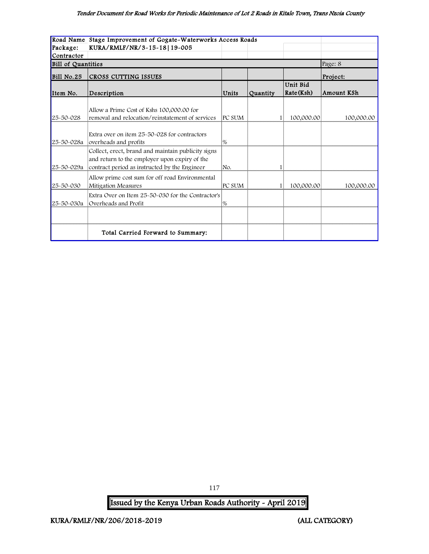#### Tender Document for Road Works for Periodic Maintenance of Lot 2 Roads in Kitale Town, Trans Nzoia County

|                           | Road Name Stage Improvement of Gogate-Waterworks Access Roads                                                                                        |        |          |                       |            |
|---------------------------|------------------------------------------------------------------------------------------------------------------------------------------------------|--------|----------|-----------------------|------------|
| Package:                  | KURA/RMLF/NR/3-15-18 19-005                                                                                                                          |        |          |                       |            |
| Contractor                |                                                                                                                                                      |        |          |                       |            |
| <b>Bill of Quantities</b> |                                                                                                                                                      |        |          |                       | Page: 8    |
| Bill No.25                | CROSS CUTTING ISSUES                                                                                                                                 |        |          |                       | Project:   |
| Item No.                  | Description                                                                                                                                          | Units  | Quantity | Unit Bid<br>Rate(Ksh) | Amount KSh |
| 25-50-028                 | Allow a Prime Cost of Kshs 100,000.00 for<br>removal and relocation/reinstatement of services                                                        | PC SUM |          | 100,000.00            | 100,000.00 |
| 25-50-028a                | Extra over on item 25-50-028 for contractors<br>overheads and profits                                                                                | %      |          |                       |            |
| 25-50-029a                | Collect, erect, brand and maintain publicity signs<br>and return to the employer upon expiry of the<br>contract period as instructed by the Engineer | No.    |          |                       |            |
| 25-50-030                 | Allow prime cost sum for off road Environmental<br>Mitigation Measures                                                                               | PC SUM |          | 100,000.00            | 100,000.00 |
| 25-50-030a                | Extra Over on Item 25~50~030 for the Contractor's<br>Overheads and Profit                                                                            | %      |          |                       |            |
|                           |                                                                                                                                                      |        |          |                       |            |
|                           | Total Carried Forward to Summary:                                                                                                                    |        |          |                       |            |

Issued by the Kenya Urban Roads Authority - April 2019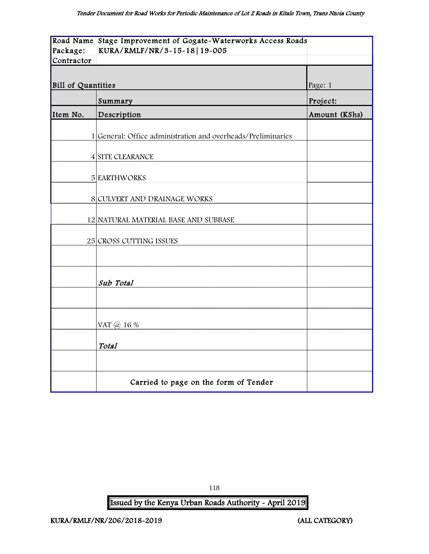|                    | Road Name Stage Improvement of Gogate-Waterworks Access Roads |               |
|--------------------|---------------------------------------------------------------|---------------|
| Package:           | KURA/RMLF/NR/3-15-18 19-005                                   |               |
| Contractor         |                                                               |               |
|                    |                                                               |               |
| Bill of Quantities |                                                               | Page: 1       |
|                    | Summary                                                       | Project:      |
| Item No.           | Description                                                   | Amount (KShs) |
|                    | 1 General: Office administration and overheads/Preliminaries  |               |
|                    | 4 SITE CLEARANCE                                              |               |
|                    | 5 EARTHWORKS                                                  |               |
|                    | 8 CULVERT AND DRAINAGE WORKS                                  |               |
|                    | 12 NATURAL MATERIAL BASE AND SUBBASE                          |               |
|                    | 25 CROSS CUTTING ISSUES                                       |               |
|                    |                                                               |               |
|                    | Sub Total                                                     |               |
|                    |                                                               |               |
|                    | VAT @ 16 %                                                    |               |
|                    | Total                                                         |               |
|                    |                                                               |               |
|                    | Carried to page on the form of Tender                         |               |

118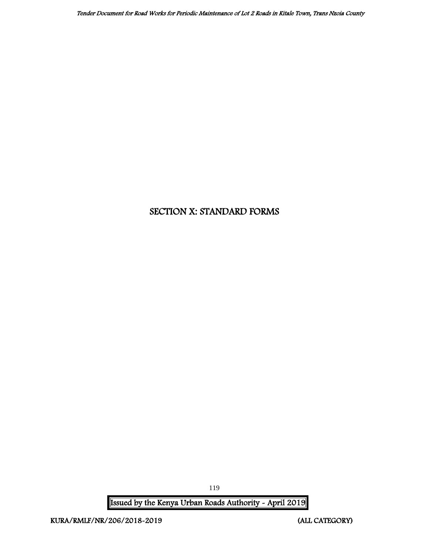# SECTION X: STANDARD FORMS

Issued by the Kenya Urban Roads Authority - April 2019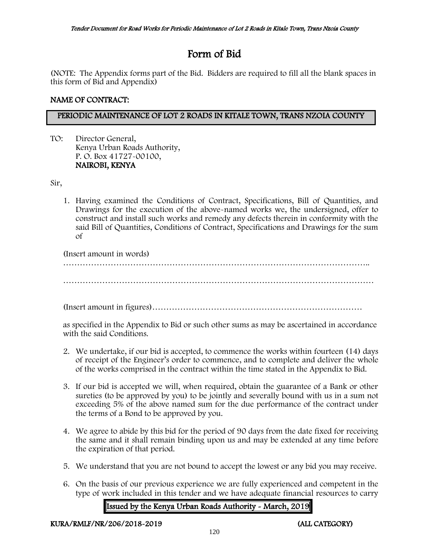# Form of Bid

(NOTE: The Appendix forms part of the Bid. Bidders are required to fill all the blank spaces in this form of Bid and Appendix)

## NAME OF CONTRACT:

## PERIODIC MAINTENANCE OF LOT 2 ROADS IN KITALE TOWN, TRANS NZOIA COUNTY

TO: Director General, Kenya Urban Roads Authority, P. O. Box 41727-00100, NAIROBI, KENYA

Sir,

1. Having examined the Conditions of Contract, Specifications, Bill of Quantities, and Drawings for the execution of the above-named works we, the undersigned, offer to construct and install such works and remedy any defects therein in conformity with the said Bill of Quantities, Conditions of Contract, Specifications and Drawings for the sum of

(Insert amount in words) ………………………………………………………………………………………………..

…………………………………………………………………………………………………

(Insert amount in figures)…………………………………………………………………

as specified in the Appendix to Bid or such other sums as may be ascertained in accordance with the said Conditions.

- 2. We undertake, if our bid is accepted, to commence the works within fourteen (14) days of receipt of the Engineer's order to commence, and to complete and deliver the whole of the works comprised in the contract within the time stated in the Appendix to Bid.
- 3. If our bid is accepted we will, when required, obtain the guarantee of a Bank or other sureties (to be approved by you) to be jointly and severally bound with us in a sum not exceeding 5% of the above named sum for the due performance of the contract under the terms of a Bond to be approved by you.
- 4. We agree to abide by this bid for the period of 90 days from the date fixed for receiving the same and it shall remain binding upon us and may be extended at any time before the expiration of that period.
- 5. We understand that you are not bound to accept the lowest or any bid you may receive.
- 6. On the basis of our previous experience we are fully experienced and competent in the type of work included in this tender and we have adequate financial resources to carry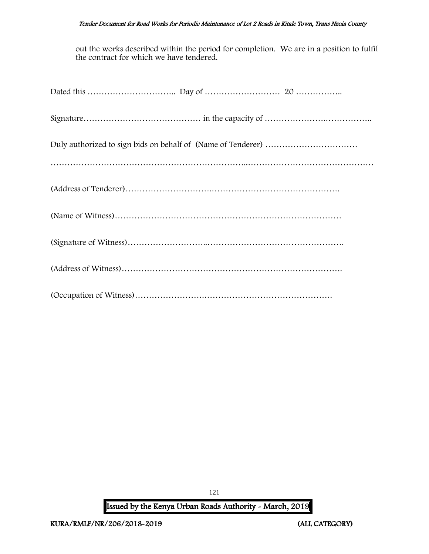#### Tender Document for Road Works for Periodic Maintenance of Lot 2 Roads in Kitale Town, Trans Nzoia County

out the works described within the period for completion. We are in a position to fulfil the contract for which we have tendered.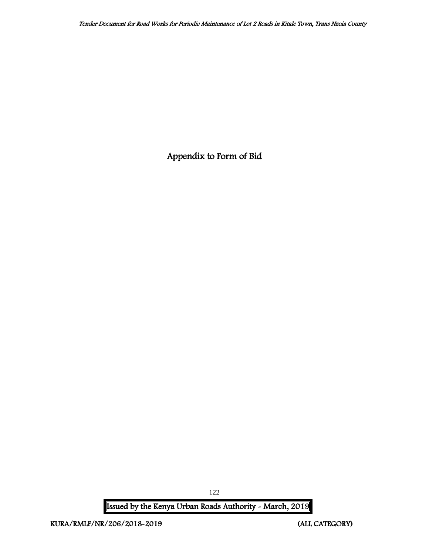Appendix to Form of Bid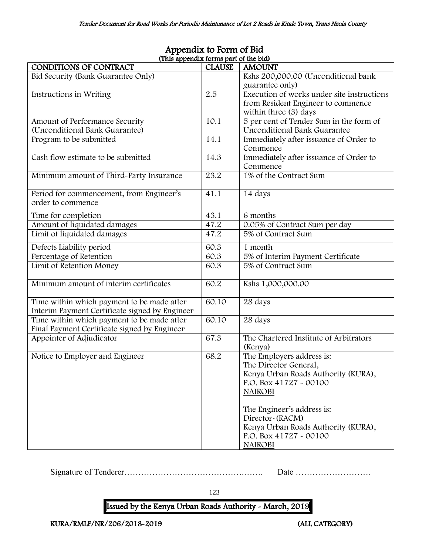| (This appendix forms part of the bid)          |               |                                            |
|------------------------------------------------|---------------|--------------------------------------------|
| CONDITIONS OF CONTRACT                         | <b>CLAUSE</b> | <b>AMOUNT</b>                              |
| Bid Security (Bank Guarantee Only)             |               | Kshs 200,000.00 (Unconditional bank        |
|                                                |               | guarantee only)                            |
| Instructions in Writing                        | 2.5           | Execution of works under site instructions |
|                                                |               | from Resident Engineer to commence         |
|                                                |               | within three (3) days                      |
| Amount of Performance Security                 | 10.1          | 5 per cent of Tender Sum in the form of    |
| (Unconditional Bank Guarantee)                 |               | Unconditional Bank Guarantee               |
| Program to be submitted                        | 14.1          | Immediately after issuance of Order to     |
|                                                |               | Commence                                   |
| Cash flow estimate to be submitted             | 14.3          | Immediately after issuance of Order to     |
|                                                |               | Commence                                   |
| Minimum amount of Third-Party Insurance        | 23.2          | 1% of the Contract Sum                     |
|                                                |               |                                            |
| Period for commencement, from Engineer's       | 41.1          | 14 days                                    |
| order to commence                              |               |                                            |
| Time for completion                            | 43.1          | 6 months                                   |
| Amount of liquidated damages                   | 47.2          | 0.05% of Contract Sum per day              |
| Limit of liquidated damages                    | 47.2          | 5% of Contract Sum                         |
|                                                |               |                                            |
| Defects Liability period                       | 60.3          | 1 month                                    |
| Percentage of Retention                        | 60.3          | 5% of Interim Payment Certificate          |
| Limit of Retention Money                       | 60.3          | 5% of Contract Sum                         |
|                                                |               |                                            |
| Minimum amount of interim certificates         | 60.2          | Kshs 1,000,000.00                          |
|                                                |               |                                            |
| Time within which payment to be made after     | 60.10         | 28 days                                    |
| Interim Payment Certificate signed by Engineer |               |                                            |
| Time within which payment to be made after     | 60.10         | 28 days                                    |
| Final Payment Certificate signed by Engineer   |               |                                            |
| Appointer of Adjudicator                       | 67.3          | The Chartered Institute of Arbitrators     |
|                                                |               | (Kenya)                                    |
| Notice to Employer and Engineer                | 68.2          | The Employers address is:                  |
|                                                |               | The Director General,                      |
|                                                |               | Kenya Urban Roads Authority (KURA),        |
|                                                |               | P.O. Box 41727 - 00100                     |
|                                                |               | <b>NAIROBI</b>                             |
|                                                |               |                                            |
|                                                |               | The Engineer's address is:                 |
|                                                |               | Director~(RACM)                            |
|                                                |               | Kenya Urban Roads Authority (KURA),        |
|                                                |               | P.O. Box 41727 - 00100                     |
|                                                |               | <b>NAIROBI</b>                             |

## Appendix to Form of Bid (This appendix forms part of the bid)

Signature of Tenderer…………………………………….……. Date ………………………

123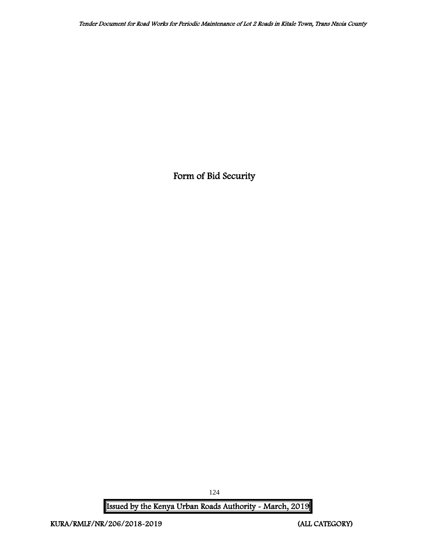Form of Bid Security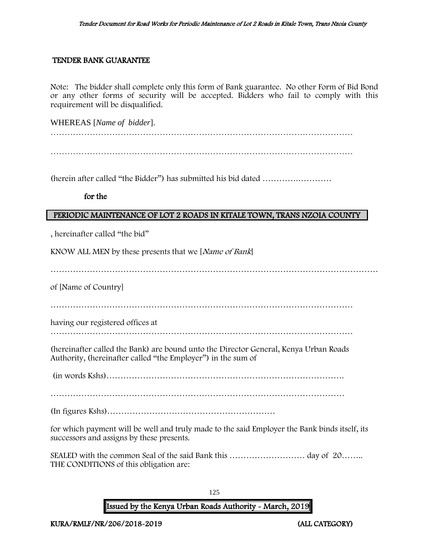#### TENDER BANK GUARANTEE

Note: The bidder shall complete only this form of Bank guarantee. No other Form of Bid Bond or any other forms of security will be accepted. Bidders who fail to comply with this requirement will be disqualified.

WHEREAS [*Name of bidder*].

………………………………………………………………………………………………

(herein after called "the Bidder") has submitted his bid dated ………….…………

#### for the

#### PERIODIC MAINTENANCE OF LOT 2 ROADS IN KITALE TOWN, TRANS NZOIA COUNTY

, hereinafter called "the bid"

KNOW ALL MEN by these presents that we [Name of Bank]

………………………………………………………………………………………………………

of [Name of Country]

………………………………………………………………………………………………

having our registered offices at

………………………………………………………………………………………………

(hereinafter called the Bank) are bound unto the Director General, Kenya Urban Roads Authority, (hereinafter called "the Employer") in the sum of

(in words Kshs)………………………………………………………………………….

……………………………………………………………………………………………

(In figures Kshs)……………………………………………………

for which payment will be well and truly made to the said Employer the Bank binds itself, its successors and assigns by these presents.

SEALED with the common Seal of the said Bank this ……………………… day of 20…….. THE CONDITIONS of this obligation are:

125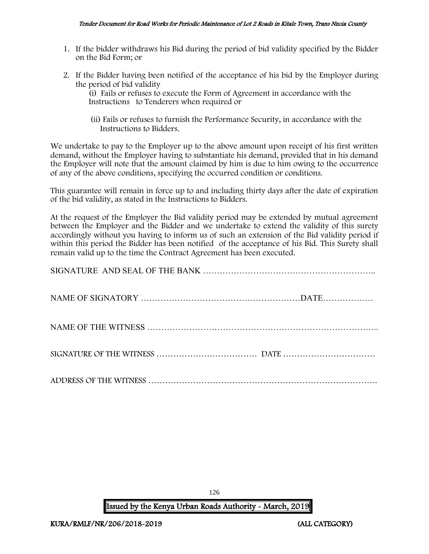- 1. If the bidder withdraws his Bid during the period of bid validity specified by the Bidder on the Bid Form; or
- 2. If the Bidder having been notified of the acceptance of his bid by the Employer during the period of bid validity

(i) Fails or refuses to execute the Form of Agreement in accordance with the Instructions to Tenderers when required or

 (ii) Fails or refuses to furnish the Performance Security, in accordance with the Instructions to Bidders.

We undertake to pay to the Employer up to the above amount upon receipt of his first written demand, without the Employer having to substantiate his demand, provided that in his demand the Employer will note that the amount claimed by him is due to him owing to the occurrence of any of the above conditions, specifying the occurred condition or conditions.

This guarantee will remain in force up to and including thirty days after the date of expiration of the bid validity, as stated in the Instructions to Bidders.

At the request of the Employer the Bid validity period may be extended by mutual agreement between the Employer and the Bidder and we undertake to extend the validity of this surety accordingly without you having to inform us of such an extension of the Bid validity period if within this period the Bidder has been notified of the acceptance of his Bid. This Surety shall remain valid up to the time the Contract Agreement has been executed.

126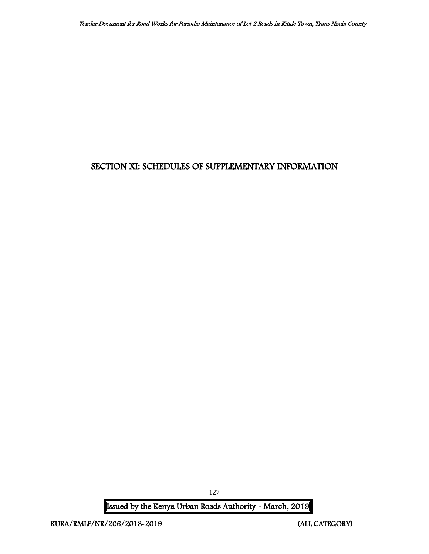## SECTION XI: SCHEDULES OF SUPPLEMENTARY INFORMATION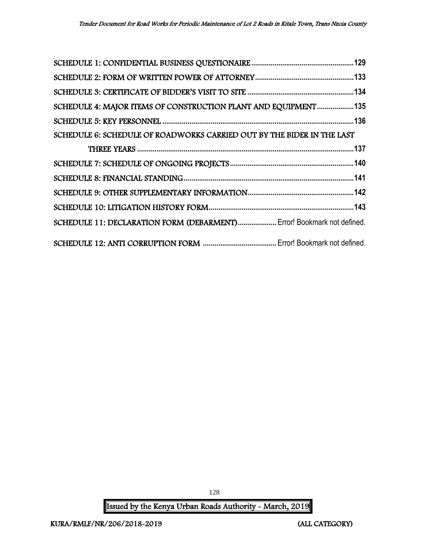| SCHEDULE 4: MAJOR ITEMS OF CONSTRUCTION PLANT AND EQUIPMENT135         |  |
|------------------------------------------------------------------------|--|
|                                                                        |  |
| SCHEDULE 6: SCHEDULE OF ROADWORKS CARRIED OUT BY THE BIDER IN THE LAST |  |
|                                                                        |  |
|                                                                        |  |
|                                                                        |  |
|                                                                        |  |
|                                                                        |  |
| SCHEDULE 11: DECLARATION FORM (DEBARMENT) Error! Bookmark not defined. |  |
|                                                                        |  |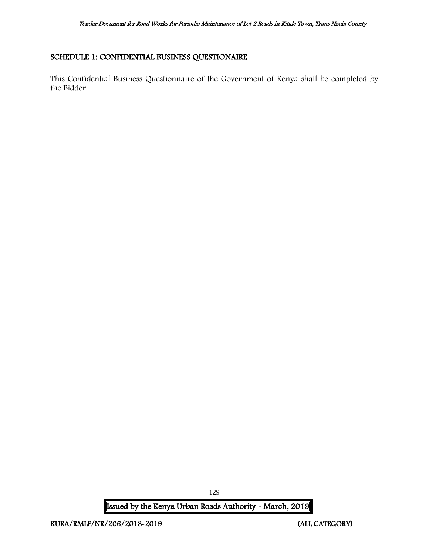### <span id="page-129-0"></span>SCHEDULE 1: CONFIDENTIAL BUSINESS QUESTIONAIRE

This Confidential Business Questionnaire of the Government of Kenya shall be completed by the Bidder.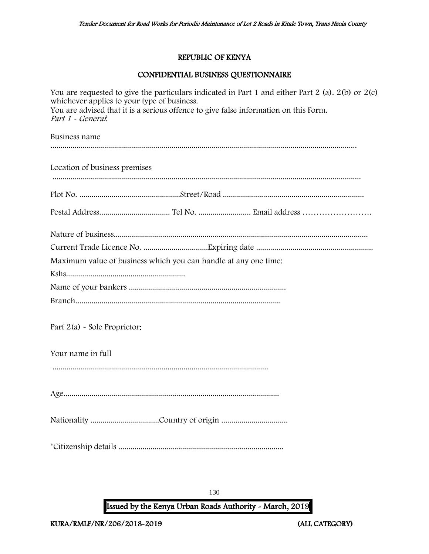## REPUBLIC OF KENYA

## CONFIDENTIAL BUSINESS QUESTIONNAIRE

| whichever applies to your type of business.<br>Part 1 - General: | You are requested to give the particulars indicated in Part 1 and either Part 2 (a). 2(b) or 2(c)<br>You are advised that it is a serious offence to give false information on this Form. |
|------------------------------------------------------------------|-------------------------------------------------------------------------------------------------------------------------------------------------------------------------------------------|
| Business name                                                    |                                                                                                                                                                                           |
| Location of business premises                                    |                                                                                                                                                                                           |
|                                                                  |                                                                                                                                                                                           |
|                                                                  |                                                                                                                                                                                           |
|                                                                  |                                                                                                                                                                                           |
| Maximum value of business which you can handle at any one time:  |                                                                                                                                                                                           |
|                                                                  |                                                                                                                                                                                           |
|                                                                  |                                                                                                                                                                                           |
|                                                                  |                                                                                                                                                                                           |
| Part 2(a) - Sole Proprietor:                                     |                                                                                                                                                                                           |
| Your name in full                                                |                                                                                                                                                                                           |
|                                                                  |                                                                                                                                                                                           |
|                                                                  |                                                                                                                                                                                           |
|                                                                  |                                                                                                                                                                                           |
|                                                                  |                                                                                                                                                                                           |

130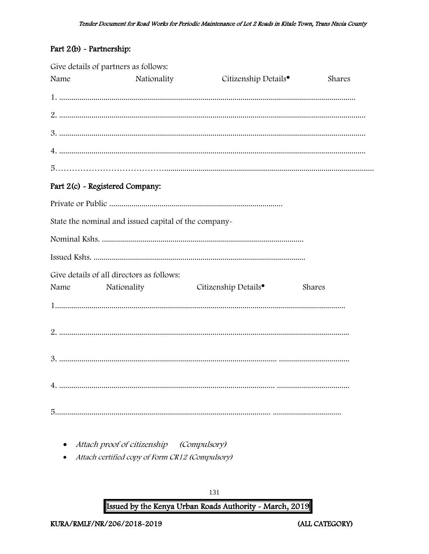## Part 2(b) - Partnership:

|      | Give details of partners as follows:                 |                                  |        |
|------|------------------------------------------------------|----------------------------------|--------|
| Name | Nationality                                          | Citizenship Details <sup>•</sup> | Shares |
|      |                                                      |                                  |        |
|      |                                                      |                                  |        |
|      |                                                      |                                  |        |
|      |                                                      |                                  |        |
|      |                                                      |                                  |        |
|      | Part 2(c) - Registered Company:                      |                                  |        |
|      |                                                      |                                  |        |
|      | State the nominal and issued capital of the company- |                                  |        |
|      |                                                      |                                  |        |
|      |                                                      |                                  |        |
|      | Give details of all directors as follows:            |                                  |        |
| Name | Nationality                                          | Citizenship Details <sup>•</sup> | Shares |
|      |                                                      |                                  |        |
|      |                                                      |                                  |        |
|      |                                                      |                                  |        |
|      |                                                      |                                  |        |
|      |                                                      |                                  |        |

- Attach proof of citizenship (Compulsory)
- Attach certified copy of Form CR12 (Compulsory)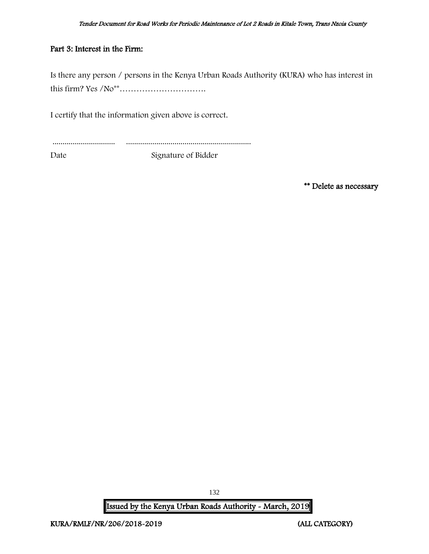#### Part 3: Interest in the Firm:

Is there any person / persons in the Kenya Urban Roads Authority (KURA) who has interest in this firm? Yes /No\*\*………………………….

I certify that the information given above is correct.

............................... ..............................................................

Date Signature of Bidder

\*\* Delete as necessary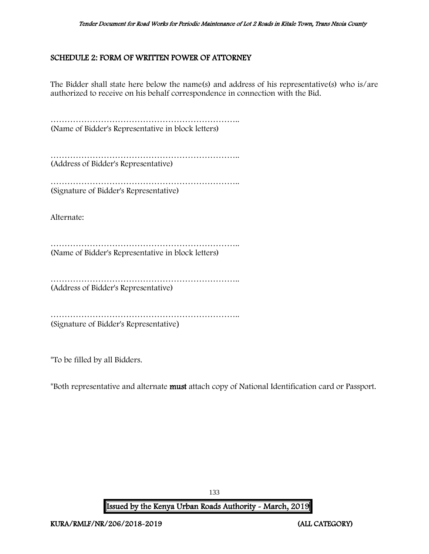### <span id="page-133-0"></span>SCHEDULE 2: FORM OF WRITTEN POWER OF ATTORNEY

The Bidder shall state here below the name(s) and address of his representative(s) who is/are authorized to receive on his behalf correspondence in connection with the Bid.

………………………………………………………….. (Name of Bidder's Representative in block letters)

………………………………………………………….. (Address of Bidder's Representative)

………………………………………………………….. (Signature of Bidder's Representative)

Alternate:

………………………………………………………….. (Name of Bidder's Representative in block letters)

………………………………………………………….. (Address of Bidder's Representative)

………………………………………………………………………… (Signature of Bidder's Representative)

\*To be filled by all Bidders.

\*Both representative and alternate must attach copy of National Identification card or Passport.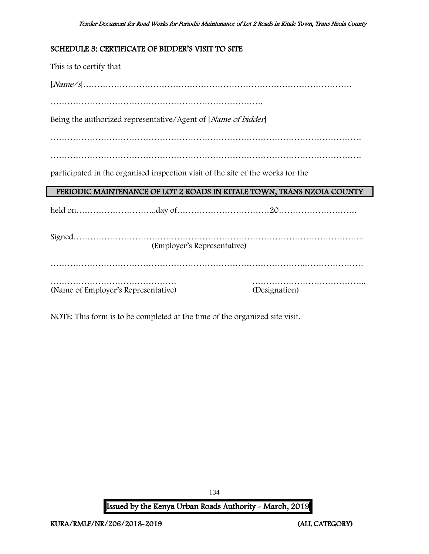#### <span id="page-134-0"></span>SCHEDULE 3: CERTIFICATE OF BIDDER'S VISIT TO SITE

This is to certify that [Name/s]…………………………………………………………………………………… …………………………………………………………………. Being the authorized representative/Agent of [*Name of bidder*] ………………………………………………………………………………………………… ………………………………………………………………………………………………… participated in the organised inspection visit of the site of the works for the PERIODIC MAINTENANCE OF LOT 2 ROADS IN KITALE TOWN, TRANS NZOIA COUNTY held on………………………..day of……………………………20………………………. Signed………………………………………………………………………………………….. (Employer's Representative) ……………………………………………………………………………….………………… ……………………………………… ………………………………….. (Name of Employer's Representative) (Designation)

NOTE: This form is to be completed at the time of the organized site visit.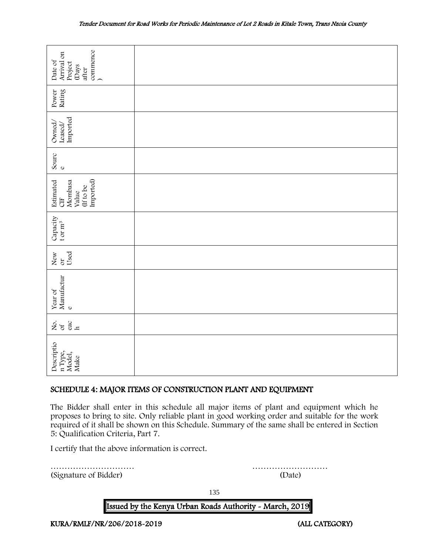| commence<br>Arrival on<br>Date of<br>Project<br>(Days<br>after                                                                                                                                                                                                                                                                     |        |  |  |  |  |
|------------------------------------------------------------------------------------------------------------------------------------------------------------------------------------------------------------------------------------------------------------------------------------------------------------------------------------|--------|--|--|--|--|
| Rating<br>Power                                                                                                                                                                                                                                                                                                                    |        |  |  |  |  |
| Imported<br>Owned,<br>Leased/                                                                                                                                                                                                                                                                                                      |        |  |  |  |  |
| Sourc<br>$\mathbf 0$                                                                                                                                                                                                                                                                                                               |        |  |  |  |  |
| Imported)<br>Mombasa<br>Estimated<br>(If to be<br>Value<br>5H                                                                                                                                                                                                                                                                      |        |  |  |  |  |
| Capacity<br>t or $\mathbf{m}^3$                                                                                                                                                                                                                                                                                                    |        |  |  |  |  |
| Used<br>New or                                                                                                                                                                                                                                                                                                                     |        |  |  |  |  |
| Manufactur<br>Year of<br>$\mathbf{o}$                                                                                                                                                                                                                                                                                              |        |  |  |  |  |
| $\frac{c}{h}$<br>ર્ષ્ટ જ                                                                                                                                                                                                                                                                                                           |        |  |  |  |  |
| Descriptio<br>n Type,<br>Model,<br>Make                                                                                                                                                                                                                                                                                            |        |  |  |  |  |
| SCHEDULE 4: MAJOR ITEMS OF CONSTRUCTION PLANT AND EQUIPMENT                                                                                                                                                                                                                                                                        |        |  |  |  |  |
| The Bidder shall enter in this schedule all major items of plant and equipment which he<br>proposes to bring to site. Only reliable plant in good working order and suitable for the work<br>required of it shall be shown on this Schedule. Summary of the same shall be entered in Section<br>5: Qualification Criteria, Part 7. |        |  |  |  |  |
| I certify that the above information is correct.                                                                                                                                                                                                                                                                                   |        |  |  |  |  |
| (Signature of Bidder)                                                                                                                                                                                                                                                                                                              | (Date) |  |  |  |  |

## <span id="page-135-0"></span>SCHEDULE 4: MAJOR ITEMS OF CONSTRUCTION PLANT AND EQUIPMENT

135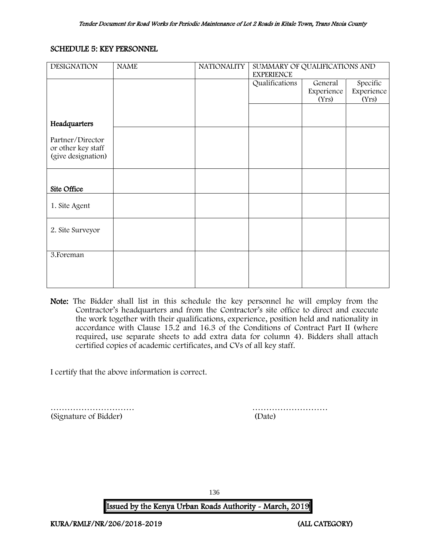#### <span id="page-136-0"></span>SCHEDULE 5: KEY PERSONNEL

| <b>DESIGNATION</b>                       | <b>NAME</b> | <b>NATIONALITY</b> | SUMMARY OF QUALIFICATIONS AND<br><b>EXPERIENCE</b> |            |            |
|------------------------------------------|-------------|--------------------|----------------------------------------------------|------------|------------|
|                                          |             |                    | Qualifications                                     | General    | Specific   |
|                                          |             |                    |                                                    | Experience | Experience |
|                                          |             |                    |                                                    | (Yrs)      | (Yrs)      |
|                                          |             |                    |                                                    |            |            |
| Headquarters                             |             |                    |                                                    |            |            |
|                                          |             |                    |                                                    |            |            |
| Partner/Director                         |             |                    |                                                    |            |            |
| or other key staff<br>(give designation) |             |                    |                                                    |            |            |
|                                          |             |                    |                                                    |            |            |
|                                          |             |                    |                                                    |            |            |
|                                          |             |                    |                                                    |            |            |
| Site Office                              |             |                    |                                                    |            |            |
|                                          |             |                    |                                                    |            |            |
| 1. Site Agent                            |             |                    |                                                    |            |            |
|                                          |             |                    |                                                    |            |            |
| 2. Site Surveyor                         |             |                    |                                                    |            |            |
|                                          |             |                    |                                                    |            |            |
|                                          |             |                    |                                                    |            |            |
| 3. Foreman                               |             |                    |                                                    |            |            |
|                                          |             |                    |                                                    |            |            |
|                                          |             |                    |                                                    |            |            |
|                                          |             |                    |                                                    |            |            |

Note: The Bidder shall list in this schedule the key personnel he will employ from the Contractor's headquarters and from the Contractor's site office to direct and execute the work together with their qualifications, experience, position held and nationality in accordance with Clause 15.2 and 16.3 of the Conditions of Contract Part II (where required, use separate sheets to add extra data for column 4). Bidders shall attach certified copies of academic certificates, and CVs of all key staff.

I certify that the above information is correct.

………………………… ……………………… (Signature of Bidder) (Date)

136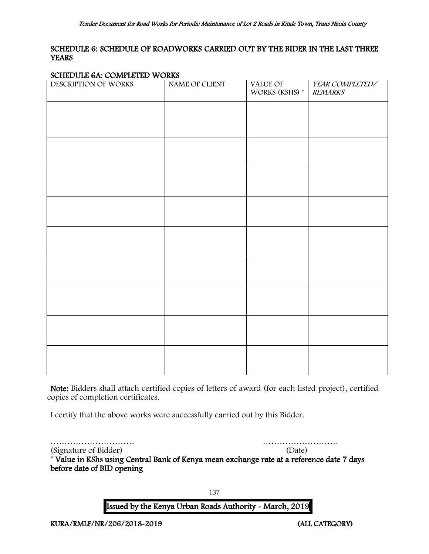#### <span id="page-137-0"></span>SCHEDULE 6: SCHEDULE OF ROADWORKS CARRIED OUT BY THE BIDER IN THE LAST THREE **YEARS**

#### SCHEDULE 6A: COMPLETED WORKS

| $S_{\text{SMB}}$ $S_{\text{L}}$ $S_{\text{SMB}}$ $\text{SMB}$ $\text{SMB}$<br>DESCRIPTION OF WORKS | NAME OF CLIENT | VALUE OF<br>WORKS (KSHS) * | YEAR COMPLETED/<br><b>REMARKS</b> |
|----------------------------------------------------------------------------------------------------|----------------|----------------------------|-----------------------------------|
|                                                                                                    |                |                            |                                   |
|                                                                                                    |                |                            |                                   |
|                                                                                                    |                |                            |                                   |
|                                                                                                    |                |                            |                                   |
|                                                                                                    |                |                            |                                   |
|                                                                                                    |                |                            |                                   |
|                                                                                                    |                |                            |                                   |
|                                                                                                    |                |                            |                                   |
|                                                                                                    |                |                            |                                   |
|                                                                                                    |                |                            |                                   |

Note: Bidders shall attach certified copies of letters of award (for each listed project), certified copies of completion certificates.

I certify that the above works were successfully carried out by this Bidder.

………………………… ………………………

(Signature of Bidder) (Date) \* Value in KShs using Central Bank of Kenya mean exchange rate at a reference date 7 days before date of BID opening

137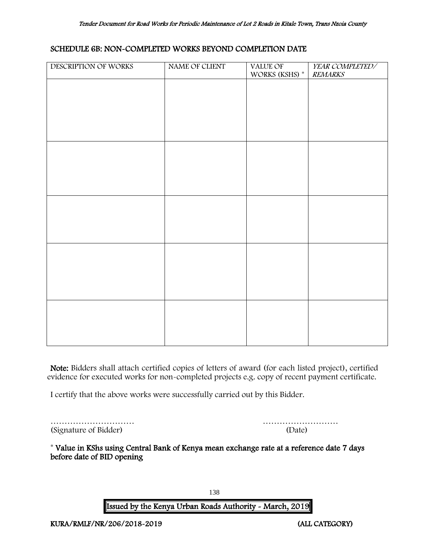#### SCHEDULE 6B: NON-COMPLETED WORKS BEYOND COMPLETION DATE

| DESCRIPTION OF WORKS | NAME OF CLIENT | VALUE OF<br>WORKS (KSHS) * | YEAR COMPLETED/<br><b>REMARKS</b> |
|----------------------|----------------|----------------------------|-----------------------------------|
|                      |                |                            |                                   |
|                      |                |                            |                                   |
|                      |                |                            |                                   |
|                      |                |                            |                                   |
|                      |                |                            |                                   |
|                      |                |                            |                                   |
|                      |                |                            |                                   |
|                      |                |                            |                                   |
|                      |                |                            |                                   |
|                      |                |                            |                                   |
|                      |                |                            |                                   |
|                      |                |                            |                                   |
|                      |                |                            |                                   |
|                      |                |                            |                                   |
|                      |                |                            |                                   |
|                      |                |                            |                                   |

Note: Bidders shall attach certified copies of letters of award (for each listed project), certified evidence for executed works for non-completed projects e.g. copy of recent payment certificate.

I certify that the above works were successfully carried out by this Bidder.

|                       | .      |
|-----------------------|--------|
| (Signature of Bidder) | (Date) |

| (Signature of Bidder) | (Date) |
|-----------------------|--------|

\* Value in KShs using Central Bank of Kenya mean exchange rate at a reference date 7 days before date of BID opening

138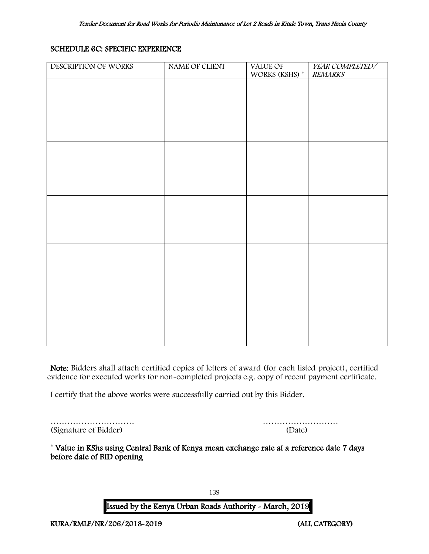### SCHEDULE 6C: SPECIFIC EXPERIENCE

| DESCRIPTION OF WORKS | NAME OF CLIENT | <b>VALUE OF</b><br>WORKS (KSHS) $^\ast$ | YEAR COMPLETED/<br><b>REMARKS</b> |
|----------------------|----------------|-----------------------------------------|-----------------------------------|
|                      |                |                                         |                                   |
|                      |                |                                         |                                   |
|                      |                |                                         |                                   |
|                      |                |                                         |                                   |
|                      |                |                                         |                                   |
|                      |                |                                         |                                   |
|                      |                |                                         |                                   |
|                      |                |                                         |                                   |
|                      |                |                                         |                                   |
|                      |                |                                         |                                   |
|                      |                |                                         |                                   |
|                      |                |                                         |                                   |
|                      |                |                                         |                                   |
|                      |                |                                         |                                   |
|                      |                |                                         |                                   |
|                      |                |                                         |                                   |
|                      |                |                                         |                                   |

Note: Bidders shall attach certified copies of letters of award (for each listed project), certified evidence for executed works for non-completed projects e.g. copy of recent payment certificate.

I certify that the above works were successfully carried out by this Bidder.

|                       | .      |
|-----------------------|--------|
| (Signature of Bidder) | (Date) |

| (Signature of Bidder) | (Date) |
|-----------------------|--------|

<span id="page-139-0"></span>\* Value in KShs using Central Bank of Kenya mean exchange rate at a reference date 7 days before date of BID opening

139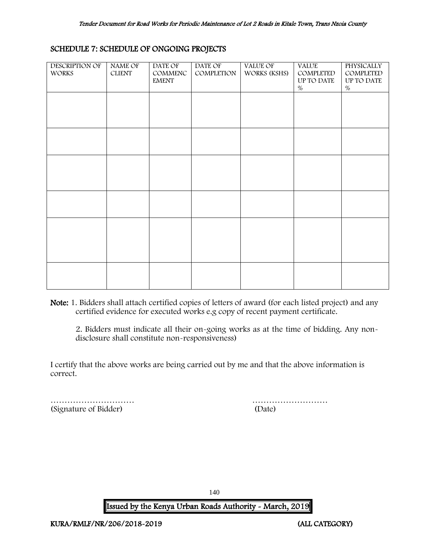#### SCHEDULE 7: SCHEDULE OF ONGOING PROJECTS

| <b>DESCRIPTION OF</b><br><b>WORKS</b> | NAME OF<br><b>CLIENT</b> | DATE OF<br>COMMENC<br><b>EMENT</b> | DATE OF<br>COMPLETION | <b>VALUE OF</b><br>WORKS (KSHS) | <b>VALUE</b><br>COMPLETED<br>UP TO DATE<br>$\%$ | <b>PHYSICALLY</b><br>COMPLETED<br>UP TO DATE<br>$\%$ |
|---------------------------------------|--------------------------|------------------------------------|-----------------------|---------------------------------|-------------------------------------------------|------------------------------------------------------|
|                                       |                          |                                    |                       |                                 |                                                 |                                                      |
|                                       |                          |                                    |                       |                                 |                                                 |                                                      |
|                                       |                          |                                    |                       |                                 |                                                 |                                                      |
|                                       |                          |                                    |                       |                                 |                                                 |                                                      |
|                                       |                          |                                    |                       |                                 |                                                 |                                                      |
|                                       |                          |                                    |                       |                                 |                                                 |                                                      |

Note: 1. Bidders shall attach certified copies of letters of award (for each listed project) and any certified evidence for executed works e.g copy of recent payment certificate.

2. Bidders must indicate all their on-going works as at the time of bidding. Any nondisclosure shall constitute non-responsiveness)

I certify that the above works are being carried out by me and that the above information is correct.

<span id="page-140-0"></span>(Signature of Bidder) (Date)

………………………… ………………………

140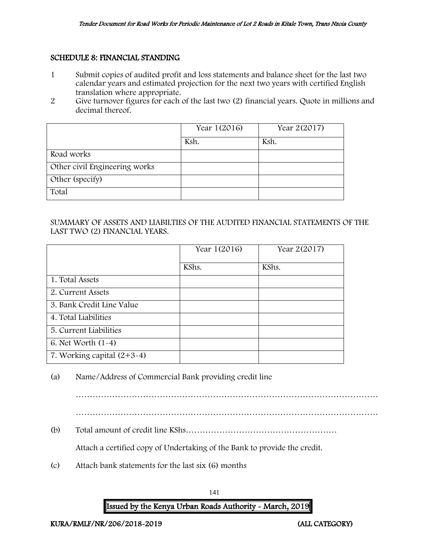#### SCHEDULE 8: FINANCIAL STANDING

- 1 Submit copies of audited profit and loss statements and balance sheet for the last two calendar years and estimated projection for the next two years with certified English translation where appropriate.
- 2 Give turnover figures for each of the last two (2) financial years. Quote in millions and decimal thereof.

|                               | Year 1(2016) | Year 2(2017) |
|-------------------------------|--------------|--------------|
|                               | Ksh.         | Ksh.         |
| Road works                    |              |              |
| Other civil Engineering works |              |              |
| Other (specify)               |              |              |
| Total                         |              |              |

#### SUMMARY OF ASSETS AND LIABILTIES OF THE AUDITED FINANCIAL STATEMENTS OF THE LAST TWO (2) FINANCIAL YEARS.

|                              | Year 1(2016) | Year 2(2017) |
|------------------------------|--------------|--------------|
|                              | KShs.        | KShs.        |
| 1. Total Assets              |              |              |
| 2. Current Assets            |              |              |
| 3. Bank Credit Line Value    |              |              |
| 4. Total Liabilities         |              |              |
| 5. Current Liabilities       |              |              |
| 6. Net Worth $(1-4)$         |              |              |
| 7. Working capital $(2+3-4)$ |              |              |

(a) Name/Address of Commercial Bank providing credit line

……………………………………………………………………………………………… ………………………………………………………………………………………………

(b) Total amount of credit line KShs………………………………………………

Attach a certified copy of Undertaking of the Bank to provide the credit.

(c) Attach bank statements for the last six (6) months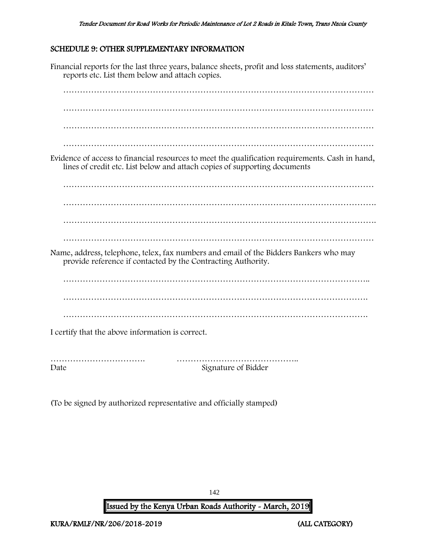#### <span id="page-142-0"></span>SCHEDULE 9: OTHER SUPPLEMENTARY INFORMATION

Financial reports for the last three years, balance sheets, profit and loss statements, auditors' reports etc. List them below and attach copies. ………………………………………………………………………………………………… ………………………………………………………………………………………………… ………………………………………………………………………………………………… Evidence of access to financial resources to meet the qualification requirements. Cash in hand, lines of credit etc. List below and attach copies of supporting documents ………………………………………………………………………………………………… …………………………………………………………………………………………………. …………………………………………………………………………………………………. ………………………………………………………………………………………………… Name, address, telephone, telex, fax numbers and email of the Bidders Bankers who may provide reference if contacted by the Contracting Authority. ………………………………………………………………………………………………. ………………………………………………………………………………………………. I certify that the above information is correct. ……………………………. …………………………………….. Date Signature of Bidder

(To be signed by authorized representative and officially stamped)

142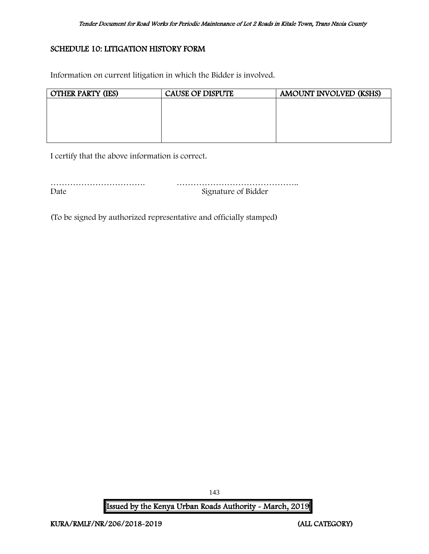#### <span id="page-143-0"></span>SCHEDULE 10: LITIGATION HISTORY FORM

Information on current litigation in which the Bidder is involved.

| <b>OTHER PARTY (IES)</b> | <b>CAUSE OF DISPUTE</b> | AMOUNT INVOLVED (KSHS) |
|--------------------------|-------------------------|------------------------|
|                          |                         |                        |
|                          |                         |                        |
|                          |                         |                        |
|                          |                         |                        |
|                          |                         |                        |

I certify that the above information is correct.

| Date | Signature of Bidder |
|------|---------------------|

(To be signed by authorized representative and officially stamped)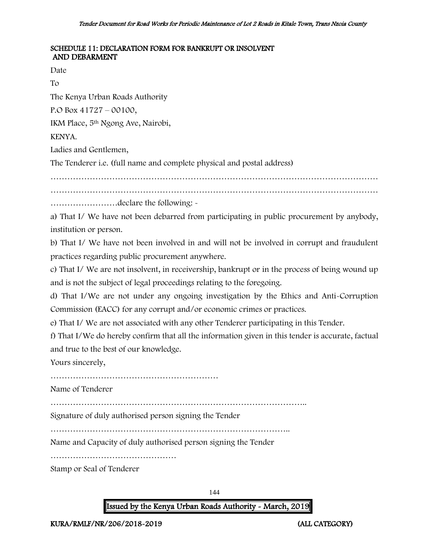#### SCHEDULE 11: DECLARATION FORM FOR BANKRUPT OR INSOLVENT AND DEBARMENT

Date

To

The Kenya Urban Roads Authority

P.O Box 41727 – 00100,

IKM Place, 5th Ngong Ave, Nairobi,

KENYA.

Ladies and Gentlemen,

The Tenderer i.e. (full name and complete physical and postal address)

………………………………………………………………………………………………………

………………………………………………………………………………………………………

……………………declare the following: -

a) That I/ We have not been debarred from participating in public procurement by anybody, institution or person.

b) That I/ We have not been involved in and will not be involved in corrupt and fraudulent practices regarding public procurement anywhere.

c) That I/ We are not insolvent, in receivership, bankrupt or in the process of being wound up and is not the subject of legal proceedings relating to the foregoing.

d) That I/We are not under any ongoing investigation by the Ethics and Anti-Corruption Commission (EACC) for any corrupt and/or economic crimes or practices.

e) That I/ We are not associated with any other Tenderer participating in this Tender.

f) That I/We do hereby confirm that all the information given in this tender is accurate, factual and true to the best of our knowledge.

Yours sincerely,

………………………………………………………………………………

Name of Tenderer

………………………………………………………………………………..

Signature of duly authorised person signing the Tender

…………………………………………………………………………..

Name and Capacity of duly authorised person signing the Tender

………………………………………

Stamp or Seal of Tenderer

144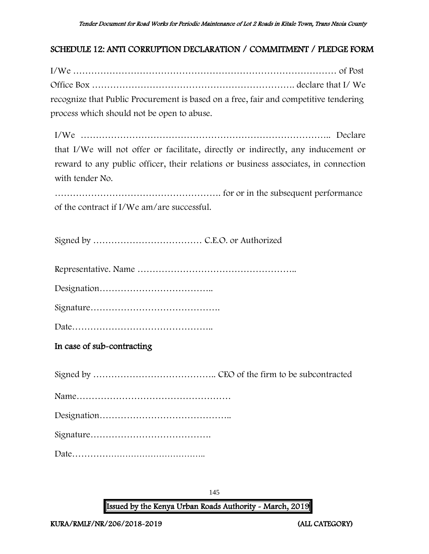### SCHEDULE 12: ANTI CORRUPTION DECLARATION / COMMITMENT / PLEDGE FORM

I/We …………………………………………………………………………… of Post Office Box …………………………………………………………. declare that I/ We recognize that Public Procurement is based on a free, fair and competitive tendering process which should not be open to abuse.

I/We ……………………………………………………………………….. Declare that I/We will not offer or facilitate, directly or indirectly, any inducement or reward to any public officer, their relations or business associates, in connection with tender No.

………………………………………………. for or in the subsequent performance of the contract if I/We am/are successful.

Signed by ……………………………… C.E.O. or Authorized

Representative. Name ……………………………………………..

Designation………………………………..

Signature…………………………………….

Date………………………………………..

In case of sub-contracting

Signed by ………………………………….. CEO of the firm to be subcontracted Name…………………………………………… Designation…………………………………….. Signature…………………………………. Date………………………………………..

145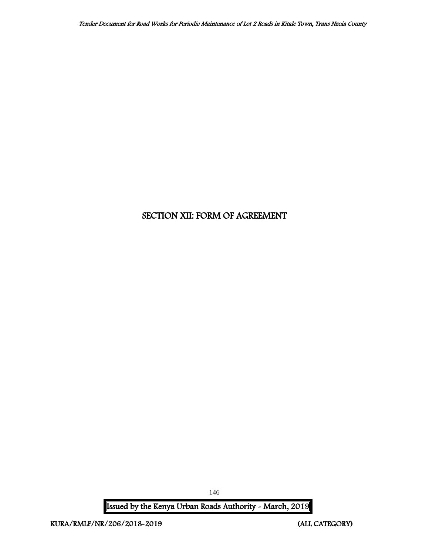## SECTION XII: FORM OF AGREEMENT

Issued by the Kenya Urban Roads Authority - March, 2019

146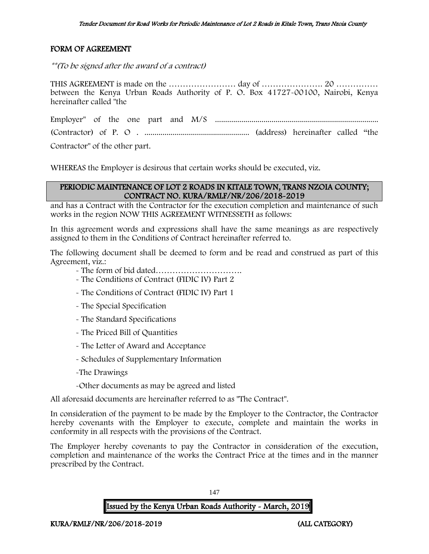### FORM OF AGREEMENT

\*\*(To be signed after the award of a contract)

THIS AGREEMENT is made on the …………………… day of …………………. 20 …………… between the Kenya Urban Roads Authority of P. O. Box 41727-00100, Nairobi, Kenya hereinafter called "the

Employer" of the one part and M/S ................................................................................. (Contractor) of P. O . .................................................... (address) hereinafter called "the Contractor" of the other part.

WHEREAS the Employer is desirous that certain works should be executed, viz.

#### PERIODIC MAINTENANCE OF LOT 2 ROADS IN KITALE TOWN, TRANS NZOIA COUNTY; CONTRACT NO. KURA/RMLF/NR/206/2018-2019

and has a Contract with the Contractor for the execution completion and maintenance of such works in the region NOW THIS AGREEMENT WITNESSETH as follows:

In this agreement words and expressions shall have the same meanings as are respectively assigned to them in the Conditions of Contract hereinafter referred to.

The following document shall be deemed to form and be read and construed as part of this Agreement, viz.:

- The form of bid dated………………………….
- The Conditions of Contract (FIDIC IV) Part 2
- The Conditions of Contract (FIDIC IV) Part 1
- The Special Specification
- The Standard Specifications
- The Priced Bill of Quantities
- The Letter of Award and Acceptance
- Schedules of Supplementary Information
- -The Drawings
- -Other documents as may be agreed and listed

All aforesaid documents are hereinafter referred to as "The Contract".

In consideration of the payment to be made by the Employer to the Contractor, the Contractor hereby covenants with the Employer to execute, complete and maintain the works in conformity in all respects with the provisions of the Contract.

The Employer hereby covenants to pay the Contractor in consideration of the execution, completion and maintenance of the works the Contract Price at the times and in the manner prescribed by the Contract.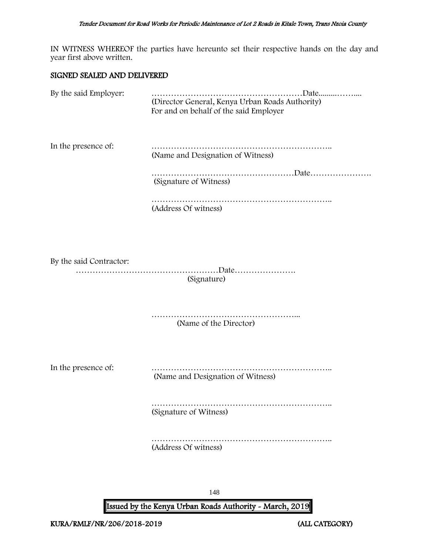IN WITNESS WHEREOF the parties have hereunto set their respective hands on the day and year first above written.

#### SIGNED SEALED AND DELIVERED

| By the said Employer:   | (Director General, Kenya Urban Roads Authority)<br>For and on behalf of the said Employer |
|-------------------------|-------------------------------------------------------------------------------------------|
| In the presence of:     | (Name and Designation of Witness)                                                         |
|                         | (Signature of Witness)                                                                    |
|                         | (Address Of witness)                                                                      |
| By the said Contractor: | (Signature)                                                                               |
|                         | (Name of the Director)                                                                    |
| In the presence of:     | (Name and Designation of Witness)                                                         |
|                         | (Signature of Witness)                                                                    |

……………………………………………………….. (Address Of witness)

148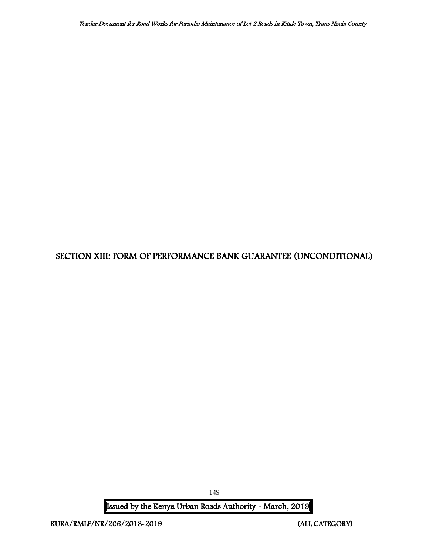# SECTION XIII: FORM OF PERFORMANCE BANK GUARANTEE (UNCONDITIONAL)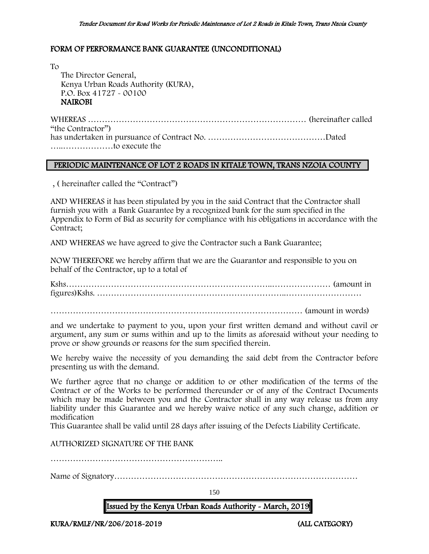#### FORM OF PERFORMANCE BANK GUARANTEE (UNCONDITIONAL)

To The Director General, Kenya Urban Roads Authority (KURA), P.O. Box 41727 - 00100 NAIROBI

WHEREAS …………………………………………………………………… (hereinafter called "the Contractor") has undertaken in pursuance of Contract No. ……………………………………Dated …..………………to execute the

#### PERIODIC MAINTENANCE OF LOT 2 ROADS IN KITALE TOWN, TRANS NZOIA COUNTY

, ( hereinafter called the "Contract")

AND WHEREAS it has been stipulated by you in the said Contract that the Contractor shall furnish you with a Bank Guarantee by a recognized bank for the sum specified in the Appendix to Form of Bid as security for compliance with his obligations in accordance with the Contract;

AND WHEREAS we have agreed to give the Contractor such a Bank Guarantee;

NOW THEREFORE we hereby affirm that we are the Guarantor and responsible to you on behalf of the Contractor, up to a total of

Kshs………………………………………………………………..………………… (amount in figures)Kshs. …………………………………………………………..………………………

……………………………………………………………………………… (amount in words)

and we undertake to payment to you, upon your first written demand and without cavil or argument, any sum or sums within and up to the limits as aforesaid without your needing to prove or show grounds or reasons for the sum specified therein.

We hereby waive the necessity of you demanding the said debt from the Contractor before presenting us with the demand.

We further agree that no change or addition to or other modification of the terms of the Contract or of the Works to be performed thereunder or of any of the Contract Documents which may be made between you and the Contractor shall in any way release us from any liability under this Guarantee and we hereby waive notice of any such change, addition or modification

This Guarantee shall be valid until 28 days after issuing of the Defects Liability Certificate.

AUTHORIZED SIGNATURE OF THE BANK

……………………………………………………..

Name of Signatory……………………………………………………………………………

150